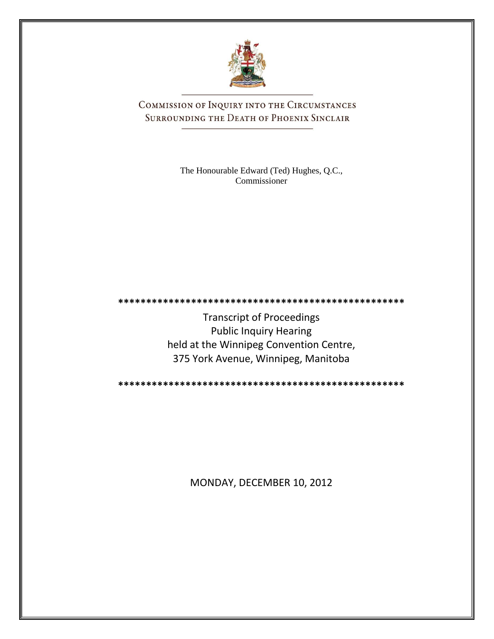

COMMISSION OF INQUIRY INTO THE CIRCUMSTANCES SURROUNDING THE DEATH OF PHOENIX SINCLAIR

> The Honourable Edward (Ted) Hughes, Q.C., Commissioner

**\*\*\*\*\*\*\*\*\*\*\*\*\*\*\*\*\*\*\*\*\*\*\*\*\*\*\*\*\*\*\*\*\*\*\*\*\*\*\*\*\*\*\*\*\*\*\*\*\*\*\***

Transcript of Proceedings Public Inquiry Hearing held at the Winnipeg Convention Centre, 375 York Avenue, Winnipeg, Manitoba

**\*\*\*\*\*\*\*\*\*\*\*\*\*\*\*\*\*\*\*\*\*\*\*\*\*\*\*\*\*\*\*\*\*\*\*\*\*\*\*\*\*\*\*\*\*\*\*\*\*\*\***

MONDAY, DECEMBER 10, 2012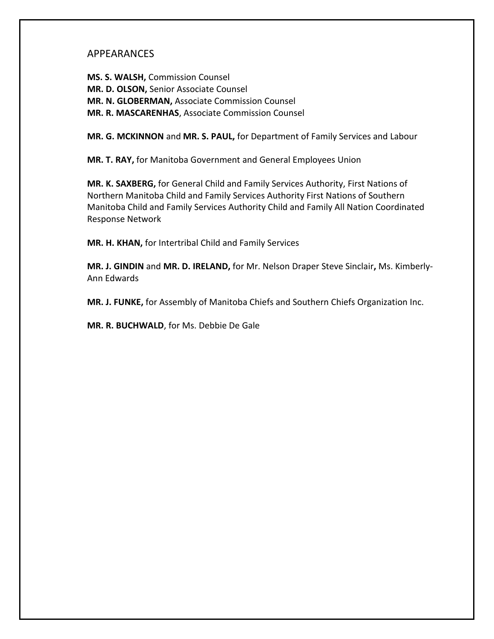## APPEARANCES

**MS. S. WALSH,** Commission Counsel **MR. D. OLSON,** Senior Associate Counsel **MR. N. GLOBERMAN,** Associate Commission Counsel **MR. R. MASCARENHAS**, Associate Commission Counsel

**MR. G. MCKINNON** and **MR. S. PAUL,** for Department of Family Services and Labour

**MR. T. RAY,** for Manitoba Government and General Employees Union

**MR. K. SAXBERG,** for General Child and Family Services Authority, First Nations of Northern Manitoba Child and Family Services Authority First Nations of Southern Manitoba Child and Family Services Authority Child and Family All Nation Coordinated Response Network

**MR. H. KHAN,** for Intertribal Child and Family Services

**MR. J. GINDIN** and **MR. D. IRELAND,** for Mr. Nelson Draper Steve Sinclair**,** Ms. Kimberly-Ann Edwards

**MR. J. FUNKE,** for Assembly of Manitoba Chiefs and Southern Chiefs Organization Inc.

**MR. R. BUCHWALD**, for Ms. Debbie De Gale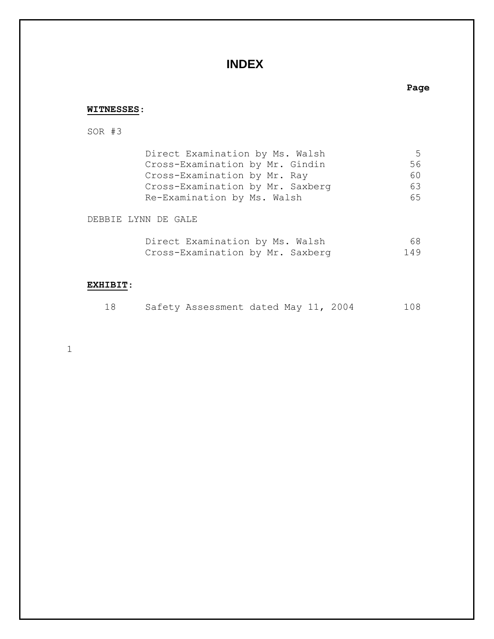# **INDEX**

## **Page**

### **WITNESSES**:

SOR #3

| Direct Examination by Ms. Walsh  | $\mathcal{L}$ |
|----------------------------------|---------------|
| Cross-Examination by Mr. Gindin  | 56.           |
| Cross-Examination by Mr. Ray     | 60            |
| Cross-Examination by Mr. Saxberg | 63            |
| Re-Examination by Ms. Walsh      | 65            |

DEBBIE LYNN DE GALE

| Direct Examination by Ms. Walsh  |  | 68  |
|----------------------------------|--|-----|
| Cross-Examination by Mr. Saxberg |  | 149 |

## **EXHIBIT**:

| 18 |  | Safety Assessment dated May 11, 2004 |  |  |  |  | 108 |
|----|--|--------------------------------------|--|--|--|--|-----|
|----|--|--------------------------------------|--|--|--|--|-----|

1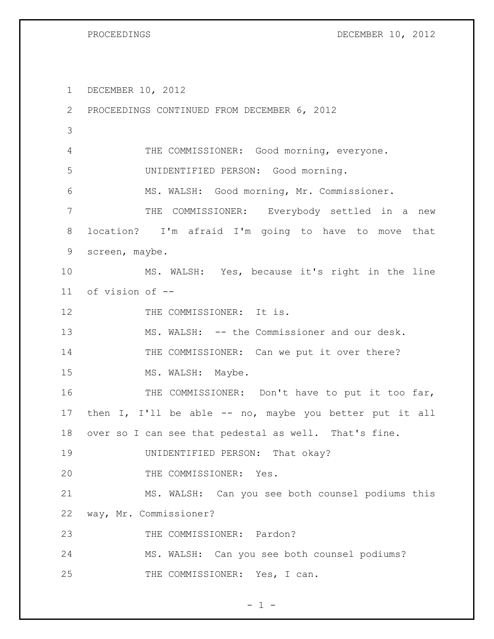PROCEEDINGS DECEMBER 10, 2012

DECEMBER 10, 2012

 PROCEEDINGS CONTINUED FROM DECEMBER 6, 2012 4 THE COMMISSIONER: Good morning, everyone. UNIDENTIFIED PERSON: Good morning. MS. WALSH: Good morning, Mr. Commissioner. THE COMMISSIONER: Everybody settled in a new location? I'm afraid I'm going to have to move that screen, maybe. MS. WALSH: Yes, because it's right in the line of vision of -- 12 THE COMMISSIONER: It is. MS. WALSH: -- the Commissioner and our desk. 14 THE COMMISSIONER: Can we put it over there? 15 MS. WALSH: Maybe. 16 THE COMMISSIONER: Don't have to put it too far, then I, I'll be able -- no, maybe you better put it all over so I can see that pedestal as well. That's fine. UNIDENTIFIED PERSON: That okay? 20 THE COMMISSIONER: Yes. MS. WALSH: Can you see both counsel podiums this way, Mr. Commissioner? 23 THE COMMISSIONER: Pardon? MS. WALSH: Can you see both counsel podiums? 25 THE COMMISSIONER: Yes, I can.

 $- 1 -$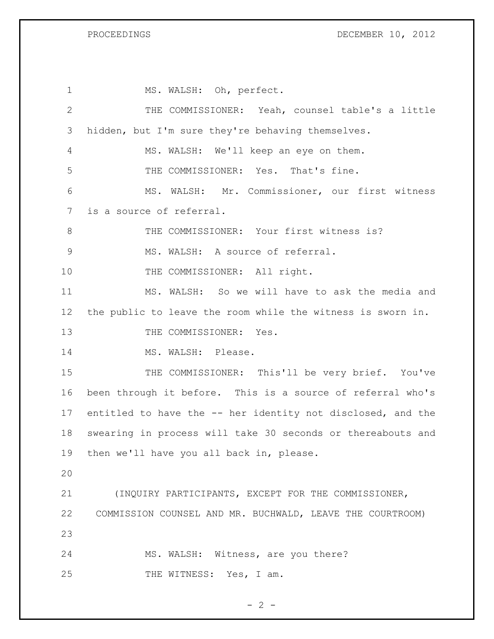PROCEEDINGS DECEMBER 10, 2012

| $\mathbf{1}$   | MS. WALSH: Oh, perfect.                                     |
|----------------|-------------------------------------------------------------|
| $\mathbf{2}$   | THE COMMISSIONER: Yeah, counsel table's a little            |
| 3              | hidden, but I'm sure they're behaving themselves.           |
| 4              | MS. WALSH: We'll keep an eye on them.                       |
| 5              | THE COMMISSIONER: Yes. That's fine.                         |
| 6              | MS. WALSH: Mr. Commissioner, our first witness              |
| $\overline{7}$ | is a source of referral.                                    |
| 8              | THE COMMISSIONER: Your first witness is?                    |
| $\mathcal{G}$  | MS. WALSH: A source of referral.                            |
| 10             | THE COMMISSIONER: All right.                                |
| 11             | MS. WALSH: So we will have to ask the media and             |
| 12             | the public to leave the room while the witness is sworn in. |
| 13             | THE COMMISSIONER: Yes.                                      |
| 14             | MS. WALSH: Please.                                          |
| 15             | THE COMMISSIONER: This'll be very brief. You've             |
| 16             | been through it before. This is a source of referral who's  |
| 17             | entitled to have the -- her identity not disclosed, and the |
| 18             | swearing in process will take 30 seconds or thereabouts and |
| 19             | then we'll have you all back in, please.                    |
| 20             |                                                             |
| 21             | (INQUIRY PARTICIPANTS, EXCEPT FOR THE COMMISSIONER,         |
| 22             | COMMISSION COUNSEL AND MR. BUCHWALD, LEAVE THE COURTROOM)   |
| 23             |                                                             |
| 24             | MS. WALSH: Witness, are you there?                          |
| 25             | THE WITNESS: Yes, I am.                                     |

$$
-2-
$$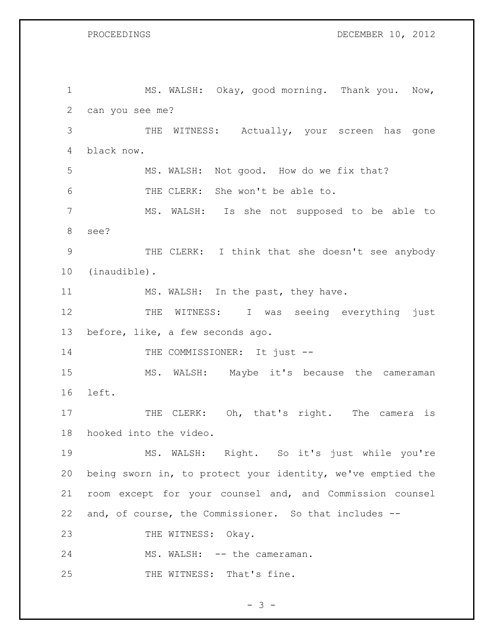PROCEEDINGS DECEMBER 10, 2012

 MS. WALSH: Okay, good morning. Thank you. Now, can you see me? THE WITNESS: Actually, your screen has gone black now. MS. WALSH: Not good. How do we fix that? THE CLERK: She won't be able to. MS. WALSH: Is she not supposed to be able to see? THE CLERK: I think that she doesn't see anybody (inaudible). 11 MS. WALSH: In the past, they have. 12 THE WITNESS: I was seeing everything just before, like, a few seconds ago. 14 THE COMMISSIONER: It just -- MS. WALSH: Maybe it's because the cameraman left. 17 THE CLERK: Oh, that's right. The camera is hooked into the video. MS. WALSH: Right. So it's just while you're being sworn in, to protect your identity, we've emptied the room except for your counsel and, and Commission counsel and, of course, the Commissioner. So that includes -- 23 THE WITNESS: Okay. 24 MS. WALSH: -- the cameraman. 25 THE WITNESS: That's fine.

- 3 -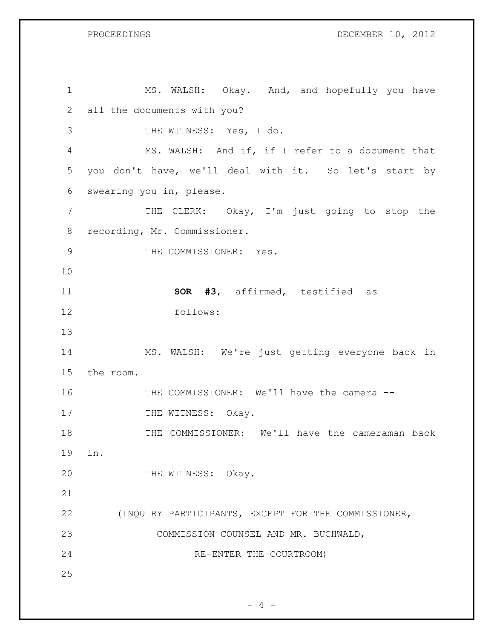MS. WALSH: Okay. And, and hopefully you have all the documents with you? THE WITNESS: Yes, I do. MS. WALSH: And if, if I refer to a document that you don't have, we'll deal with it. So let's start by swearing you in, please. 7 THE CLERK: Okay, I'm just going to stop the recording, Mr. Commissioner. 9 THE COMMISSIONER: Yes. **SOR #3**, affirmed, testified as follows: MS. WALSH: We're just getting everyone back in the room. THE COMMISSIONER: We'll have the camera -- 17 THE WITNESS: Okay. THE COMMISSIONER: We'll have the cameraman back in. 20 THE WITNESS: Okay. (INQUIRY PARTICIPANTS, EXCEPT FOR THE COMMISSIONER, COMMISSION COUNSEL AND MR. BUCHWALD, RE-ENTER THE COURTROOM)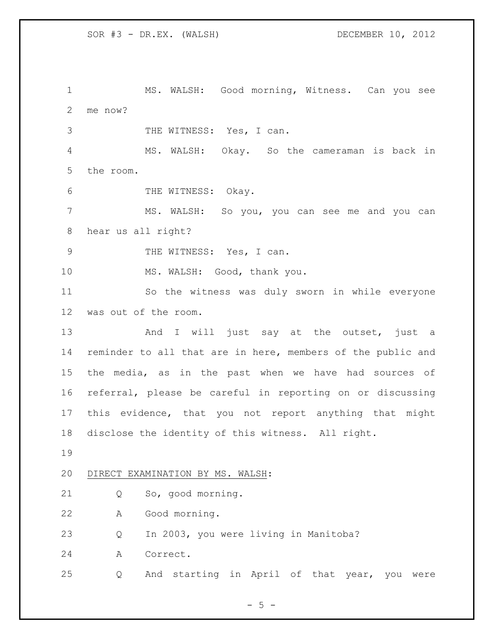MS. WALSH: Good morning, Witness. Can you see me now?

THE WITNESS: Yes, I can.

 MS. WALSH: Okay. So the cameraman is back in the room.

6 THE WITNESS: Okay.

 MS. WALSH: So you, you can see me and you can hear us all right?

9 THE WITNESS: Yes, I can.

10 MS. WALSH: Good, thank you.

 So the witness was duly sworn in while everyone was out of the room.

13 And I will just say at the outset, just a reminder to all that are in here, members of the public and the media, as in the past when we have had sources of referral, please be careful in reporting on or discussing this evidence, that you not report anything that might disclose the identity of this witness. All right.

### DIRECT EXAMINATION BY MS. WALSH:

Q So, good morning.

A Good morning.

Q In 2003, you were living in Manitoba?

A Correct.

Q And starting in April of that year, you were

 $- 5 -$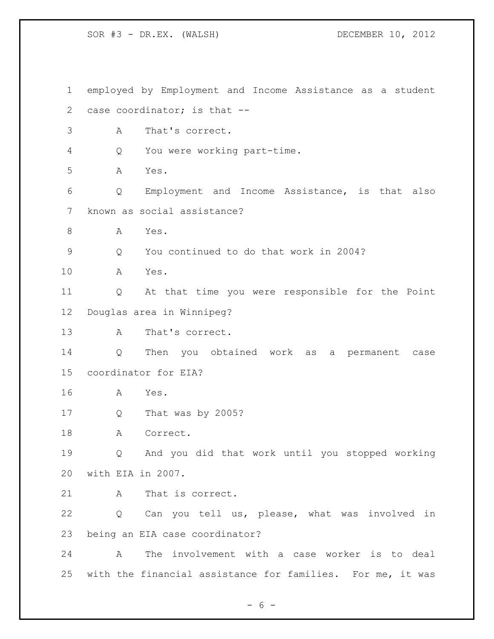employed by Employment and Income Assistance as a student case coordinator; is that -- A That's correct. Q You were working part-time. A Yes. Q Employment and Income Assistance, is that also known as social assistance? A Yes. Q You continued to do that work in 2004? A Yes. Q At that time you were responsible for the Point Douglas area in Winnipeg? A That's correct. Q Then you obtained work as a permanent case coordinator for EIA? A Yes. Q That was by 2005? 18 A Correct. Q And you did that work until you stopped working with EIA in 2007. A That is correct. Q Can you tell us, please, what was involved in being an EIA case coordinator? A The involvement with a case worker is to deal with the financial assistance for families. For me, it was

 $- 6 -$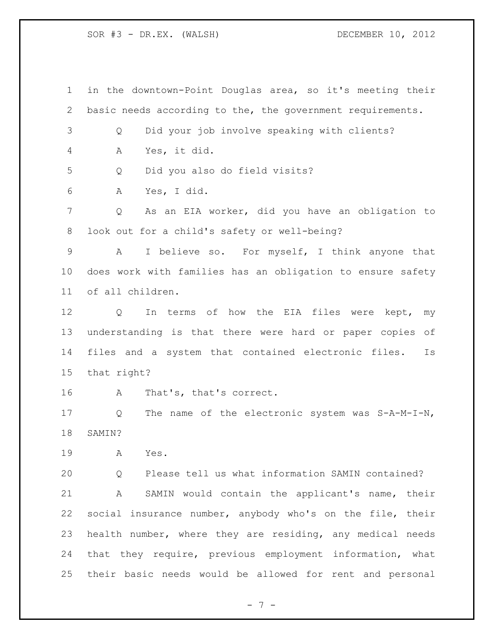in the downtown-Point Douglas area, so it's meeting their basic needs according to the, the government requirements. Q Did your job involve speaking with clients? A Yes, it did. Q Did you also do field visits? A Yes, I did. Q As an EIA worker, did you have an obligation to look out for a child's safety or well-being? A I believe so. For myself, I think anyone that does work with families has an obligation to ensure safety of all children. Q In terms of how the EIA files were kept, my understanding is that there were hard or paper copies of files and a system that contained electronic files. Is that right? A That's, that's correct. Q The name of the electronic system was S-A-M-I-N, SAMIN? A Yes. Q Please tell us what information SAMIN contained? A SAMIN would contain the applicant's name, their social insurance number, anybody who's on the file, their health number, where they are residing, any medical needs that they require, previous employment information, what their basic needs would be allowed for rent and personal

- 7 -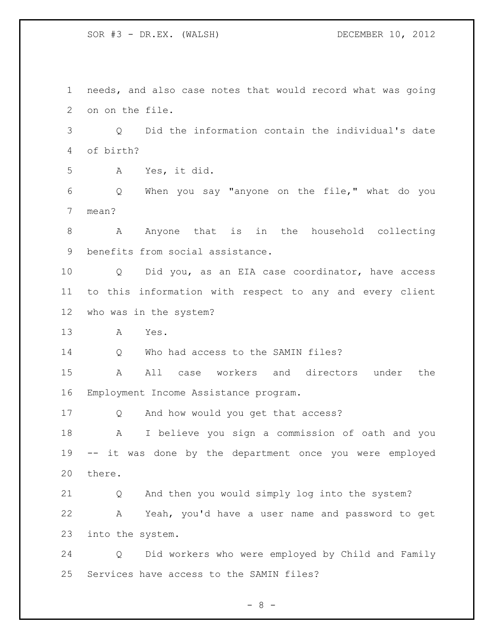needs, and also case notes that would record what was going on on the file.

 Q Did the information contain the individual's date of birth?

A Yes, it did.

 Q When you say "anyone on the file," what do you mean?

 A Anyone that is in the household collecting benefits from social assistance.

 Q Did you, as an EIA case coordinator, have access to this information with respect to any and every client who was in the system?

A Yes.

Q Who had access to the SAMIN files?

 A All case workers and directors under the Employment Income Assistance program.

Q And how would you get that access?

 A I believe you sign a commission of oath and you -- it was done by the department once you were employed there.

 Q And then you would simply log into the system? A Yeah, you'd have a user name and password to get into the system.

 Q Did workers who were employed by Child and Family Services have access to the SAMIN files?

- 8 -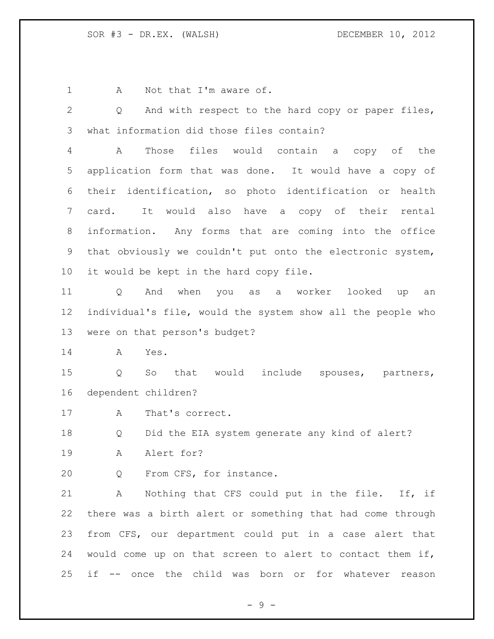1 A Not that I'm aware of.

 Q And with respect to the hard copy or paper files, what information did those files contain?

 A Those files would contain a copy of the application form that was done. It would have a copy of their identification, so photo identification or health card. It would also have a copy of their rental information. Any forms that are coming into the office that obviously we couldn't put onto the electronic system, it would be kept in the hard copy file.

 Q And when you as a worker looked up an individual's file, would the system show all the people who were on that person's budget?

A Yes.

 Q So that would include spouses, partners, dependent children?

17 A That's correct.

Q Did the EIA system generate any kind of alert?

A Alert for?

Q From CFS, for instance.

 A Nothing that CFS could put in the file. If, if there was a birth alert or something that had come through from CFS, our department could put in a case alert that would come up on that screen to alert to contact them if, if -- once the child was born or for whatever reason

 $-9 -$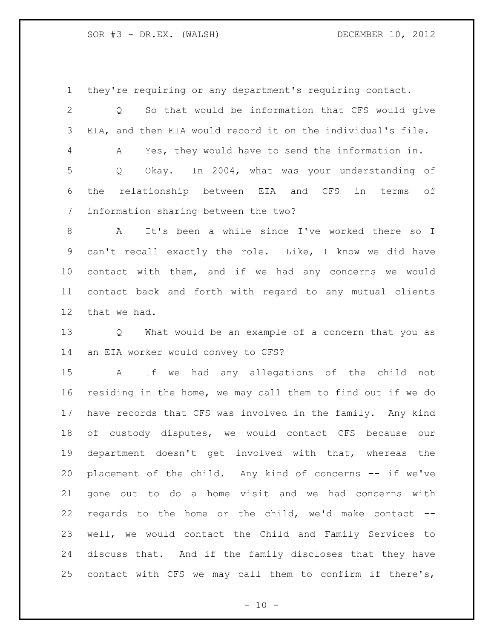they're requiring or any department's requiring contact.

 Q So that would be information that CFS would give EIA, and then EIA would record it on the individual's file. A Yes, they would have to send the information in. Q Okay. In 2004, what was your understanding of the relationship between EIA and CFS in terms of information sharing between the two?

 A It's been a while since I've worked there so I can't recall exactly the role. Like, I know we did have contact with them, and if we had any concerns we would contact back and forth with regard to any mutual clients that we had.

 Q What would be an example of a concern that you as an EIA worker would convey to CFS?

 A If we had any allegations of the child not residing in the home, we may call them to find out if we do have records that CFS was involved in the family. Any kind of custody disputes, we would contact CFS because our department doesn't get involved with that, whereas the placement of the child. Any kind of concerns -- if we've gone out to do a home visit and we had concerns with regards to the home or the child, we'd make contact -- well, we would contact the Child and Family Services to discuss that. And if the family discloses that they have 25 contact with CFS we may call them to confirm if there's,

 $- 10 -$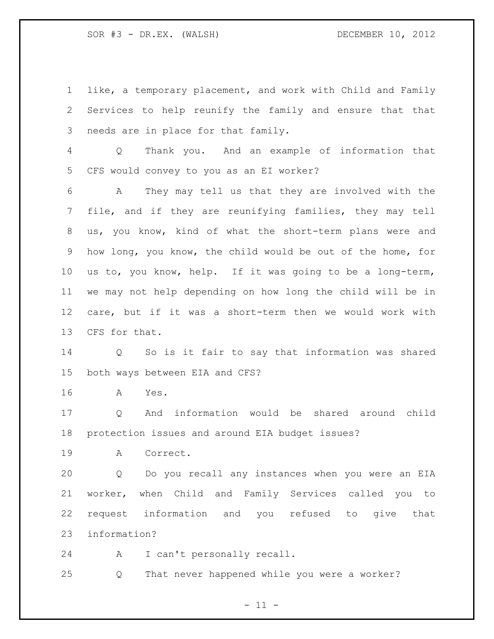like, a temporary placement, and work with Child and Family Services to help reunify the family and ensure that that needs are in place for that family.

 Q Thank you. And an example of information that CFS would convey to you as an EI worker?

 A They may tell us that they are involved with the file, and if they are reunifying families, they may tell us, you know, kind of what the short-term plans were and how long, you know, the child would be out of the home, for us to, you know, help. If it was going to be a long-term, we may not help depending on how long the child will be in care, but if it was a short-term then we would work with CFS for that.

 Q So is it fair to say that information was shared both ways between EIA and CFS?

A Yes.

 Q And information would be shared around child protection issues and around EIA budget issues?

A Correct.

 Q Do you recall any instances when you were an EIA worker, when Child and Family Services called you to request information and you refused to give that information?

A I can't personally recall.

Q That never happened while you were a worker?

 $- 11 -$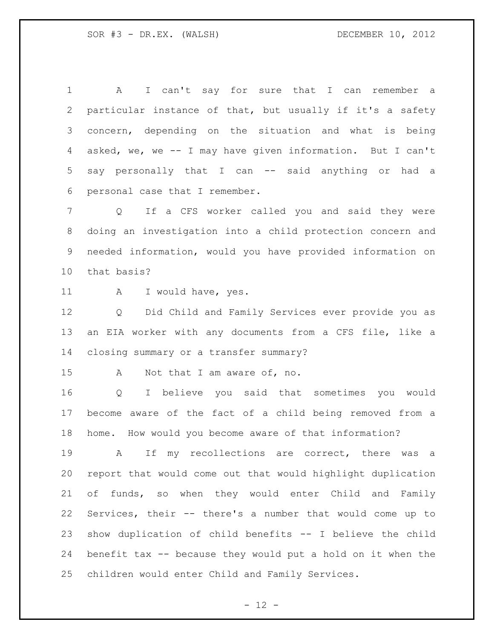A I can't say for sure that I can remember a particular instance of that, but usually if it's a safety concern, depending on the situation and what is being asked, we, we -- I may have given information. But I can't say personally that I can -- said anything or had a personal case that I remember.

 Q If a CFS worker called you and said they were doing an investigation into a child protection concern and needed information, would you have provided information on that basis?

11 A I would have, yes.

 Q Did Child and Family Services ever provide you as an EIA worker with any documents from a CFS file, like a closing summary or a transfer summary?

A Not that I am aware of, no.

 Q I believe you said that sometimes you would become aware of the fact of a child being removed from a home. How would you become aware of that information?

 A If my recollections are correct, there was a report that would come out that would highlight duplication of funds, so when they would enter Child and Family Services, their -- there's a number that would come up to show duplication of child benefits -- I believe the child benefit tax -- because they would put a hold on it when the children would enter Child and Family Services.

 $- 12 -$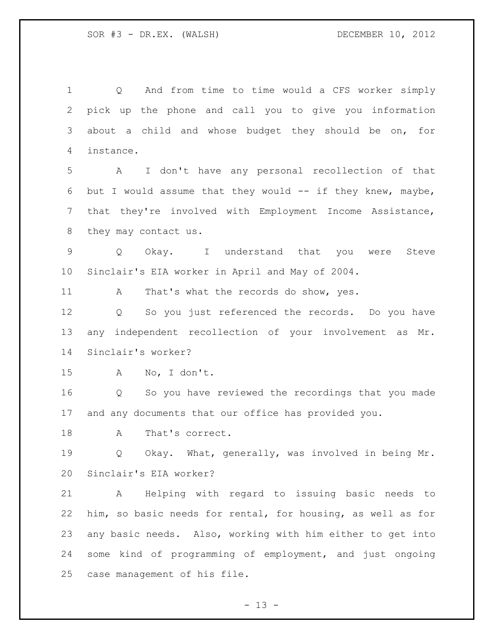Q And from time to time would a CFS worker simply pick up the phone and call you to give you information about a child and whose budget they should be on, for instance. A I don't have any personal recollection of that 6 but I would assume that they would  $-$  if they knew, maybe, that they're involved with Employment Income Assistance, they may contact us. Q Okay. I understand that you were Steve Sinclair's EIA worker in April and May of 2004. 11 A That's what the records do show, yes. Q So you just referenced the records. Do you have any independent recollection of your involvement as Mr. Sinclair's worker? A No, I don't. Q So you have reviewed the recordings that you made and any documents that our office has provided you. 18 A That's correct. Q Okay. What, generally, was involved in being Mr. Sinclair's EIA worker? A Helping with regard to issuing basic needs to him, so basic needs for rental, for housing, as well as for any basic needs. Also, working with him either to get into some kind of programming of employment, and just ongoing case management of his file.

 $- 13 -$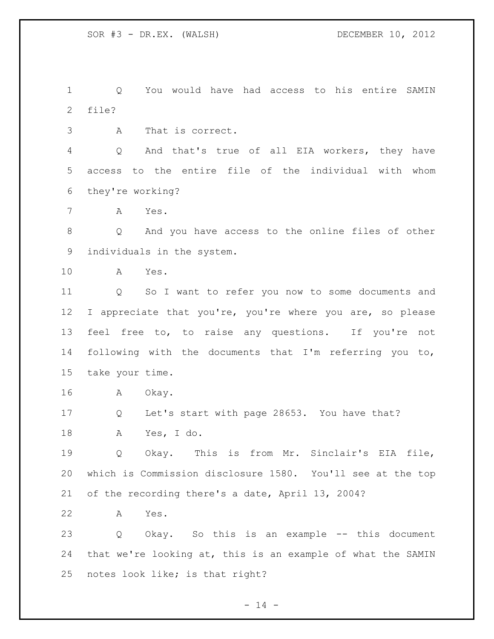Q You would have had access to his entire SAMIN file?

A That is correct.

 Q And that's true of all EIA workers, they have access to the entire file of the individual with whom they're working?

A Yes.

 Q And you have access to the online files of other individuals in the system.

A Yes.

 Q So I want to refer you now to some documents and 12 I appreciate that you're, you're where you are, so please feel free to, to raise any questions. If you're not following with the documents that I'm referring you to, take your time.

A Okay.

 Q Let's start with page 28653. You have that? A Yes, I do.

19 0 Okay. This is from Mr. Sinclair's EIA file, which is Commission disclosure 1580. You'll see at the top of the recording there's a date, April 13, 2004?

A Yes.

 Q Okay. So this is an example -- this document that we're looking at, this is an example of what the SAMIN notes look like; is that right?

 $- 14 -$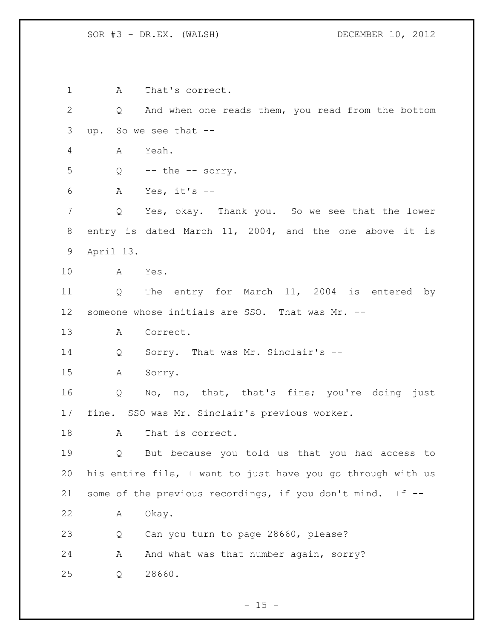A That's correct. Q And when one reads them, you read from the bottom up. So we see that -- A Yeah. Q -- the -- sorry. A Yes, it's -- Q Yes, okay. Thank you. So we see that the lower entry is dated March 11, 2004, and the one above it is April 13. A Yes. Q The entry for March 11, 2004 is entered by someone whose initials are SSO. That was Mr. -- A Correct. Q Sorry. That was Mr. Sinclair's -- A Sorry. 16 Q No, no, that, that's fine; you're doing just fine. SSO was Mr. Sinclair's previous worker. 18 A That is correct. Q But because you told us that you had access to his entire file, I want to just have you go through with us some of the previous recordings, if you don't mind. If -- A Okay. Q Can you turn to page 28660, please? 24 A And what was that number again, sorry? Q 28660.

 $- 15 -$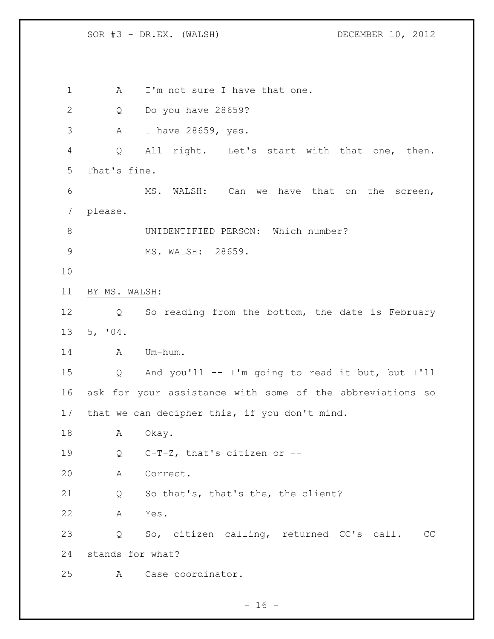1 A I'm not sure I have that one. Q Do you have 28659? A I have 28659, yes. Q All right. Let's start with that one, then. That's fine. MS. WALSH: Can we have that on the screen, please. 8 UNIDENTIFIED PERSON: Which number? 9 MS. WALSH: 28659. BY MS. WALSH: Q So reading from the bottom, the date is February 5, '04. 14 A Um-hum. Q And you'll -- I'm going to read it but, but I'll ask for your assistance with some of the abbreviations so that we can decipher this, if you don't mind. 18 A Okay. Q C-T-Z, that's citizen or -- A Correct. Q So that's, that's the, the client? A Yes. Q So, citizen calling, returned CC's call. CC stands for what? A Case coordinator.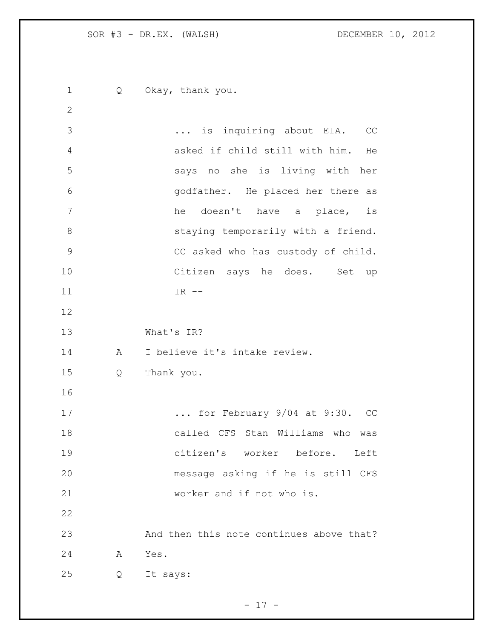1 Q Okay, thank you. ... is inquiring about EIA. CC asked if child still with him. He says no she is living with her godfather. He placed her there as he doesn't have a place, is 8 staying temporarily with a friend. CC asked who has custody of child. Citizen says he does. Set up 11 IR -- What's IR? A I believe it's intake review. Q Thank you. ... for February 9/04 at 9:30. CC called CFS Stan Williams who was citizen's worker before. Left message asking if he is still CFS worker and if not who is. And then this note continues above that? A Yes. Q It says: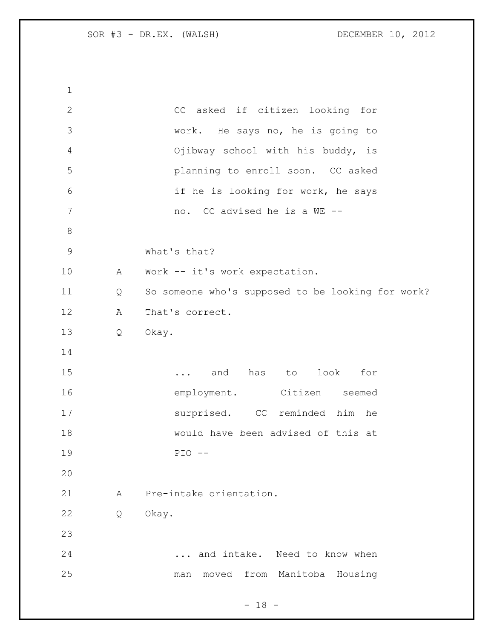| $\mathbf 1$     |   |                                                   |
|-----------------|---|---------------------------------------------------|
| $\mathbf{2}$    |   | CC asked if citizen looking for                   |
| 3               |   | work. He says no, he is going to                  |
| 4               |   | Ojibway school with his buddy, is                 |
| 5               |   | planning to enroll soon. CC asked                 |
| 6               |   | if he is looking for work, he says                |
| $7\phantom{.0}$ |   | no. CC advised he is a WE --                      |
| $8\,$           |   |                                                   |
| $\mathsf 9$     |   | What's that?                                      |
| 10              | A | Work -- it's work expectation.                    |
| 11              | Q | So someone who's supposed to be looking for work? |
| 12              | A | That's correct.                                   |
| 13              | Q | Okay.                                             |
| 14              |   |                                                   |
| 15              |   | and has to look for<br>$\cdots$                   |
| 16              |   | employment. Citizen seemed                        |
| 17              |   | surprised. CC reminded him he                     |
| 18              |   | would have been advised of this at                |
| 19              |   | $PIO$ --                                          |
| 20              |   |                                                   |
| 21              | A | Pre-intake orientation.                           |
| 22              | Q | Okay.                                             |
| 23              |   |                                                   |
| 24              |   | and intake. Need to know when                     |
| 25              |   | moved from Manitoba Housing<br>man                |

- 18 -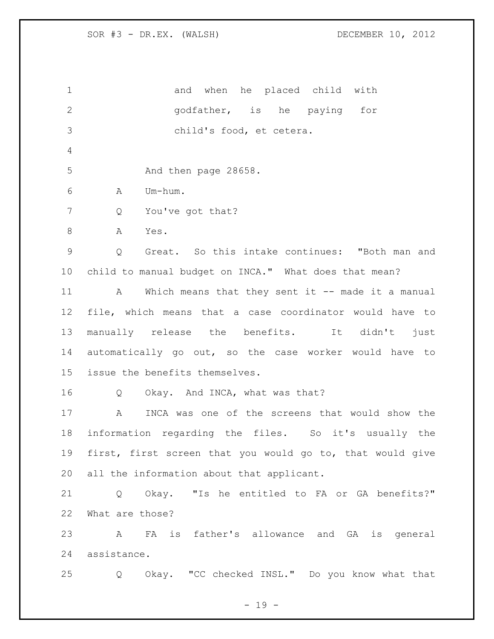1 and when he placed child with godfather, is he paying for child's food, et cetera. 5 And then page 28658. A Um-hum. Q You've got that? 8 A Yes. Q Great. So this intake continues: "Both man and child to manual budget on INCA." What does that mean? 11 A Which means that they sent it -- made it a manual file, which means that a case coordinator would have to manually release the benefits. It didn't just automatically go out, so the case worker would have to issue the benefits themselves. Q Okay. And INCA, what was that? A INCA was one of the screens that would show the information regarding the files. So it's usually the first, first screen that you would go to, that would give all the information about that applicant. Q Okay. "Is he entitled to FA or GA benefits?" What are those? A FA is father's allowance and GA is general assistance. Q Okay. "CC checked INSL." Do you know what that

 $- 19 -$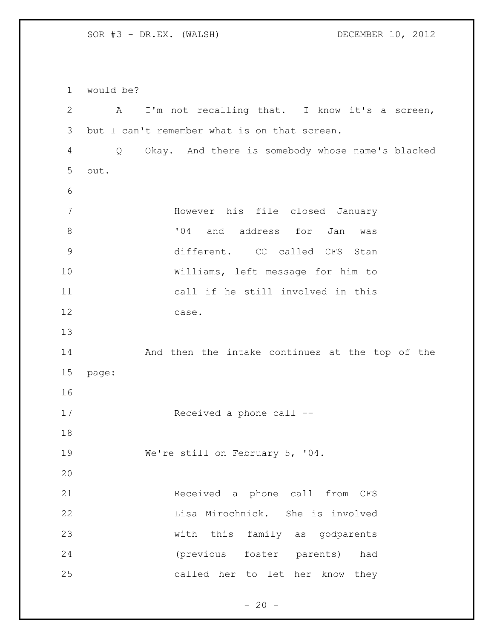would be? A I'm not recalling that. I know it's a screen, but I can't remember what is on that screen. Q Okay. And there is somebody whose name's blacked out. However his file closed January  $\overline{04}$  and address for Jan was different. CC called CFS Stan Williams, left message for him to call if he still involved in this case. And then the intake continues at the top of the page: Received a phone call -- We're still on February 5, '04. Received a phone call from CFS Lisa Mirochnick. She is involved with this family as godparents (previous foster parents) had called her to let her know they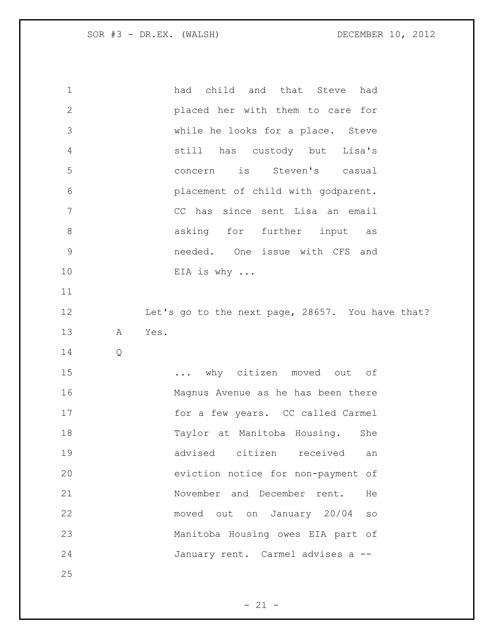| $\mathbf 1$    |   | had child and that Steve had                     |
|----------------|---|--------------------------------------------------|
| $\mathbf{2}$   |   | placed her with them to care for                 |
| 3              |   | while he looks for a place. Steve                |
| 4              |   | still has custody but Lisa's                     |
| 5              |   | concern is Steven's casual                       |
| 6              |   | placement of child with godparent.               |
| $\overline{7}$ |   | CC has since sent Lisa an email                  |
| $\,8\,$        |   | asking for further input as                      |
| $\mathcal{G}$  |   | needed. One issue with CFS and                   |
| 10             |   | EIA is why $\ldots$                              |
| 11             |   |                                                  |
| 12             |   | Let's go to the next page, 28657. You have that? |
| 13             | Α | Yes.                                             |
| 14             | Q |                                                  |
| 15             |   | why citizen moved out of                         |
| 16             |   | Magnus Avenue as he has been there               |
| 17             |   | for a few years. CC called Carmel                |
| 18             |   | Taylor at Manitoba Housing. She                  |
| 19             |   | advised citizen received<br>an                   |
| 20             |   | eviction notice for non-payment of               |
| 21             |   | November and December rent.<br>He                |
| 22             |   | moved out on January 20/04<br>SO                 |
| 23             |   | Manitoba Housing owes EIA part of                |
| 24             |   | January rent. Carmel advises a --                |
| 25             |   |                                                  |

- 21 -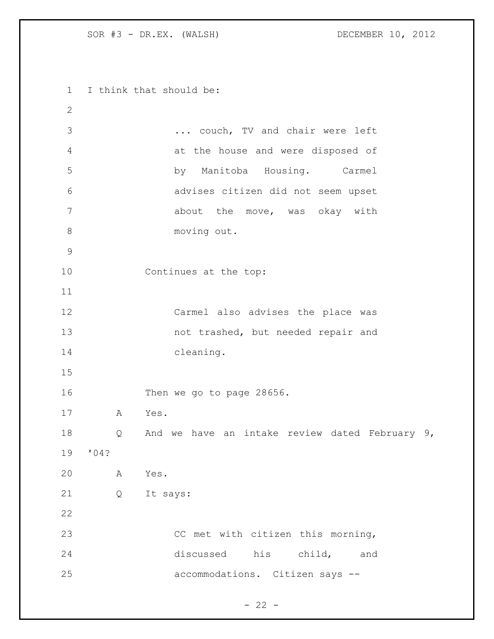I think that should be: ... couch, TV and chair were left at the house and were disposed of by Manitoba Housing. Carmel advises citizen did not seem upset 7 about the move, was okay with moving out. Continues at the top: Carmel also advises the place was not trashed, but needed repair and cleaning. Then we go to page 28656. A Yes. Q And we have an intake review dated February 9, '04? A Yes. Q It says: CC met with citizen this morning, discussed his child, and accommodations. Citizen says --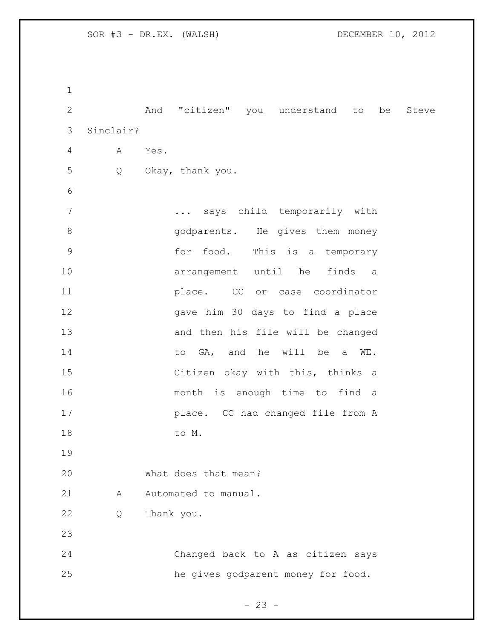And "citizen" you understand to be Steve Sinclair? A Yes. Q Okay, thank you. ... says child temporarily with 8 and 90 m and 90 m and 90 m and 90 m and 90 m and 91 m and 91 m and 91 m and 91 m and 91 m and 91 m and 91 m and 91 m and 91 m and 91 m and 91 m and 91 m and 91 m and 91 m and 91 m and 91 m and 91 m and 91 m and 91 m and for food. This is a temporary arrangement until he finds a place. CC or case coordinator gave him 30 days to find a place and then his file will be changed 14 to GA, and he will be a WE. Citizen okay with this, thinks a month is enough time to find a place. CC had changed file from A 18 to M. What does that mean? 21 A Automated to manual. Q Thank you. Changed back to A as citizen says he gives godparent money for food.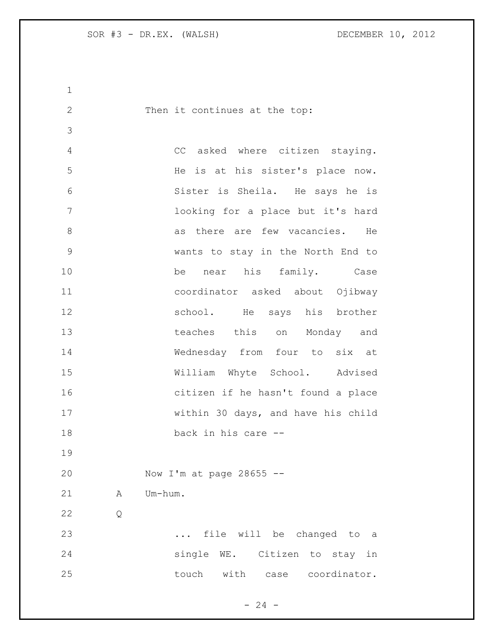2 Then it continues at the top: CC asked where citizen staying. He is at his sister's place now. Sister is Sheila. He says he is looking for a place but it's hard 8 as there are few vacancies. He wants to stay in the North End to be near his family. Case coordinator asked about Ojibway school. He says his brother 13 teaches this on Monday and Wednesday from four to six at William Whyte School. Advised citizen if he hasn't found a place within 30 days, and have his child back in his care -- Now I'm at page 28655 -- 21 A Um-hum. Q ... file will be changed to a single WE. Citizen to stay in 25 touch with case coordinator.

 $- 24 -$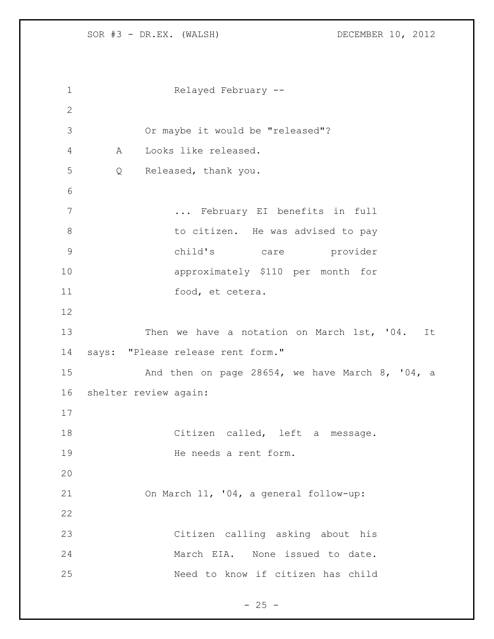```
1 Relayed February --
2
3 Or maybe it would be "released"?
4 A Looks like released.
5 Q Released, thank you.
6
7 ... February EI benefits in full 
8 to citizen. He was advised to pay
9 child's care provider 
10 approximately $110 per month for 
11 food, et cetera. 
12
13 Then we have a notation on March 1st, '04. It
14 says: "Please release rent form."
15 And then on page 28654, we have March 8, '04, a 
16 shelter review again: 
17
18 Citizen called, left a message. 
19 He needs a rent form.
20
21 On March 11, '04, a general follow-up:
22
23 Citizen calling asking about his 
24 March EIA. None issued to date. 
25 Need to know if citizen has child
```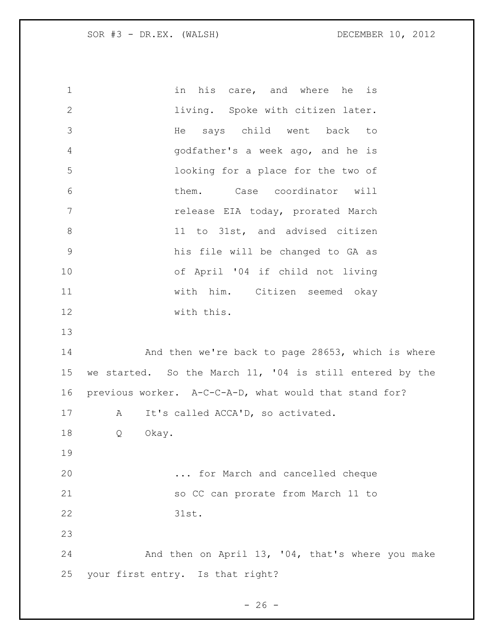1 in his care, and where he is living. Spoke with citizen later. He says child went back to godfather's a week ago, and he is looking for a place for the two of them. Case coordinator will release EIA today, prorated March 11 to 31st, and advised citizen his file will be changed to GA as of April '04 if child not living with him. Citizen seemed okay with this. 14 And then we're back to page 28653, which is where we started. So the March 11, '04 is still entered by the previous worker. A-C-C-A-D, what would that stand for? A It's called ACCA'D, so activated. Q Okay. ... for March and cancelled cheque so CC can prorate from March 11 to 31st. And then on April 13, '04, that's where you make your first entry. Is that right?

 $- 26 -$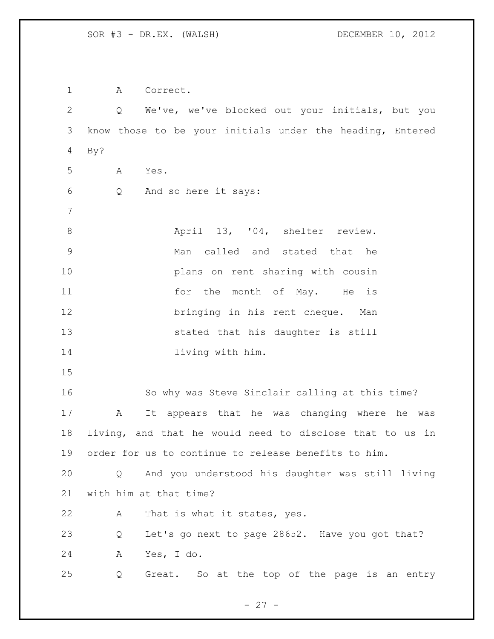A Correct. Q We've, we've blocked out your initials, but you know those to be your initials under the heading, Entered By? A Yes. Q And so here it says: 8 April 13, '04, shelter review. Man called and stated that he plans on rent sharing with cousin 11 for the month of May. He is bringing in his rent cheque. Man stated that his daughter is still **living with him.**  So why was Steve Sinclair calling at this time? A It appears that he was changing where he was living, and that he would need to disclose that to us in order for us to continue to release benefits to him. Q And you understood his daughter was still living with him at that time? A That is what it states, yes. Q Let's go next to page 28652. Have you got that? A Yes, I do. Q Great. So at the top of the page is an entry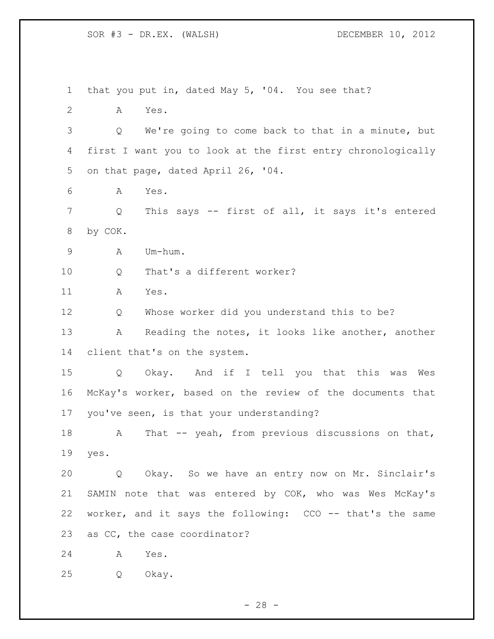that you put in, dated May 5, '04. You see that? A Yes. Q We're going to come back to that in a minute, but first I want you to look at the first entry chronologically on that page, dated April 26, '04. A Yes. Q This says -- first of all, it says it's entered by COK. A Um-hum. Q That's a different worker? A Yes. Q Whose worker did you understand this to be? 13 A Reading the notes, it looks like another, another client that's on the system. Q Okay. And if I tell you that this was Wes McKay's worker, based on the review of the documents that you've seen, is that your understanding? 18 A That -- yeah, from previous discussions on that, yes. Q Okay. So we have an entry now on Mr. Sinclair's SAMIN note that was entered by COK, who was Wes McKay's worker, and it says the following: CCO -- that's the same as CC, the case coordinator? A Yes. Q Okay.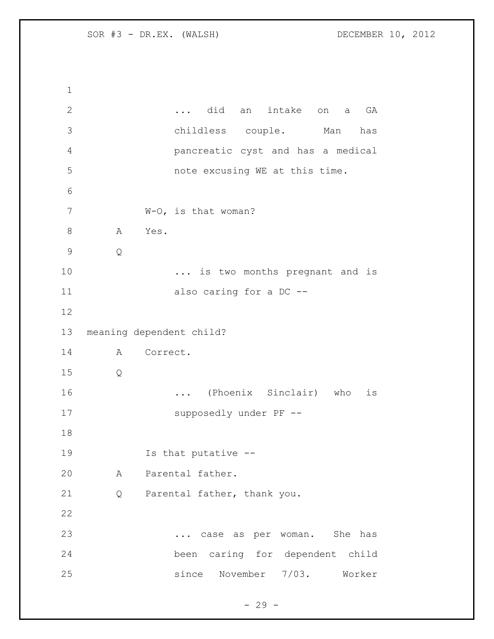... did an intake on a GA childless couple. Man has pancreatic cyst and has a medical note excusing WE at this time. W-O, is that woman? 8 A Yes. Q 10 ... is two months pregnant and is 11 also caring for a DC -- meaning dependent child? A Correct. Q ... (Phoenix Sinclair) who is supposedly under PF -- Is that putative -- A Parental father. Q Parental father, thank you. ... case as per woman. She has been caring for dependent child since November 7/03. Worker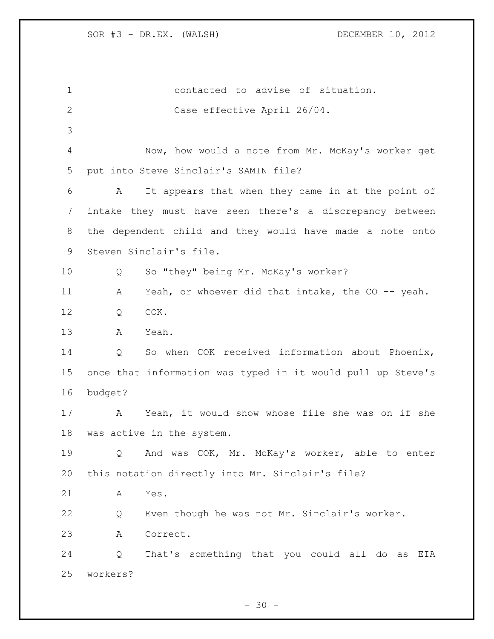| $\mathbf 1$    | contacted to advise of situation.                           |
|----------------|-------------------------------------------------------------|
| $\mathbf{2}$   | Case effective April 26/04.                                 |
| 3              |                                                             |
| $\overline{4}$ | Now, how would a note from Mr. McKay's worker get           |
| 5              | put into Steve Sinclair's SAMIN file?                       |
| 6              | It appears that when they came in at the point of<br>A      |
| 7              | intake they must have seen there's a discrepancy between    |
| 8              | the dependent child and they would have made a note onto    |
| 9              | Steven Sinclair's file.                                     |
| 10             | So "they" being Mr. McKay's worker?<br>Q                    |
| 11             | Yeah, or whoever did that intake, the CO -- yeah.<br>Α      |
| 12             | COK.<br>Q                                                   |
| 13             | Yeah.<br>A                                                  |
| 14             | So when COK received information about Phoenix,<br>Q        |
| 15             | once that information was typed in it would pull up Steve's |
| 16             | budget?                                                     |
| 17             | Yeah, it would show whose file she was on if she<br>A       |
| 18             | was active in the system.                                   |
| 19             | And was COK, Mr. McKay's worker, able to enter<br>Q         |
| 20             | this notation directly into Mr. Sinclair's file?            |
| 21             | Yes.<br>Α                                                   |
| 22             | Even though he was not Mr. Sinclair's worker.<br>Q          |
| 23             | Correct.<br>Α                                               |
| 24             | That's something that you could all do as<br>Q<br>EIA       |
| 25             | workers?                                                    |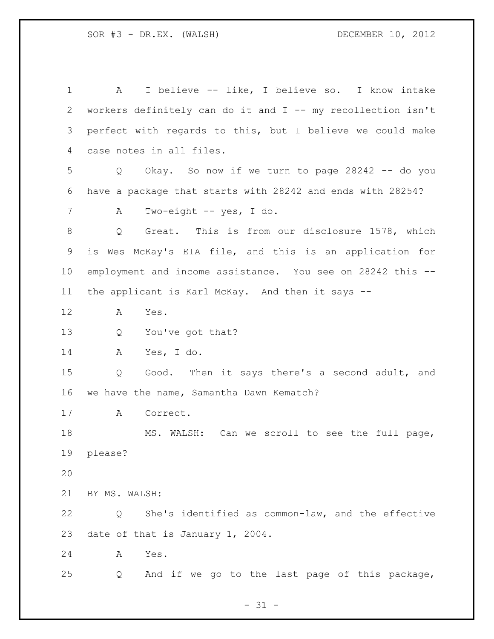A I believe -- like, I believe so. I know intake workers definitely can do it and I -- my recollection isn't perfect with regards to this, but I believe we could make case notes in all files. Q Okay. So now if we turn to page 28242 -- do you have a package that starts with 28242 and ends with 28254? A Two-eight -- yes, I do. Q Great. This is from our disclosure 1578, which is Wes McKay's EIA file, and this is an application for employment and income assistance. You see on 28242 this -- the applicant is Karl McKay. And then it says -- A Yes. Q You've got that? A Yes, I do. Q Good. Then it says there's a second adult, and we have the name, Samantha Dawn Kematch? A Correct. MS. WALSH: Can we scroll to see the full page, please? BY MS. WALSH: Q She's identified as common-law, and the effective date of that is January 1, 2004. A Yes. Q And if we go to the last page of this package,

 $- 31 -$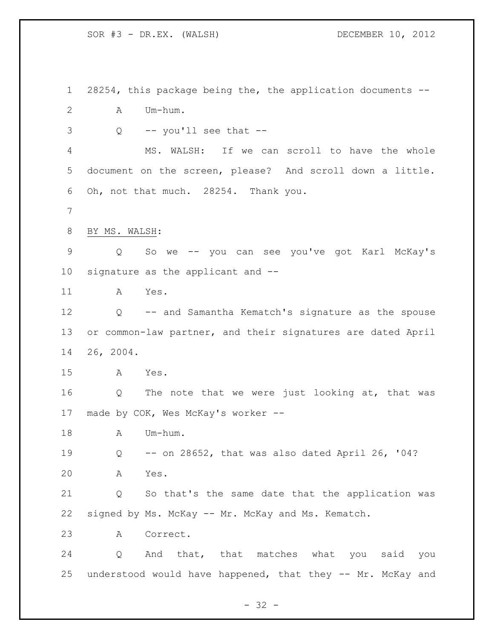28254, this package being the, the application documents -- A Um-hum.  $3 \qquad Q \qquad -- \text{ you'll see that --}$  MS. WALSH: If we can scroll to have the whole document on the screen, please? And scroll down a little. Oh, not that much. 28254. Thank you. BY MS. WALSH: Q So we -- you can see you've got Karl McKay's signature as the applicant and -- A Yes. Q -- and Samantha Kematch's signature as the spouse or common-law partner, and their signatures are dated April 26, 2004. A Yes. Q The note that we were just looking at, that was made by COK, Wes McKay's worker -- 18 A Um-hum. Q -- on 28652, that was also dated April 26, '04? A Yes. Q So that's the same date that the application was signed by Ms. McKay -- Mr. McKay and Ms. Kematch. A Correct. Q And that, that matches what you said you understood would have happened, that they -- Mr. McKay and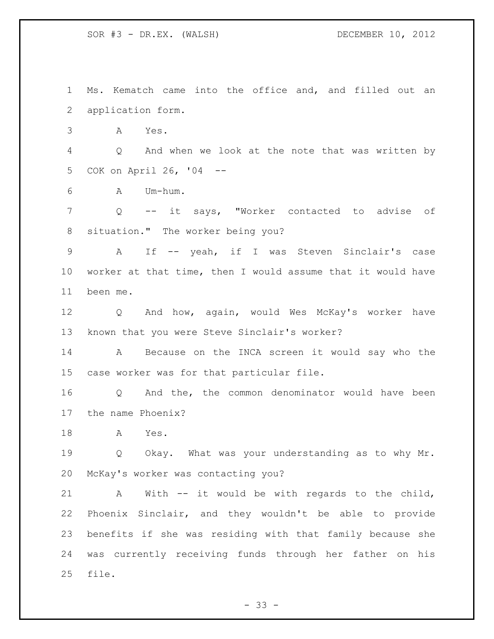Ms. Kematch came into the office and, and filled out an application form.

A Yes.

 Q And when we look at the note that was written by COK on April 26, '04 --

A Um-hum.

 Q -- it says, "Worker contacted to advise of situation." The worker being you?

 A If -- yeah, if I was Steven Sinclair's case worker at that time, then I would assume that it would have been me.

 Q And how, again, would Wes McKay's worker have known that you were Steve Sinclair's worker?

 A Because on the INCA screen it would say who the case worker was for that particular file.

 Q And the, the common denominator would have been the name Phoenix?

A Yes.

 Q Okay. What was your understanding as to why Mr. McKay's worker was contacting you?

 A With -- it would be with regards to the child, Phoenix Sinclair, and they wouldn't be able to provide benefits if she was residing with that family because she was currently receiving funds through her father on his file.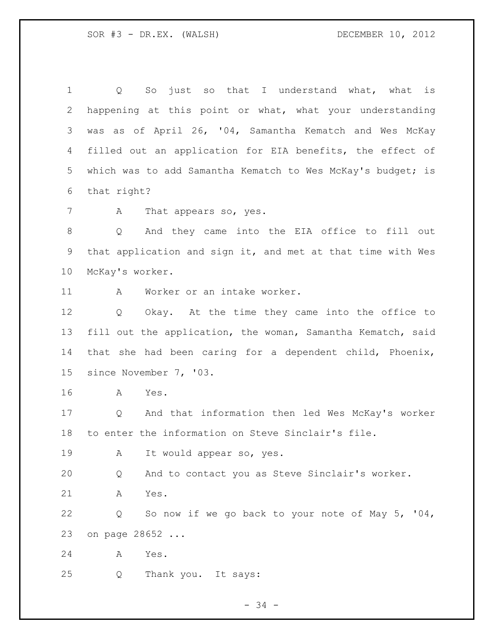1 Q So just so that I understand what, what is happening at this point or what, what your understanding was as of April 26, '04, Samantha Kematch and Wes McKay filled out an application for EIA benefits, the effect of 5 which was to add Samantha Kematch to Wes McKay's budget; is that right? 7 A That appears so, yes. Q And they came into the EIA office to fill out that application and sign it, and met at that time with Wes McKay's worker. A Worker or an intake worker. Q Okay. At the time they came into the office to fill out the application, the woman, Samantha Kematch, said that she had been caring for a dependent child, Phoenix, since November 7, '03. A Yes. Q And that information then led Wes McKay's worker to enter the information on Steve Sinclair's file. A It would appear so, yes. Q And to contact you as Steve Sinclair's worker. A Yes. Q So now if we go back to your note of May 5, '04, on page 28652 ... A Yes. Q Thank you. It says: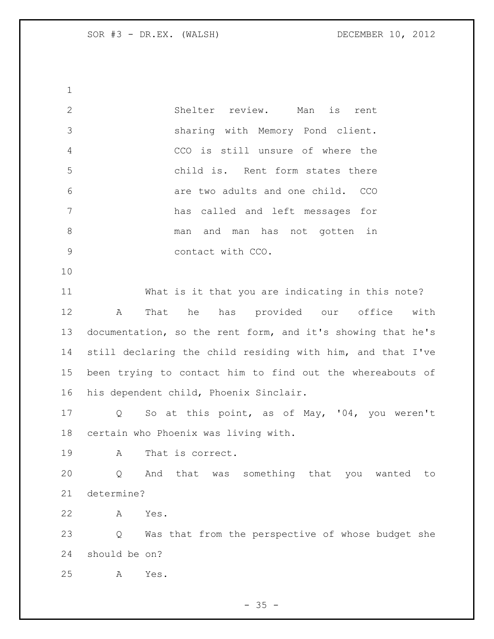Shelter review. Man is rent sharing with Memory Pond client. CCO is still unsure of where the child is. Rent form states there are two adults and one child. CCO has called and left messages for man and man has not gotten in contact with CCO. What is it that you are indicating in this note? A That he has provided our office with documentation, so the rent form, and it's showing that he's still declaring the child residing with him, and that I've been trying to contact him to find out the whereabouts of his dependent child, Phoenix Sinclair. Q So at this point, as of May, '04, you weren't certain who Phoenix was living with. A That is correct. Q And that was something that you wanted to determine? A Yes. Q Was that from the perspective of whose budget she should be on? A Yes.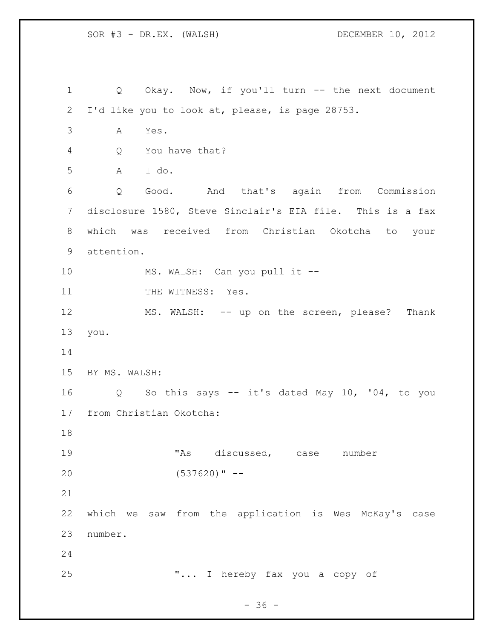1 Q Okay. Now, if you'll turn -- the next document I'd like you to look at, please, is page 28753. A Yes. Q You have that? A I do. Q Good. And that's again from Commission disclosure 1580, Steve Sinclair's EIA file. This is a fax which was received from Christian Okotcha to your attention. 10 MS. WALSH: Can you pull it --11 THE WITNESS: Yes. 12 MS. WALSH: -- up on the screen, please? Thank you. BY MS. WALSH: Q So this says -- it's dated May 10, '04, to you from Christian Okotcha: 19 TAS discussed, case number (537620)" -- which we saw from the application is Wes McKay's case number. "... I hereby fax you a copy of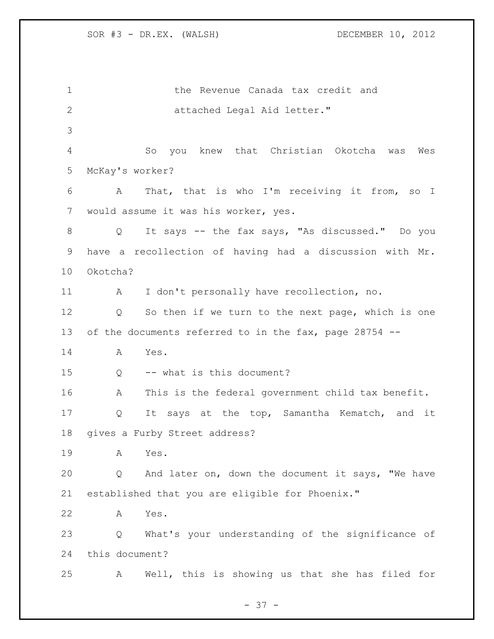the Revenue Canada tax credit and 2 attached Legal Aid letter." So you knew that Christian Okotcha was Wes McKay's worker? A That, that is who I'm receiving it from, so I would assume it was his worker, yes. Q It says -- the fax says, "As discussed." Do you have a recollection of having had a discussion with Mr. Okotcha? A I don't personally have recollection, no. Q So then if we turn to the next page, which is one of the documents referred to in the fax, page 28754 -- A Yes. Q -- what is this document? A This is the federal government child tax benefit. Q It says at the top, Samantha Kematch, and it gives a Furby Street address? A Yes. Q And later on, down the document it says, "We have established that you are eligible for Phoenix." A Yes. Q What's your understanding of the significance of this document? A Well, this is showing us that she has filed for

 $- 37 -$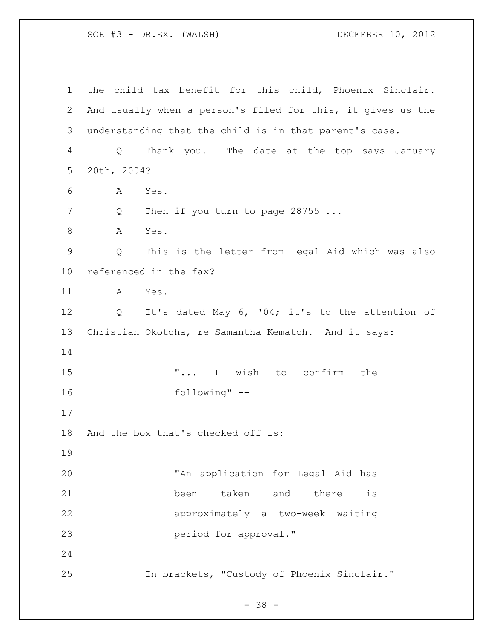the child tax benefit for this child, Phoenix Sinclair. And usually when a person's filed for this, it gives us the understanding that the child is in that parent's case. Q Thank you. The date at the top says January 20th, 2004? A Yes. 7 Q Then if you turn to page 28755 ... 8 A Yes. Q This is the letter from Legal Aid which was also referenced in the fax? A Yes. Q It's dated May 6, '04; it's to the attention of Christian Okotcha, re Samantha Kematch. And it says: 15 T... I wish to confirm the following" -- And the box that's checked off is: "An application for Legal Aid has been taken and there is approximately a two-week waiting period for approval." In brackets, "Custody of Phoenix Sinclair."

- 38 -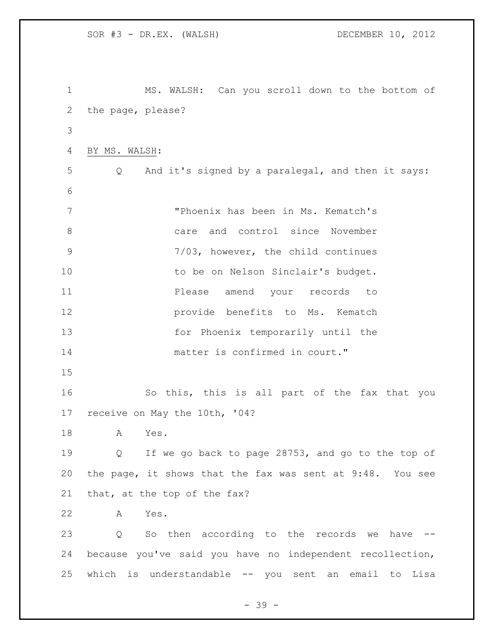SOR #3 - DR.EX. (WALSH) DECEMBER 10, 2012 MS. WALSH: Can you scroll down to the bottom of the page, please? BY MS. WALSH: Q And it's signed by a paralegal, and then it says: "Phoenix has been in Ms. Kematch's care and control since November 7/03, however, the child continues 10 to be on Nelson Sinclair's budget. **Please** amend your records to **provide benefits to Ms. Kematch**  for Phoenix temporarily until the 14 matter is confirmed in court." So this, this is all part of the fax that you receive on May the 10th, '04? A Yes. Q If we go back to page 28753, and go to the top of the page, it shows that the fax was sent at 9:48. You see that, at the top of the fax? A Yes. Q So then according to the records we have -- because you've said you have no independent recollection, which is understandable -- you sent an email to Lisa

- 39 -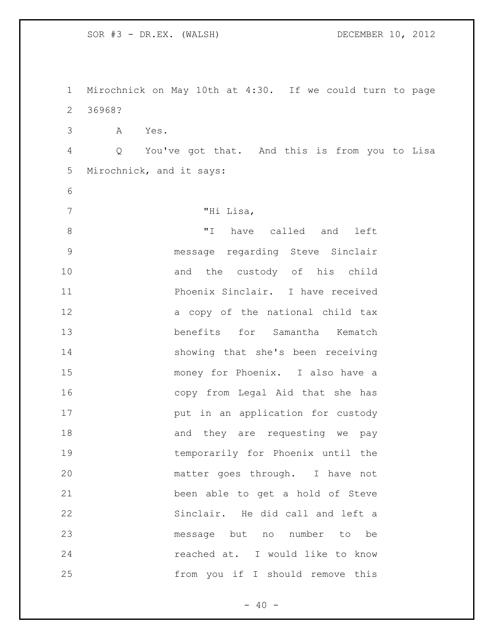Mirochnick on May 10th at 4:30. If we could turn to page 36968? A Yes. Q You've got that. And this is from you to Lisa Mirochnick, and it says: "Hi Lisa, 8 TI have called and left message regarding Steve Sinclair 10 and the custody of his child Phoenix Sinclair. I have received a copy of the national child tax benefits for Samantha Kematch showing that she's been receiving money for Phoenix. I also have a copy from Legal Aid that she has **put in an application for custody** 18 and they are requesting we pay temporarily for Phoenix until the matter goes through. I have not been able to get a hold of Steve Sinclair. He did call and left a message but no number to be reached at. I would like to know from you if I should remove this

 $- 40 -$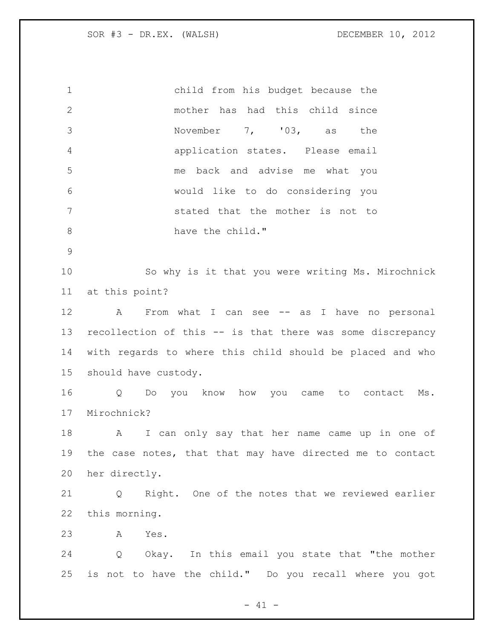child from his budget because the mother has had this child since November 7, '03, as the application states. Please email me back and advise me what you would like to do considering you stated that the mother is not to 8 have the child." So why is it that you were writing Ms. Mirochnick

at this point?

 A From what I can see -- as I have no personal recollection of this -- is that there was some discrepancy with regards to where this child should be placed and who should have custody.

 Q Do you know how you came to contact Ms. Mirochnick?

 A I can only say that her name came up in one of the case notes, that that may have directed me to contact her directly.

 Q Right. One of the notes that we reviewed earlier this morning.

A Yes.

 Q Okay. In this email you state that "the mother is not to have the child." Do you recall where you got

 $- 41 -$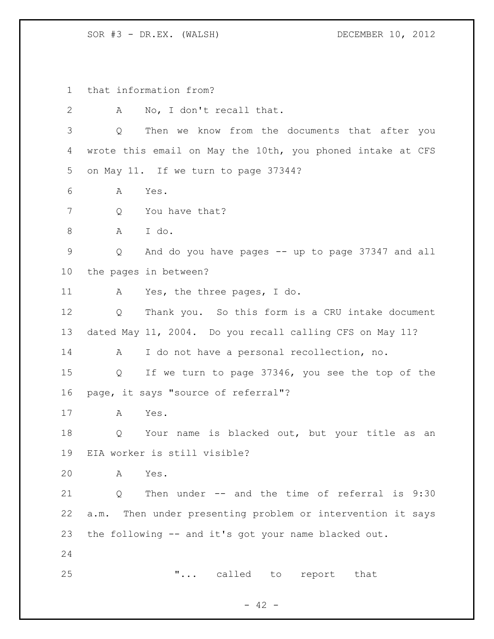that information from? A No, I don't recall that. Q Then we know from the documents that after you wrote this email on May the 10th, you phoned intake at CFS on May 11. If we turn to page 37344? A Yes. 7 Q You have that? A I do. Q And do you have pages -- up to page 37347 and all the pages in between? A Yes, the three pages, I do. Q Thank you. So this form is a CRU intake document dated May 11, 2004. Do you recall calling CFS on May 11? A I do not have a personal recollection, no. Q If we turn to page 37346, you see the top of the page, it says "source of referral"? A Yes. Q Your name is blacked out, but your title as an EIA worker is still visible? A Yes. Q Then under -- and the time of referral is 9:30 a.m. Then under presenting problem or intervention it says the following -- and it's got your name blacked out. **"...** called to report that

 $- 42 -$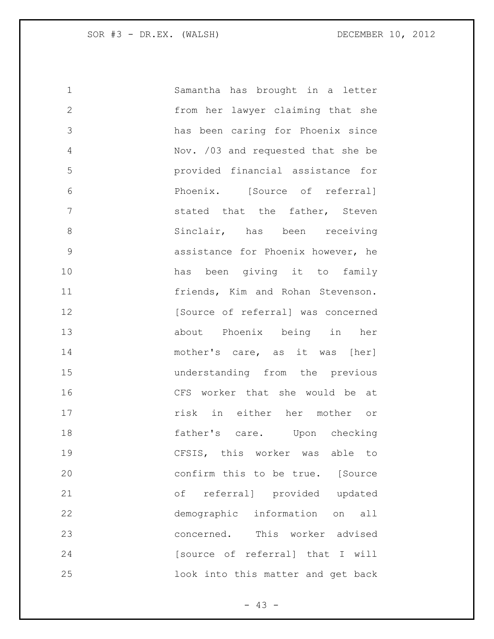| 1             | Samantha has brought in a letter   |
|---------------|------------------------------------|
| $\mathbf{2}$  | from her lawyer claiming that she  |
| 3             | has been caring for Phoenix since  |
| 4             | Nov. /03 and requested that she be |
| 5             | provided financial assistance for  |
| 6             | Phoenix. [Source of referral]      |
| 7             | stated that the father, Steven     |
| 8             | Sinclair, has been receiving       |
| $\mathcal{G}$ | assistance for Phoenix however, he |
| 10            | has been giving it to family       |
| 11            | friends, Kim and Rohan Stevenson.  |
| 12            | [Source of referral] was concerned |
| 13            | about Phoenix being in her         |
| 14            | mother's care, as it was [her]     |
| 15            | understanding from the previous    |
| 16            | CFS worker that she would be at    |
| 17            | risk in either her mother or       |
| 18            | father's care. Upon checking       |
| 19            | CFSIS, this worker was able to     |
| 20            | confirm this to be true. [Source   |
| 21            | of referral] provided updated      |
| 22            | demographic information on<br>all  |
| 23            | concerned. This worker advised     |
| 24            | [source of referral] that I will   |
| 25            | look into this matter and get back |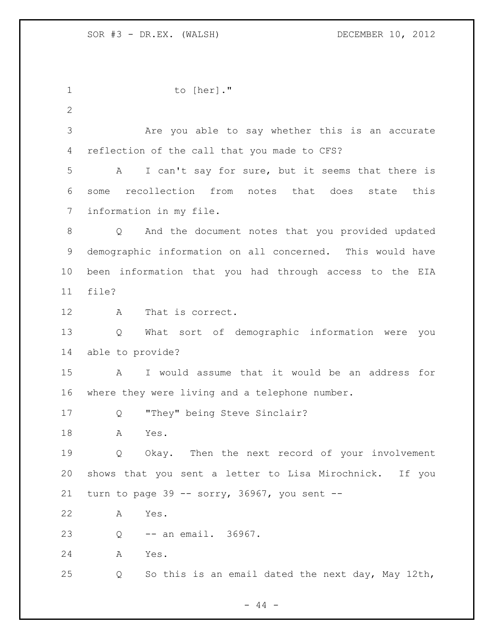1 to [her]." Are you able to say whether this is an accurate reflection of the call that you made to CFS? A I can't say for sure, but it seems that there is some recollection from notes that does state this information in my file. Q And the document notes that you provided updated demographic information on all concerned. This would have been information that you had through access to the EIA file? A That is correct. Q What sort of demographic information were you able to provide? A I would assume that it would be an address for where they were living and a telephone number. Q "They" being Steve Sinclair? A Yes. Q Okay. Then the next record of your involvement shows that you sent a letter to Lisa Mirochnick. If you 21 turn to page -- sorry,  $36967$ , you sent -- A Yes. Q -- an email. 36967. A Yes. Q So this is an email dated the next day, May 12th,

 $-44 -$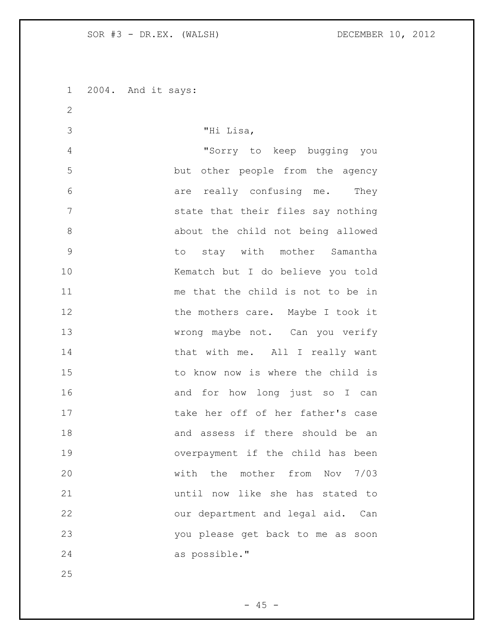2004. And it says: 

 "Hi Lisa, "Sorry to keep bugging you but other people from the agency are really confusing me. They state that their files say nothing about the child not being allowed to stay with mother Samantha Kematch but I do believe you told me that the child is not to be in 12 the mothers care. Maybe I took it wrong maybe not. Can you verify 14 that with me. All I really want 15 to know now is where the child is 16 and for how long just so I can take her off of her father's case and assess if there should be an overpayment if the child has been with the mother from Nov 7/03 until now like she has stated to our department and legal aid. Can you please get back to me as soon as possible."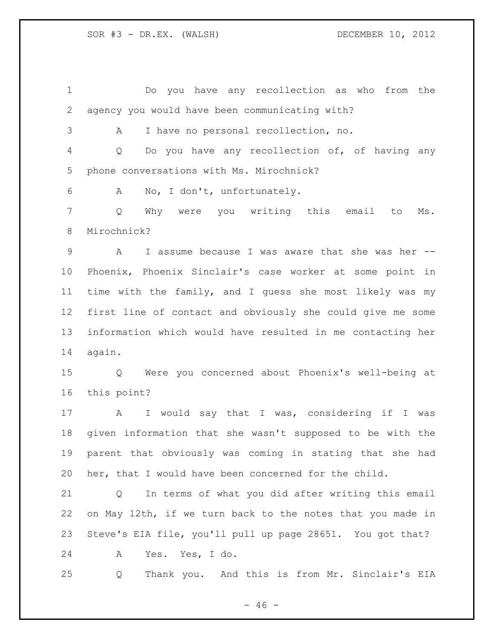Do you have any recollection as who from the agency you would have been communicating with? A I have no personal recollection, no. Q Do you have any recollection of, of having any phone conversations with Ms. Mirochnick? A No, I don't, unfortunately. Q Why were you writing this email to Ms. Mirochnick? A I assume because I was aware that she was her -- Phoenix, Phoenix Sinclair's case worker at some point in time with the family, and I guess she most likely was my first line of contact and obviously she could give me some information which would have resulted in me contacting her again. Q Were you concerned about Phoenix's well-being at this point? A I would say that I was, considering if I was given information that she wasn't supposed to be with the parent that obviously was coming in stating that she had her, that I would have been concerned for the child. Q In terms of what you did after writing this email on May 12th, if we turn back to the notes that you made in Steve's EIA file, you'll pull up page 28651. You got that? A Yes. Yes, I do. Q Thank you. And this is from Mr. Sinclair's EIA

 $- 46 -$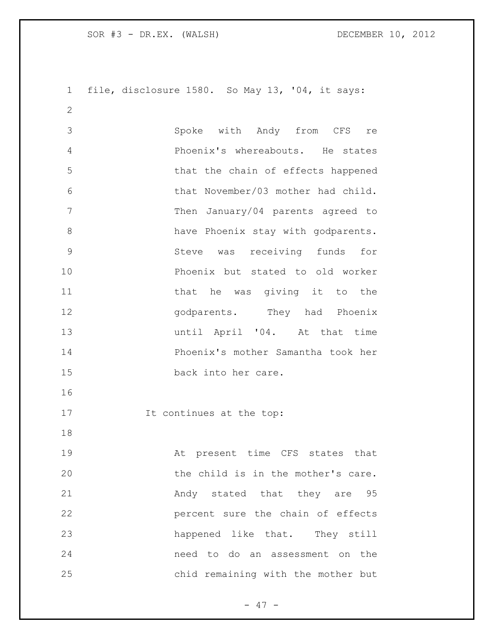file, disclosure 1580. So May 13, '04, it says: Spoke with Andy from CFS re Phoenix's whereabouts. He states that the chain of effects happened that November/03 mother had child. 7 Then January/04 parents agreed to 8 have Phoenix stay with godparents. Steve was receiving funds for Phoenix but stated to old worker 11 that he was giving it to the **godparents**. They had Phoenix until April '04. At that time Phoenix's mother Samantha took her back into her care. 17 It continues at the top: At present time CFS states that the child is in the mother's care. 21 Andy stated that they are 95 percent sure the chain of effects happened like that. They still need to do an assessment on the chid remaining with the mother but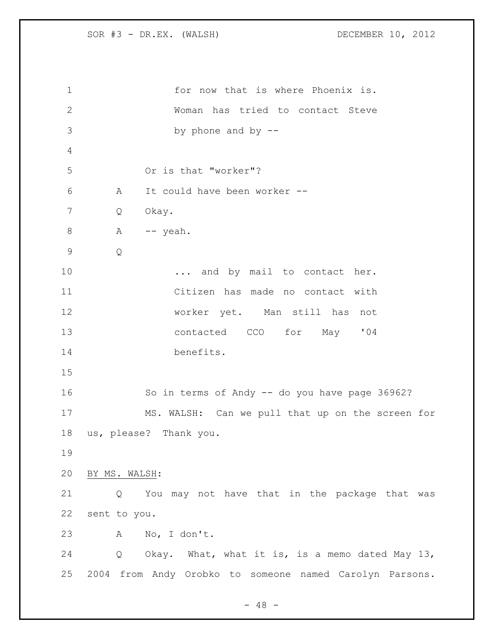| $\mathbf 1$  | for now that is where Phoenix is.                       |  |
|--------------|---------------------------------------------------------|--|
| $\mathbf{2}$ | Woman has tried to contact Steve                        |  |
| 3            | by phone and by $-$ -                                   |  |
| 4            |                                                         |  |
| 5            | Or is that "worker"?                                    |  |
| 6            | It could have been worker --<br>A                       |  |
| 7            | Okay.<br>Q                                              |  |
| $\,8\,$      | A -- yeah.                                              |  |
| $\mathsf 9$  | Q                                                       |  |
| 10           | and by mail to contact her.                             |  |
| 11           | Citizen has made no contact with                        |  |
| 12           | worker yet. Man still has not                           |  |
| 13           | contacted CCO for May '04                               |  |
| 14           | benefits.                                               |  |
| 15           |                                                         |  |
| 16           | So in terms of Andy -- do you have page 36962?          |  |
| 17           | MS. WALSH: Can we pull that up on the screen for        |  |
| 18           | us, please? Thank you.                                  |  |
| 19           |                                                         |  |
| 20           | BY MS. WALSH:                                           |  |
| 21           | You may not have that in the package that was<br>Q      |  |
| 22           | sent to you.                                            |  |
| 23           | A No, I don't.                                          |  |
| 24           | Q Okay. What, what it is, is a memo dated May 13,       |  |
| 25           | 2004 from Andy Orobko to someone named Carolyn Parsons. |  |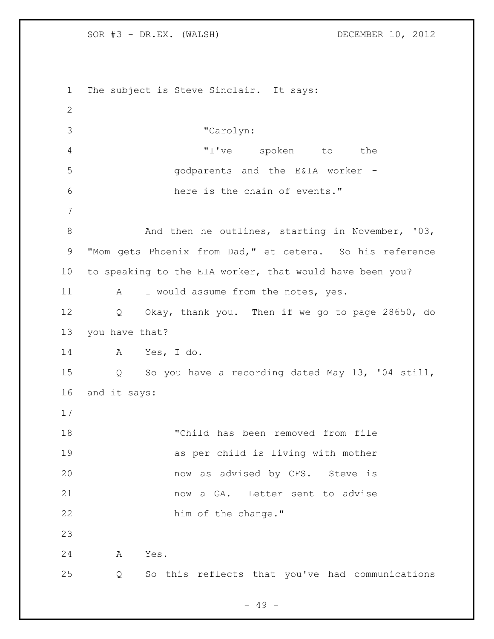The subject is Steve Sinclair. It says: "Carolyn: "I've spoken to the godparents and the E&IA worker - here is the chain of events." 8 And then he outlines, starting in November, '03, "Mom gets Phoenix from Dad," et cetera. So his reference to speaking to the EIA worker, that would have been you? 11 A I would assume from the notes, yes. Q Okay, thank you. Then if we go to page 28650, do you have that? A Yes, I do. Q So you have a recording dated May 13, '04 still, and it says: "Child has been removed from file as per child is living with mother now as advised by CFS. Steve is now a GA. Letter sent to advise 22 him of the change." A Yes. Q So this reflects that you've had communications

- 49 -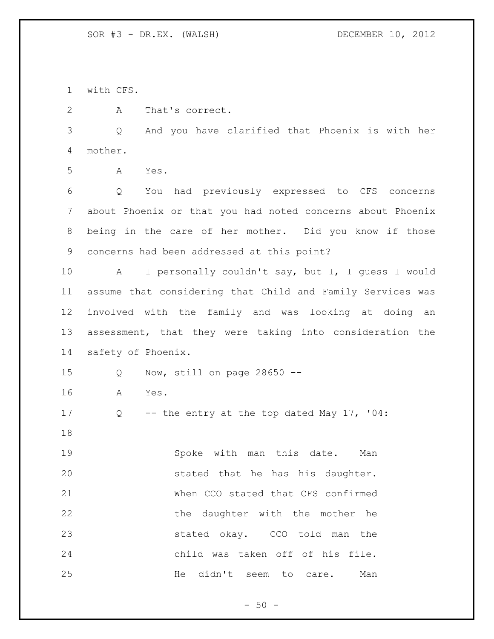with CFS.

A That's correct.

 Q And you have clarified that Phoenix is with her mother.

A Yes.

 Q You had previously expressed to CFS concerns about Phoenix or that you had noted concerns about Phoenix being in the care of her mother. Did you know if those concerns had been addressed at this point?

 A I personally couldn't say, but I, I guess I would assume that considering that Child and Family Services was involved with the family and was looking at doing an assessment, that they were taking into consideration the safety of Phoenix.

Q Now, still on page 28650 --

A Yes.

Q -- the entry at the top dated May 17, '04:

 Spoke with man this date. Man stated that he has his daughter. When CCO stated that CFS confirmed 22 the daughter with the mother he stated okay. CCO told man the child was taken off of his file. 25 He didn't seem to care. Man

 $-50 -$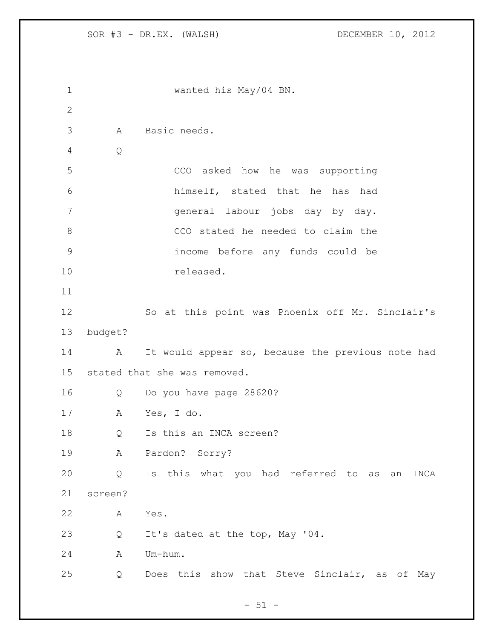```
1 wanted his May/04 BN.
2
3 A Basic needs. 
4 Q
5 CCO asked how he was supporting 
6 himself, stated that he has had 
7 general labour jobs day by day. 
8 CCO stated he needed to claim the 
9 income before any funds could be 
10 released. 
11
12 So at this point was Phoenix off Mr. Sinclair's 
13 budget?
14 A It would appear so, because the previous note had 
15 stated that she was removed. 
16 Q Do you have page 28620? 
17 A Yes, I do.
18 Q Is this an INCA screen?
19 A Pardon? Sorry?
20 Q Is this what you had referred to as an INCA 
21 screen?
22 A Yes. 
23 Q It's dated at the top, May '04. 
24 A Um-hum. 
25 Q Does this show that Steve Sinclair, as of May
```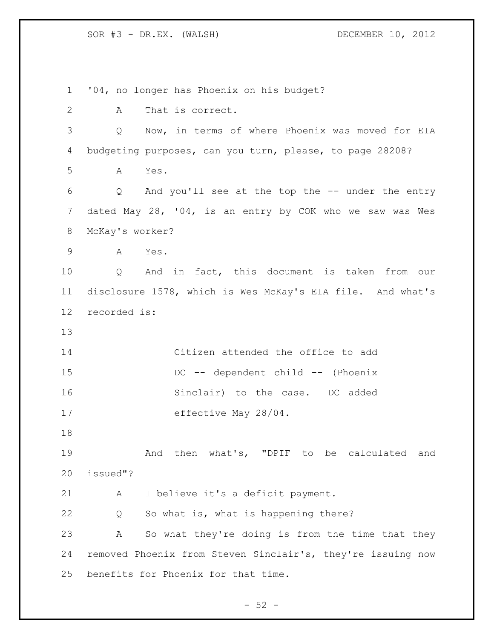'04, no longer has Phoenix on his budget? A That is correct. Q Now, in terms of where Phoenix was moved for EIA budgeting purposes, can you turn, please, to page 28208? A Yes. Q And you'll see at the top the -- under the entry dated May 28, '04, is an entry by COK who we saw was Wes McKay's worker? A Yes. Q And in fact, this document is taken from our disclosure 1578, which is Wes McKay's EIA file. And what's recorded is: Citizen attended the office to add 15 DC -- dependent child -- (Phoenix 16 Sinclair) to the case. DC added effective May 28/04. And then what's, "DPIF to be calculated and issued"? A I believe it's a deficit payment. Q So what is, what is happening there? A So what they're doing is from the time that they removed Phoenix from Steven Sinclair's, they're issuing now benefits for Phoenix for that time.

 $-52 -$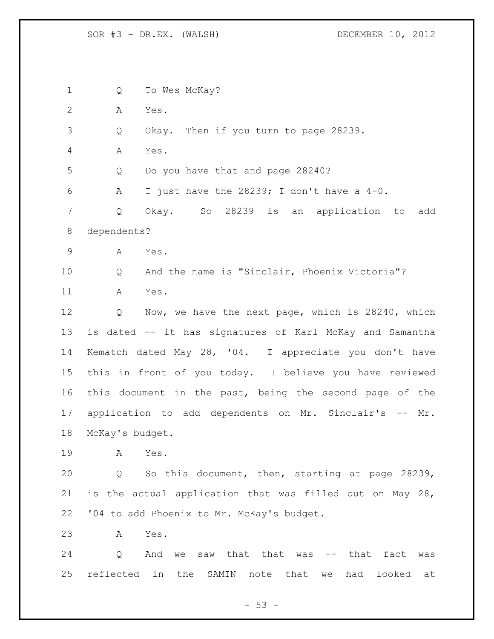Q To Wes McKay? A Yes. Q Okay. Then if you turn to page 28239. A Yes. Q Do you have that and page 28240? A I just have the 28239; I don't have a 4-0. Q Okay. So 28239 is an application to add dependents? A Yes. Q And the name is "Sinclair, Phoenix Victoria"? A Yes. Q Now, we have the next page, which is 28240, which is dated -- it has signatures of Karl McKay and Samantha Kematch dated May 28, '04. I appreciate you don't have this in front of you today. I believe you have reviewed this document in the past, being the second page of the application to add dependents on Mr. Sinclair's -- Mr. McKay's budget. A Yes. Q So this document, then, starting at page 28239, is the actual application that was filled out on May 28, '04 to add Phoenix to Mr. McKay's budget. A Yes. 24 Q And we saw that that was -- that fact was reflected in the SAMIN note that we had looked at

 $-53 -$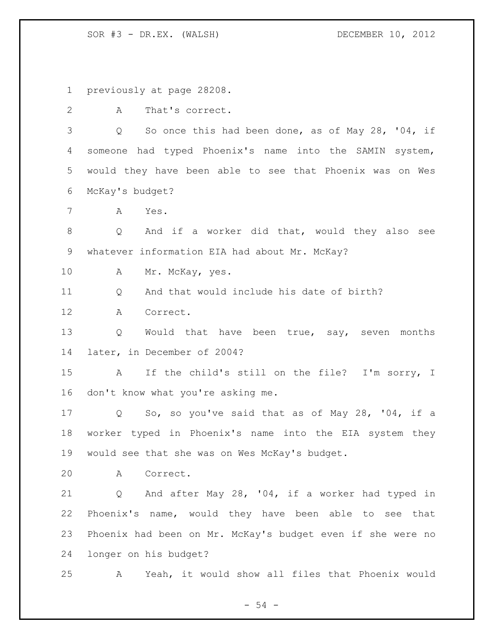previously at page 28208.

A That's correct.

 Q So once this had been done, as of May 28, '04, if someone had typed Phoenix's name into the SAMIN system, would they have been able to see that Phoenix was on Wes McKay's budget?

A Yes.

 Q And if a worker did that, would they also see whatever information EIA had about Mr. McKay?

10 A Mr. McKay, yes.

11 O And that would include his date of birth?

A Correct.

13 Q Would that have been true, say, seven months later, in December of 2004?

 A If the child's still on the file? I'm sorry, I don't know what you're asking me.

 Q So, so you've said that as of May 28, '04, if a worker typed in Phoenix's name into the EIA system they would see that she was on Wes McKay's budget.

A Correct.

 Q And after May 28, '04, if a worker had typed in Phoenix's name, would they have been able to see that Phoenix had been on Mr. McKay's budget even if she were no longer on his budget?

A Yeah, it would show all files that Phoenix would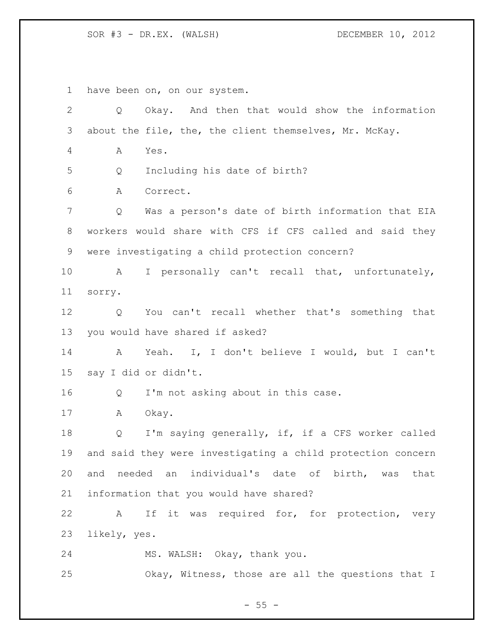have been on, on our system. Q Okay. And then that would show the information about the file, the, the client themselves, Mr. McKay. A Yes. Q Including his date of birth? A Correct. Q Was a person's date of birth information that EIA workers would share with CFS if CFS called and said they were investigating a child protection concern? A I personally can't recall that, unfortunately, sorry. Q You can't recall whether that's something that you would have shared if asked? A Yeah. I, I don't believe I would, but I can't say I did or didn't. Q I'm not asking about in this case. A Okay. Q I'm saying generally, if, if a CFS worker called and said they were investigating a child protection concern and needed an individual's date of birth, was that information that you would have shared? A If it was required for, for protection, very likely, yes. MS. WALSH: Okay, thank you. Okay, Witness, those are all the questions that I

 $- 55 -$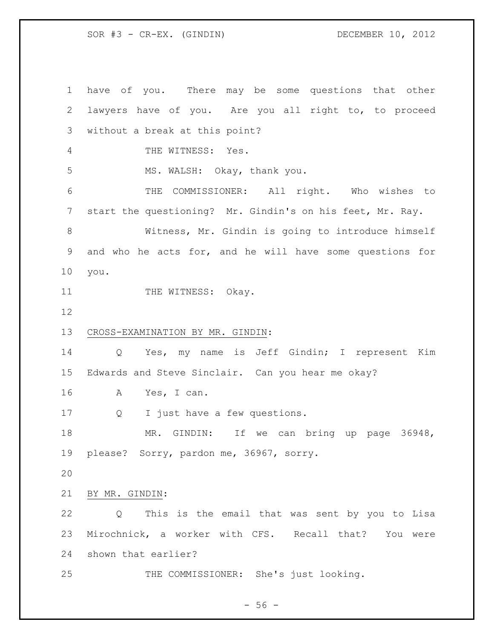SOR #3 - CR-EX. (GINDIN) DECEMBER 10, 2012

 have of you. There may be some questions that other lawyers have of you. Are you all right to, to proceed without a break at this point? THE WITNESS: Yes. MS. WALSH: Okay, thank you. THE COMMISSIONER: All right. Who wishes to start the questioning? Mr. Gindin's on his feet, Mr. Ray. Witness, Mr. Gindin is going to introduce himself and who he acts for, and he will have some questions for you. 11 THE WITNESS: Okay. CROSS-EXAMINATION BY MR. GINDIN: Q Yes, my name is Jeff Gindin; I represent Kim Edwards and Steve Sinclair. Can you hear me okay? A Yes, I can. Q I just have a few questions. 18 MR. GINDIN: If we can bring up page 36948, please? Sorry, pardon me, 36967, sorry. BY MR. GINDIN: Q This is the email that was sent by you to Lisa Mirochnick, a worker with CFS. Recall that? You were shown that earlier? THE COMMISSIONER: She's just looking.

 $-56 -$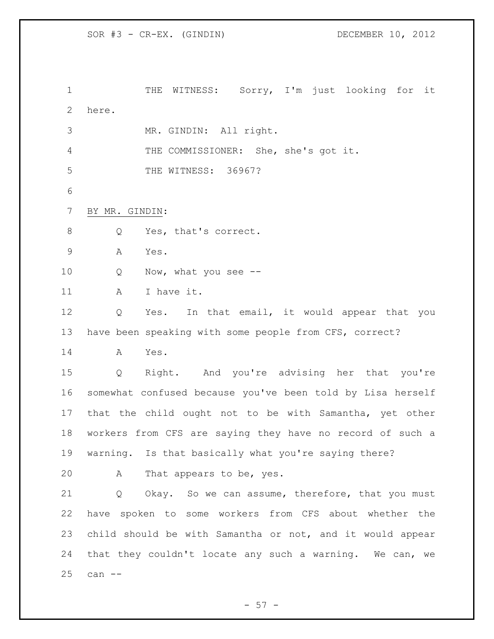SOR #3 - CR-EX. (GINDIN) DECEMBER 10, 2012

 THE WITNESS: Sorry, I'm just looking for it here. MR. GINDIN: All right. THE COMMISSIONER: She, she's got it. THE WITNESS: 36967? BY MR. GINDIN: 8 Q Yes, that's correct. A Yes. 10 Q Now, what you see --11 A I have it. Q Yes. In that email, it would appear that you have been speaking with some people from CFS, correct? A Yes. Q Right. And you're advising her that you're somewhat confused because you've been told by Lisa herself that the child ought not to be with Samantha, yet other workers from CFS are saying they have no record of such a warning. Is that basically what you're saying there? A That appears to be, yes. Q Okay. So we can assume, therefore, that you must have spoken to some workers from CFS about whether the child should be with Samantha or not, and it would appear that they couldn't locate any such a warning. We can, we can --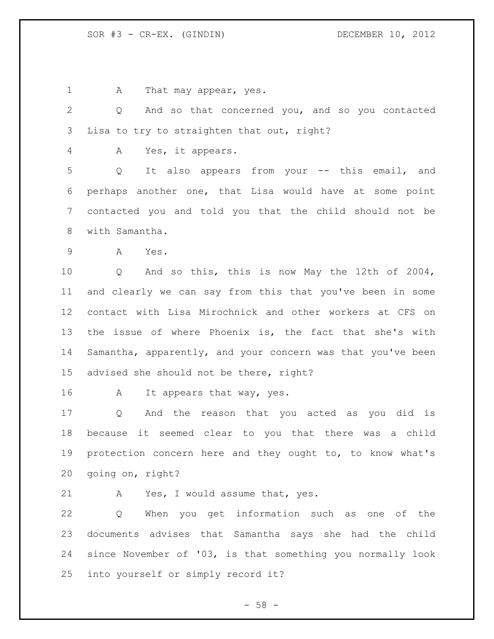1 A That may appear, yes.

 Q And so that concerned you, and so you contacted Lisa to try to straighten that out, right?

A Yes, it appears.

 Q It also appears from your -- this email, and perhaps another one, that Lisa would have at some point contacted you and told you that the child should not be with Samantha.

A Yes.

 Q And so this, this is now May the 12th of 2004, and clearly we can say from this that you've been in some contact with Lisa Mirochnick and other workers at CFS on the issue of where Phoenix is, the fact that she's with Samantha, apparently, and your concern was that you've been advised she should not be there, right?

A It appears that way, yes.

 Q And the reason that you acted as you did is because it seemed clear to you that there was a child protection concern here and they ought to, to know what's going on, right?

A Yes, I would assume that, yes.

 Q When you get information such as one of the documents advises that Samantha says she had the child since November of '03, is that something you normally look into yourself or simply record it?

 $- 58 -$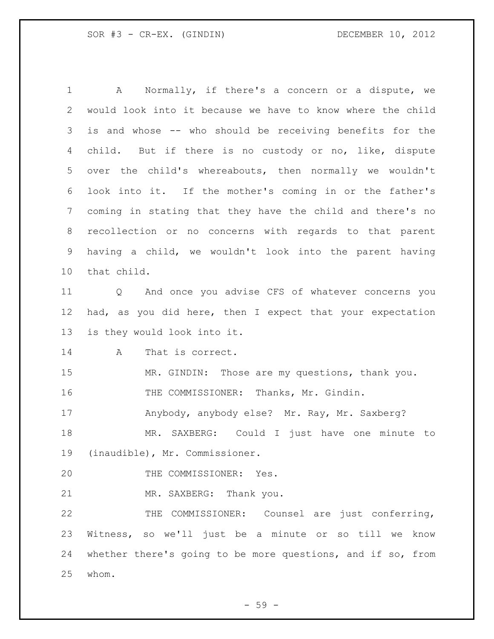A Normally, if there's a concern or a dispute, we would look into it because we have to know where the child is and whose -- who should be receiving benefits for the child. But if there is no custody or no, like, dispute over the child's whereabouts, then normally we wouldn't look into it. If the mother's coming in or the father's coming in stating that they have the child and there's no recollection or no concerns with regards to that parent having a child, we wouldn't look into the parent having that child. Q And once you advise CFS of whatever concerns you had, as you did here, then I expect that your expectation is they would look into it. A That is correct. 15 MR. GINDIN: Those are my questions, thank you. THE COMMISSIONER: Thanks, Mr. Gindin. Anybody, anybody else? Mr. Ray, Mr. Saxberg? MR. SAXBERG: Could I just have one minute to (inaudible), Mr. Commissioner. 20 THE COMMISSIONER: Yes. MR. SAXBERG: Thank you. THE COMMISSIONER: Counsel are just conferring, Witness, so we'll just be a minute or so till we know whether there's going to be more questions, and if so, from

whom.

- 59 -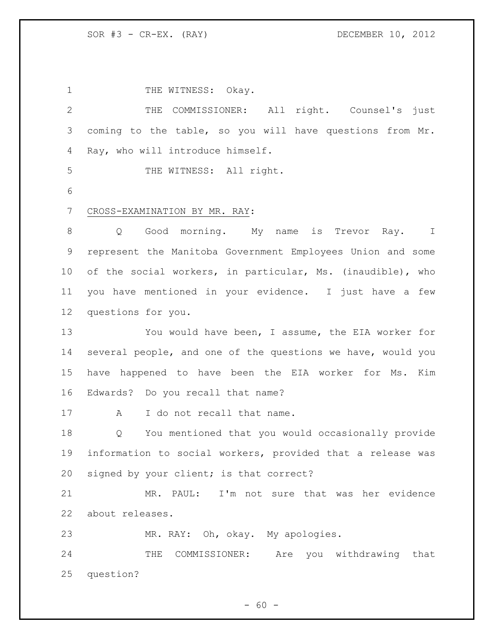1 THE WITNESS: Okay. THE COMMISSIONER: All right. Counsel's just coming to the table, so you will have questions from Mr. Ray, who will introduce himself. 5 THE WITNESS: All right. CROSS-EXAMINATION BY MR. RAY: 8 and Q Good morning. My name is Trevor Ray. I represent the Manitoba Government Employees Union and some of the social workers, in particular, Ms. (inaudible), who you have mentioned in your evidence. I just have a few questions for you. You would have been, I assume, the EIA worker for several people, and one of the questions we have, would you have happened to have been the EIA worker for Ms. Kim Edwards? Do you recall that name? 17 A I do not recall that name. Q You mentioned that you would occasionally provide information to social workers, provided that a release was signed by your client; is that correct? MR. PAUL: I'm not sure that was her evidence about releases. MR. RAY: Oh, okay. My apologies. THE COMMISSIONER: Are you withdrawing that question?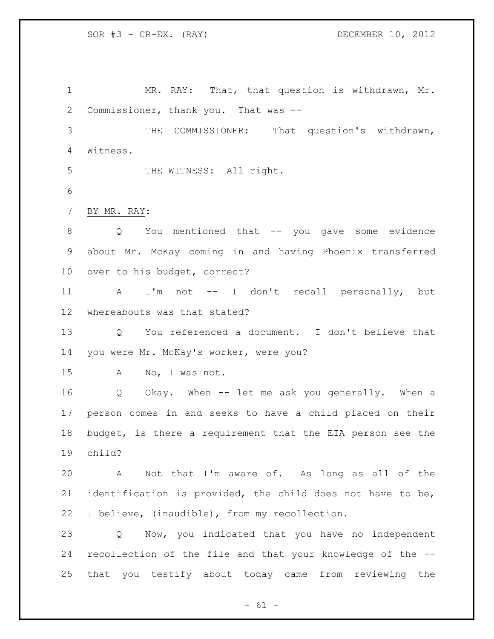MR. RAY: That, that question is withdrawn, Mr. Commissioner, thank you. That was -- THE COMMISSIONER: That question's withdrawn, Witness. 5 THE WITNESS: All right. BY MR. RAY: Q You mentioned that -- you gave some evidence about Mr. McKay coming in and having Phoenix transferred over to his budget, correct? A I'm not -- I don't recall personally, but whereabouts was that stated? Q You referenced a document. I don't believe that you were Mr. McKay's worker, were you? A No, I was not. Q Okay. When -- let me ask you generally. When a person comes in and seeks to have a child placed on their budget, is there a requirement that the EIA person see the child? A Not that I'm aware of. As long as all of the identification is provided, the child does not have to be, I believe, (inaudible), from my recollection. Q Now, you indicated that you have no independent recollection of the file and that your knowledge of the -- that you testify about today came from reviewing the

 $- 61 -$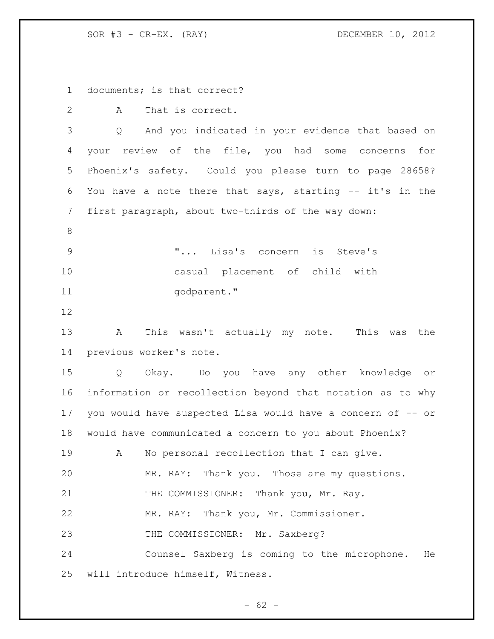SOR #3 - CR-EX. (RAY) DECEMBER 10, 2012

documents; is that correct?

2 A That is correct.

 Q And you indicated in your evidence that based on your review of the file, you had some concerns for Phoenix's safety. Could you please turn to page 28658? You have a note there that says, starting -- it's in the first paragraph, about two-thirds of the way down:

 "... Lisa's concern is Steve's casual placement of child with 11 godparent."

 A This wasn't actually my note. This was the previous worker's note.

 Q Okay. Do you have any other knowledge or information or recollection beyond that notation as to why you would have suspected Lisa would have a concern of -- or would have communicated a concern to you about Phoenix? A No personal recollection that I can give. MR. RAY: Thank you. Those are my questions. 21 THE COMMISSIONER: Thank you, Mr. Ray. MR. RAY: Thank you, Mr. Commissioner. 23 THE COMMISSIONER: Mr. Saxberg? Counsel Saxberg is coming to the microphone. He will introduce himself, Witness.

 $- 62 -$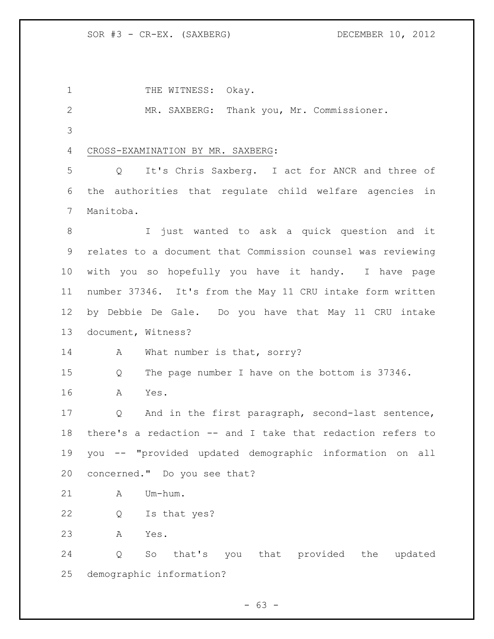1 THE WITNESS: Okay. MR. SAXBERG: Thank you, Mr. Commissioner. CROSS-EXAMINATION BY MR. SAXBERG: Q It's Chris Saxberg. I act for ANCR and three of the authorities that regulate child welfare agencies in Manitoba. I just wanted to ask a quick question and it relates to a document that Commission counsel was reviewing with you so hopefully you have it handy. I have page number 37346. It's from the May 11 CRU intake form written by Debbie De Gale. Do you have that May 11 CRU intake document, Witness? 14 A What number is that, sorry? Q The page number I have on the bottom is 37346. A Yes. Q And in the first paragraph, second-last sentence, there's a redaction -- and I take that redaction refers to you -- "provided updated demographic information on all concerned." Do you see that? 21 A Um-hum. Q Is that yes? A Yes. Q So that's you that provided the updated demographic information?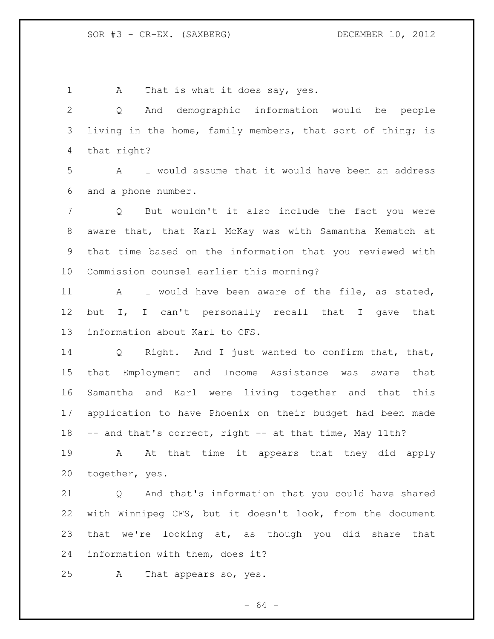1 A That is what it does say, yes. Q And demographic information would be people living in the home, family members, that sort of thing; is that right? A I would assume that it would have been an address and a phone number. Q But wouldn't it also include the fact you were aware that, that Karl McKay was with Samantha Kematch at that time based on the information that you reviewed with Commission counsel earlier this morning? A I would have been aware of the file, as stated, but I, I can't personally recall that I gave that information about Karl to CFS. Q Right. And I just wanted to confirm that, that, that Employment and Income Assistance was aware that Samantha and Karl were living together and that this application to have Phoenix on their budget had been made 18 -- and that's correct, right -- at that time, May 11th? A At that time it appears that they did apply together, yes. Q And that's information that you could have shared with Winnipeg CFS, but it doesn't look, from the document that we're looking at, as though you did share that information with them, does it? A That appears so, yes.

- 64 -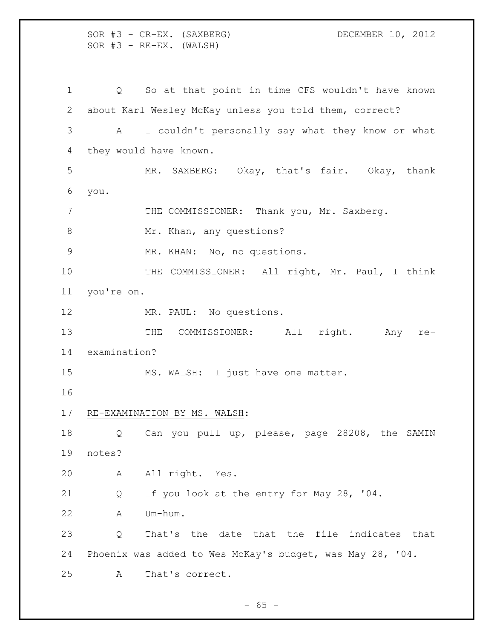SOR #3 - CR-EX. (SAXBERG) DECEMBER 10, 2012  $SOR$   $#3$  -  $RE-EX.$  (WALSH) Q So at that point in time CFS wouldn't have known about Karl Wesley McKay unless you told them, correct? A I couldn't personally say what they know or what they would have known. MR. SAXBERG: Okay, that's fair. Okay, thank you. 7 THE COMMISSIONER: Thank you, Mr. Saxberg. 8 Mr. Khan, any questions? MR. KHAN: No, no questions. 10 THE COMMISSIONER: All right, Mr. Paul, I think you're on. MR. PAUL: No questions. 13 THE COMMISSIONER: All right. Any re- examination? MS. WALSH: I just have one matter. RE-EXAMINATION BY MS. WALSH: 18 Q Can you pull up, please, page 28208, the SAMIN notes? A All right. Yes. Q If you look at the entry for May 28, '04. A Um-hum. Q That's the date that the file indicates that Phoenix was added to Wes McKay's budget, was May 28, '04. A That's correct.

 $- 65 -$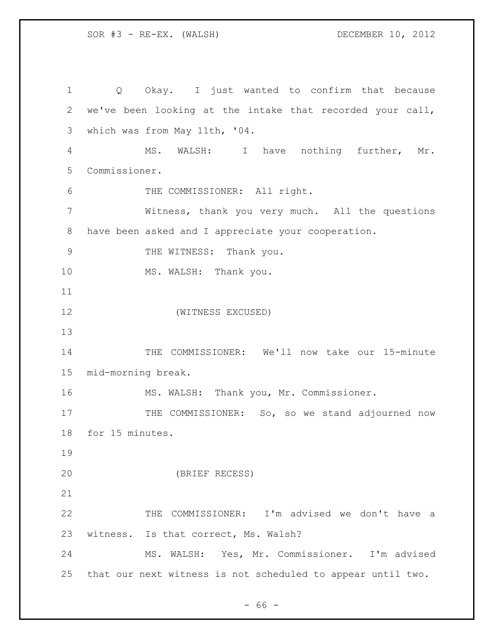Q Okay. I just wanted to confirm that because we've been looking at the intake that recorded your call, which was from May 11th, '04. MS. WALSH: I have nothing further, Mr. Commissioner. THE COMMISSIONER: All right. Witness, thank you very much. All the questions have been asked and I appreciate your cooperation. 9 THE WITNESS: Thank you. 10 MS. WALSH: Thank you. (WITNESS EXCUSED) 14 THE COMMISSIONER: We'll now take our 15-minute mid-morning break. MS. WALSH: Thank you, Mr. Commissioner. 17 THE COMMISSIONER: So, so we stand adjourned now for 15 minutes. (BRIEF RECESS) THE COMMISSIONER: I'm advised we don't have a witness. Is that correct, Ms. Walsh? MS. WALSH: Yes, Mr. Commissioner. I'm advised that our next witness is not scheduled to appear until two.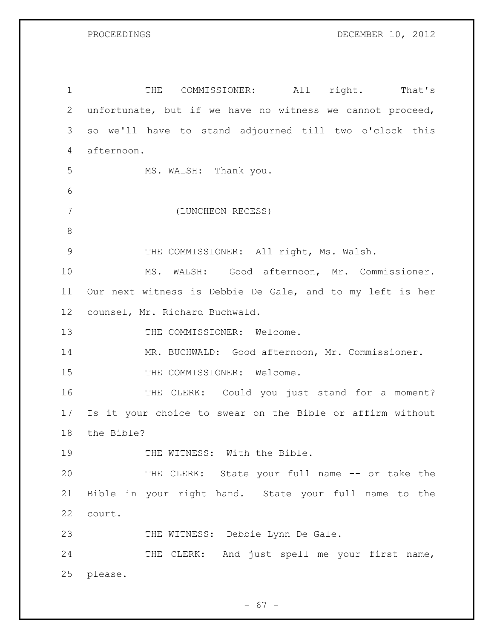1 THE COMMISSIONER: All right. That's unfortunate, but if we have no witness we cannot proceed, so we'll have to stand adjourned till two o'clock this afternoon. MS. WALSH: Thank you. (LUNCHEON RECESS) THE COMMISSIONER: All right, Ms. Walsh. MS. WALSH: Good afternoon, Mr. Commissioner. Our next witness is Debbie De Gale, and to my left is her counsel, Mr. Richard Buchwald. 13 THE COMMISSIONER: Welcome. MR. BUCHWALD: Good afternoon, Mr. Commissioner. 15 THE COMMISSIONER: Welcome. 16 THE CLERK: Could you just stand for a moment? Is it your choice to swear on the Bible or affirm without the Bible? 19 THE WITNESS: With the Bible. THE CLERK: State your full name -- or take the Bible in your right hand. State your full name to the court. 23 THE WITNESS: Debbie Lynn De Gale. 24 THE CLERK: And just spell me your first name, please.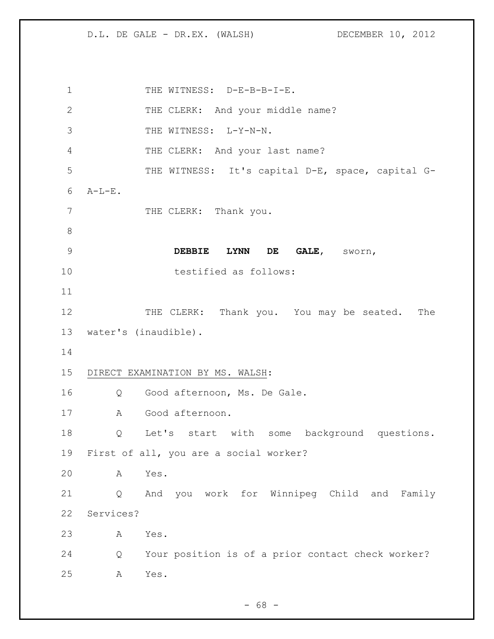D.L. DE GALE - DR.EX. (WALSH) DECEMBER 10, 2012

1 THE WITNESS: D-E-B-B-I-E. 2 THE CLERK: And your middle name? THE WITNESS: L-Y-N-N. THE CLERK: And your last name? THE WITNESS: It's capital D-E, space, capital G- A-L-E. 7 THE CLERK: Thank you. **DEBBIE LYNN DE GALE**, sworn, testified as follows: 12 THE CLERK: Thank you. You may be seated. The water's (inaudible). DIRECT EXAMINATION BY MS. WALSH: Q Good afternoon, Ms. De Gale. A Good afternoon. Q Let's start with some background questions. First of all, you are a social worker? A Yes. Q And you work for Winnipeg Child and Family Services? A Yes. Q Your position is of a prior contact check worker? A Yes.

 $- 68 -$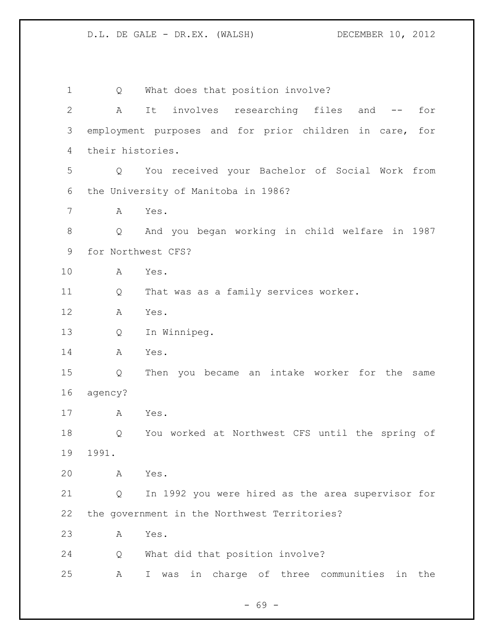| 1            | Q                | What does that position involve?                         |
|--------------|------------------|----------------------------------------------------------|
| $\mathbf{2}$ | Α                | involves researching files<br>It<br>and<br>for<br>$- \,$ |
| 3            |                  | employment purposes and for prior children in care, for  |
| 4            | their histories. |                                                          |
| 5            | Q                | You received your Bachelor of Social Work from           |
| 6            |                  | the University of Manitoba in 1986?                      |
| 7            | Α                | Yes.                                                     |
| $8\,$        | Q                | And you began working in child welfare in 1987           |
| 9            |                  | for Northwest CFS?                                       |
| 10           | Α                | Yes.                                                     |
| 11           | Q                | That was as a family services worker.                    |
| 12           | Α                | Yes.                                                     |
| 13           | Q                | In Winnipeg.                                             |
| 14           | Α                | Yes.                                                     |
| 15           | Q                | Then you became an intake worker for the<br>same         |
| 16           | agency?          |                                                          |
| 17           | Α                | Yes.                                                     |
| 18           | Q                | You worked at Northwest CFS until the spring of          |
| 19           | 1991.            |                                                          |
| 20           | Α                | Yes.                                                     |
| 21           | Q                | In 1992 you were hired as the area supervisor for        |
| 22           |                  | the government in the Northwest Territories?             |
| 23           | A                | Yes.                                                     |
| 24           | Q                | What did that position involve?                          |
| 25           | Α                | in charge of three communities<br>in the<br>I.<br>was    |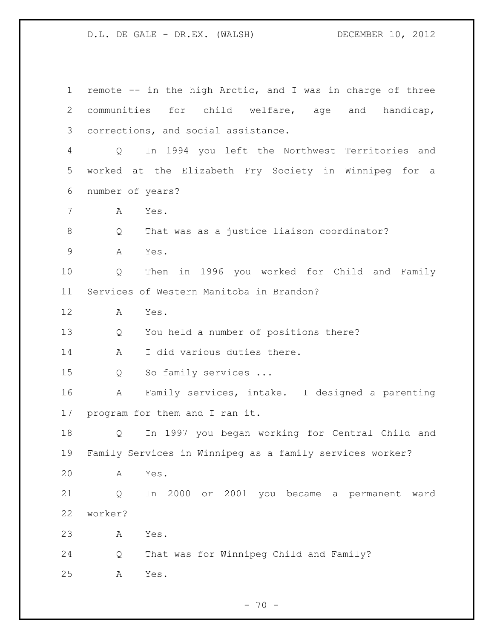remote -- in the high Arctic, and I was in charge of three communities for child welfare, age and handicap, corrections, and social assistance. Q In 1994 you left the Northwest Territories and worked at the Elizabeth Fry Society in Winnipeg for a number of years? A Yes. 8 Q That was as a justice liaison coordinator? A Yes. Q Then in 1996 you worked for Child and Family Services of Western Manitoba in Brandon? A Yes. Q You held a number of positions there? 14 A I did various duties there. Q So family services ... A Family services, intake. I designed a parenting program for them and I ran it. Q In 1997 you began working for Central Child and Family Services in Winnipeg as a family services worker? A Yes. Q In 2000 or 2001 you became a permanent ward worker? A Yes. Q That was for Winnipeg Child and Family? A Yes.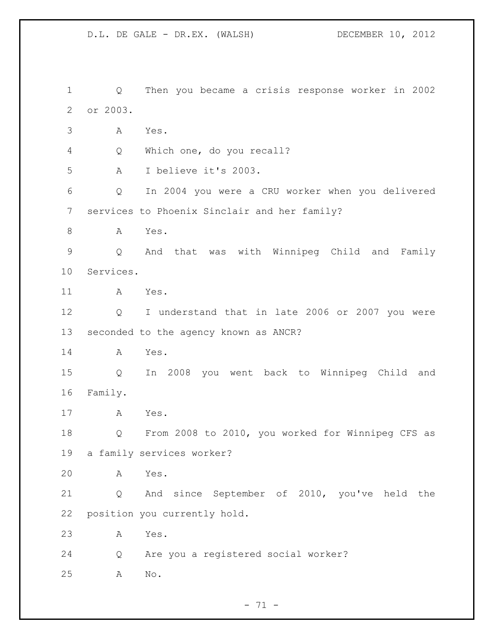D.L. DE GALE - DR.EX. (WALSH) DECEMBER 10, 2012 Q Then you became a crisis response worker in 2002 or 2003. A Yes. Q Which one, do you recall? A I believe it's 2003. Q In 2004 you were a CRU worker when you delivered services to Phoenix Sinclair and her family? 8 A Yes. Q And that was with Winnipeg Child and Family Services. A Yes. Q I understand that in late 2006 or 2007 you were seconded to the agency known as ANCR? A Yes. Q In 2008 you went back to Winnipeg Child and Family. A Yes. Q From 2008 to 2010, you worked for Winnipeg CFS as a family services worker? A Yes. Q And since September of 2010, you've held the position you currently hold. A Yes. Q Are you a registered social worker? A No.

 $- 71 -$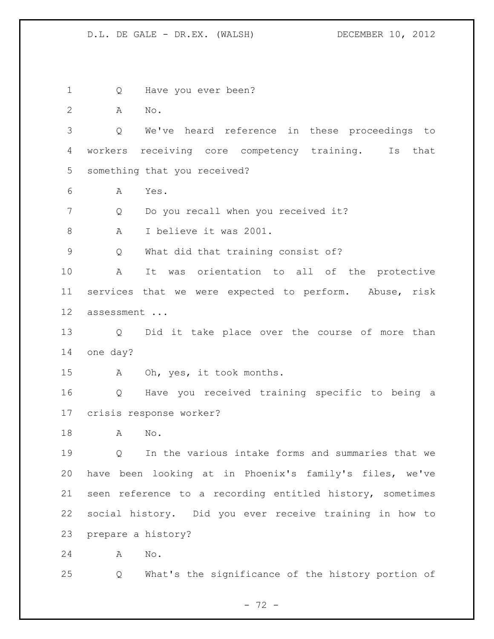Q Have you ever been? A No. Q We've heard reference in these proceedings to workers receiving core competency training. Is that something that you received? A Yes. Q Do you recall when you received it? 8 A I believe it was 2001. Q What did that training consist of? A It was orientation to all of the protective services that we were expected to perform. Abuse, risk assessment ... Q Did it take place over the course of more than one day? A Oh, yes, it took months. Q Have you received training specific to being a crisis response worker? A No. Q In the various intake forms and summaries that we have been looking at in Phoenix's family's files, we've seen reference to a recording entitled history, sometimes social history. Did you ever receive training in how to prepare a history? A No. Q What's the significance of the history portion of

 $- 72 -$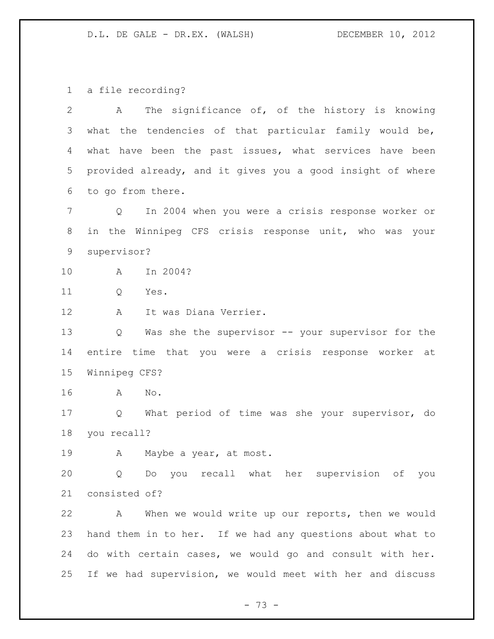a file recording?

| The significance of, of the history is knowing<br>A                    |
|------------------------------------------------------------------------|
| what the tendencies of that particular family would be,                |
| what have been the past issues, what services have been                |
| provided already, and it gives you a good insight of where             |
| to go from there.                                                      |
| In 2004 when you were a crisis response worker or<br>$Q \qquad \qquad$ |
| in the Winnipeg CFS crisis response unit, who was your                 |
| supervisor?                                                            |
| In 2004?<br>A                                                          |
| Q<br>Yes.                                                              |
| It was Diana Verrier.<br>Α                                             |
| Was she the supervisor -- your supervisor for the<br>Q                 |
| entire time that you were a crisis response worker at                  |
| Winnipeg CFS?                                                          |
| No.<br>A                                                               |
| What period of time was she your supervisor, do<br>$Q \qquad \qquad$   |
| you recall?                                                            |
| A Maybe a year, at most.                                               |
| Q Do you recall what her supervision of you                            |
| consisted of?                                                          |
| When we would write up our reports, then we would<br>A                 |
| hand them in to her. If we had any questions about what to             |
| do with certain cases, we would go and consult with her.               |
| If we had supervision, we would meet with her and discuss              |
|                                                                        |

- 73 -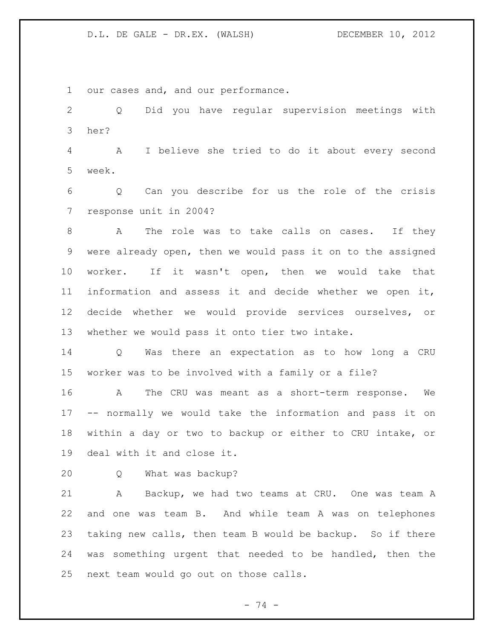our cases and, and our performance.

 Q Did you have regular supervision meetings with her?

 A I believe she tried to do it about every second week.

 Q Can you describe for us the role of the crisis response unit in 2004?

 A The role was to take calls on cases. If they were already open, then we would pass it on to the assigned worker. If it wasn't open, then we would take that information and assess it and decide whether we open it, decide whether we would provide services ourselves, or whether we would pass it onto tier two intake.

 Q Was there an expectation as to how long a CRU worker was to be involved with a family or a file?

 A The CRU was meant as a short-term response. We -- normally we would take the information and pass it on within a day or two to backup or either to CRU intake, or deal with it and close it.

Q What was backup?

 A Backup, we had two teams at CRU. One was team A and one was team B. And while team A was on telephones taking new calls, then team B would be backup. So if there was something urgent that needed to be handled, then the next team would go out on those calls.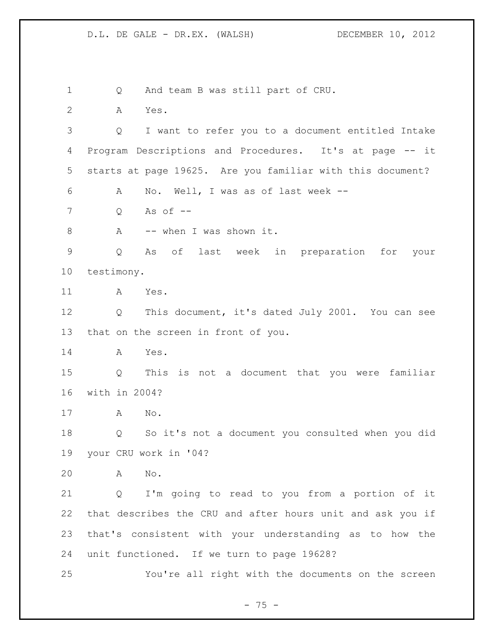Q And team B was still part of CRU. A Yes. Q I want to refer you to a document entitled Intake Program Descriptions and Procedures. It's at page -- it starts at page 19625. Are you familiar with this document? A No. Well, I was as of last week -- Q As of -- 8 A -- when I was shown it. Q As of last week in preparation for your testimony. A Yes. Q This document, it's dated July 2001. You can see that on the screen in front of you. A Yes. Q This is not a document that you were familiar with in 2004? A No. Q So it's not a document you consulted when you did your CRU work in '04? A No. Q I'm going to read to you from a portion of it that describes the CRU and after hours unit and ask you if that's consistent with your understanding as to how the unit functioned. If we turn to page 19628? You're all right with the documents on the screen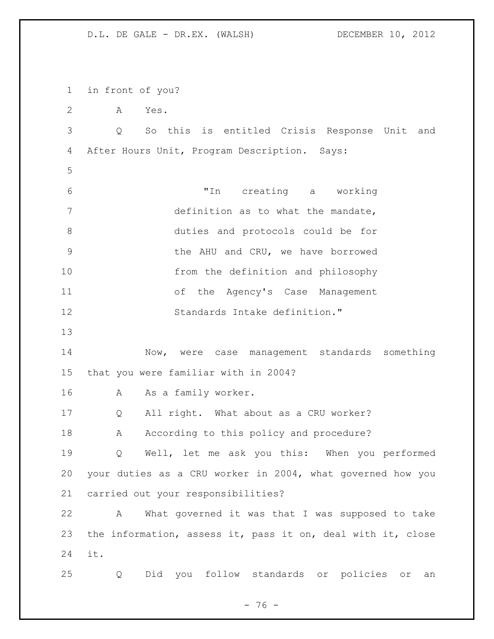in front of you? A Yes. Q So this is entitled Crisis Response Unit and After Hours Unit, Program Description. Says: "In creating a working 7 definition as to what the mandate, duties and protocols could be for **19 SIMU AHU and CRU, we have borrowed**  from the definition and philosophy of the Agency's Case Management Standards Intake definition." Now, were case management standards something that you were familiar with in 2004? A As a family worker. Q All right. What about as a CRU worker? 18 A According to this policy and procedure? Q Well, let me ask you this: When you performed your duties as a CRU worker in 2004, what governed how you carried out your responsibilities? A What governed it was that I was supposed to take the information, assess it, pass it on, deal with it, close it. Q Did you follow standards or policies or an

 $- 76 -$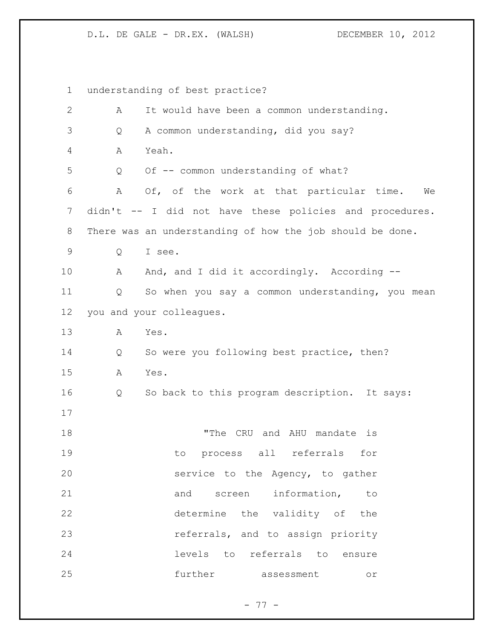| $\mathbf 1$  | understanding of best practice?                           |
|--------------|-----------------------------------------------------------|
| $\mathbf{2}$ | It would have been a common understanding.<br>Α           |
| 3            | A common understanding, did you say?<br>Q                 |
| 4            | Yeah.<br>Α                                                |
| 5            | Of -- common understanding of what?<br>Q                  |
| 6            | Of, of the work at that particular time.<br>Α<br>We       |
| 7            | didn't -- I did not have these policies and procedures.   |
| 8            | There was an understanding of how the job should be done. |
| 9            | I see.<br>Q                                               |
| 10           | And, and I did it accordingly. According --<br>A          |
| 11           | So when you say a common understanding, you mean<br>Q     |
| 12           | you and your colleagues.                                  |
| 13           | Yes.<br>Α                                                 |
| 14           | So were you following best practice, then?<br>Q           |
| 15           | Α<br>Yes.                                                 |
| 16           | So back to this program description. It says:<br>Q        |
| 17           |                                                           |
| 18           | "The CRU and AHU mandate is                               |
| 19           | to process all referrals for                              |
| 20           | service to the Agency, to gather                          |
| 21           | and screen information, to                                |
| 22           | determine the validity of the                             |
| 23           | referrals, and to assign priority                         |
| 24           | levels to referrals to<br>ensure                          |
| 25           | further assessment<br>$\circ$ $\,$                        |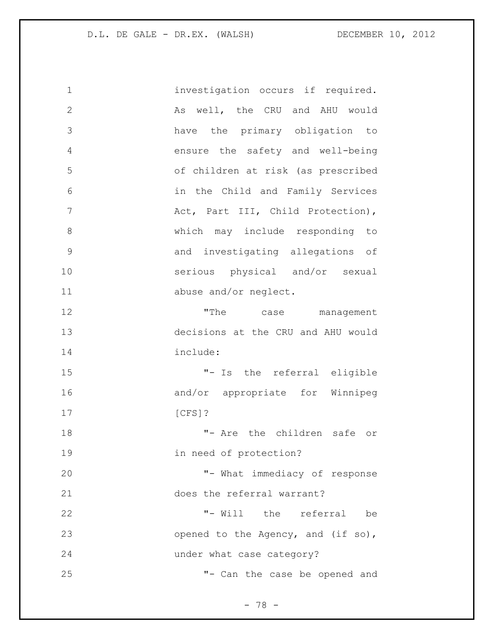| 1             | investigation occurs if required.  |
|---------------|------------------------------------|
| $\mathbf{2}$  | As well, the CRU and AHU would     |
| 3             | have the primary obligation to     |
| 4             | ensure the safety and well-being   |
| 5             | of children at risk (as prescribed |
| 6             | in the Child and Family Services   |
| 7             | Act, Part III, Child Protection),  |
| 8             | which may include responding to    |
| $\mathcal{G}$ | and investigating allegations of   |
| 10            | serious physical and/or sexual     |
| 11            | abuse and/or neglect.              |
| 12            | "The<br>case management            |
| 13            | decisions at the CRU and AHU would |
| 14            | include:                           |
| 15            | "- Is the referral eligible        |
| 16            | and/or appropriate for Winnipeg    |
| 17            | $[CFS]$ ?                          |
| 18            | "- Are the children safe or        |
| 19            | in need of protection?             |
| 20            | "- What immediacy of response      |
| 21            | does the referral warrant?         |
| 22            | "- Will the referral be            |
| 23            | opened to the Agency, and (if so), |
| 24            | under what case category?          |
| 25            | "- Can the case be opened and      |

- 78 -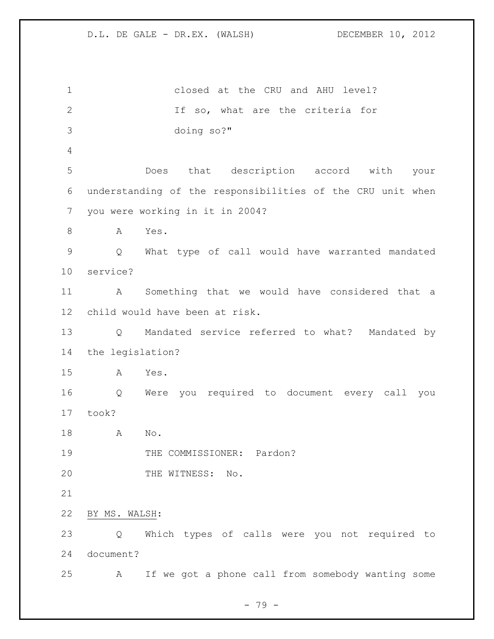closed at the CRU and AHU level? If so, what are the criteria for doing so?" Does that description accord with your understanding of the responsibilities of the CRU unit when you were working in it in 2004? A Yes. Q What type of call would have warranted mandated service? A Something that we would have considered that a child would have been at risk. Q Mandated service referred to what? Mandated by the legislation? A Yes. Q Were you required to document every call you took? A No. 19 THE COMMISSIONER: Pardon? 20 THE WITNESS: No. BY MS. WALSH: Q Which types of calls were you not required to document? A If we got a phone call from somebody wanting some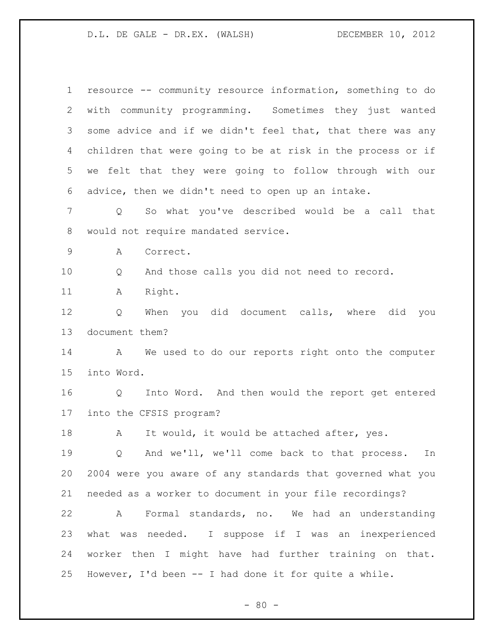| $\mathbf 1$    | resource -- community resource information, something to do |
|----------------|-------------------------------------------------------------|
| $\overline{2}$ | with community programming. Sometimes they just wanted      |
| 3              | some advice and if we didn't feel that, that there was any  |
| 4              | children that were going to be at risk in the process or if |
| 5              | we felt that they were going to follow through with our     |
| 6              | advice, then we didn't need to open up an intake.           |
| 7              | So what you've described would be a call that<br>Q          |
| 8              | would not require mandated service.                         |
| 9              | Α<br>Correct.                                               |
| 10             | And those calls you did not need to record.<br>Q            |
| 11             | Right.<br>Α                                                 |
| 12             | When you did document calls, where did you<br>Q             |
| 13             | document them?                                              |
| 14             | We used to do our reports right onto the computer<br>A      |
| 15             | into Word.                                                  |
| 16             | Into Word. And then would the report get entered<br>Q       |
| 17             | into the CFSIS program?                                     |
| 18             | It would, it would be attached after, yes.<br>A             |
| 19             | And we'll, we'll come back to that process.<br>Q<br>In      |
| 20             | 2004 were you aware of any standards that governed what you |
| 21             | needed as a worker to document in your file recordings?     |
| 22             | Formal standards, no. We had an understanding<br>A          |
| 23             | what was needed. I suppose if I was an inexperienced        |
| 24             | worker then I might have had further training on that.      |
| 25             | However, I'd been -- I had done it for quite a while.       |

- 80 -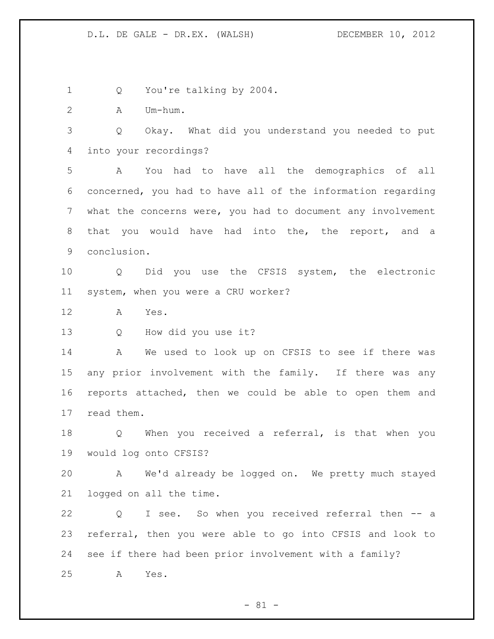1 Q You're talking by 2004. A Um-hum. Q Okay. What did you understand you needed to put into your recordings? A You had to have all the demographics of all concerned, you had to have all of the information regarding what the concerns were, you had to document any involvement that you would have had into the, the report, and a conclusion. Q Did you use the CFSIS system, the electronic system, when you were a CRU worker? A Yes. Q How did you use it? A We used to look up on CFSIS to see if there was any prior involvement with the family. If there was any reports attached, then we could be able to open them and read them. Q When you received a referral, is that when you would log onto CFSIS? A We'd already be logged on. We pretty much stayed logged on all the time. Q I see. So when you received referral then -- a referral, then you were able to go into CFSIS and look to see if there had been prior involvement with a family? A Yes.

 $- 81 -$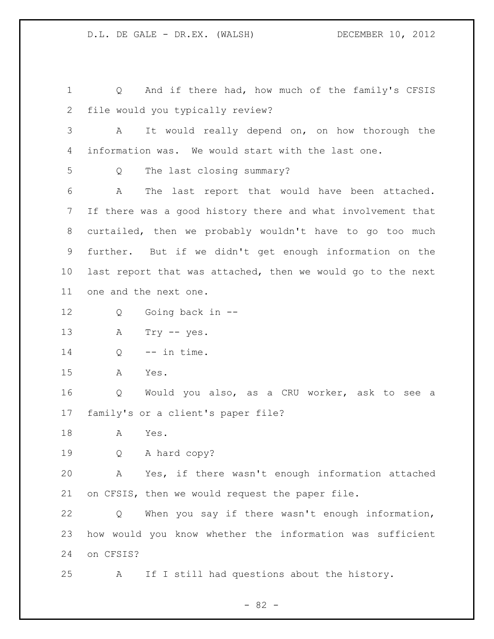Q And if there had, how much of the family's CFSIS file would you typically review? A It would really depend on, on how thorough the information was. We would start with the last one. Q The last closing summary? A The last report that would have been attached. If there was a good history there and what involvement that curtailed, then we probably wouldn't have to go too much further. But if we didn't get enough information on the last report that was attached, then we would go to the next one and the next one. Q Going back in -- A Try -- yes. 14 Q -- in time. A Yes. Q Would you also, as a CRU worker, ask to see a family's or a client's paper file? A Yes. Q A hard copy? A Yes, if there wasn't enough information attached on CFSIS, then we would request the paper file. Q When you say if there wasn't enough information, how would you know whether the information was sufficient on CFSIS? A If I still had questions about the history.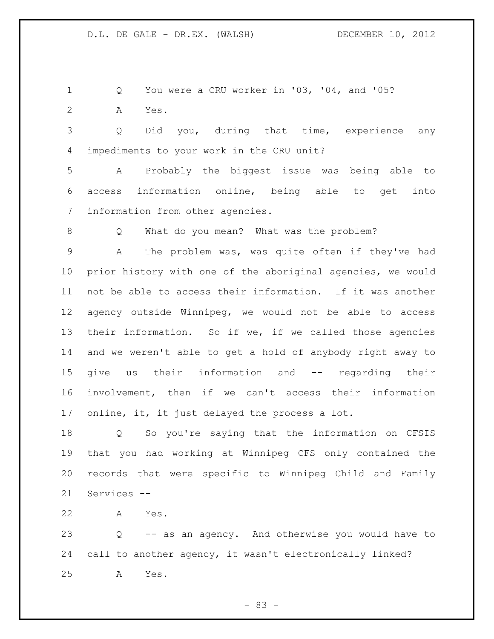Q You were a CRU worker in '03, '04, and '05? A Yes.

 Q Did you, during that time, experience any impediments to your work in the CRU unit?

 A Probably the biggest issue was being able to access information online, being able to get into information from other agencies.

Q What do you mean? What was the problem?

 A The problem was, was quite often if they've had prior history with one of the aboriginal agencies, we would not be able to access their information. If it was another agency outside Winnipeg, we would not be able to access their information. So if we, if we called those agencies and we weren't able to get a hold of anybody right away to give us their information and -- regarding their involvement, then if we can't access their information online, it, it just delayed the process a lot.

 Q So you're saying that the information on CFSIS that you had working at Winnipeg CFS only contained the records that were specific to Winnipeg Child and Family Services --

A Yes.

 Q -- as an agency. And otherwise you would have to call to another agency, it wasn't electronically linked? A Yes.

- 83 -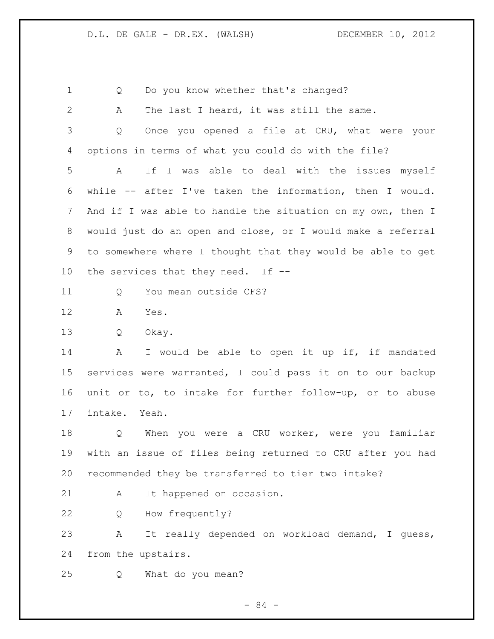1 Q Do you know whether that's changed? A The last I heard, it was still the same. Q Once you opened a file at CRU, what were your options in terms of what you could do with the file? A If I was able to deal with the issues myself while -- after I've taken the information, then I would. 7 And if I was able to handle the situation on my own, then I would just do an open and close, or I would make a referral to somewhere where I thought that they would be able to get the services that they need. If -- 11 0 You mean outside CFS? A Yes. Q Okay. 14 A I would be able to open it up if, if mandated services were warranted, I could pass it on to our backup unit or to, to intake for further follow-up, or to abuse intake. Yeah. 18 Q When you were a CRU worker, were you familiar with an issue of files being returned to CRU after you had recommended they be transferred to tier two intake? 21 A It happened on occasion. Q How frequently? A It really depended on workload demand, I guess, from the upstairs. Q What do you mean?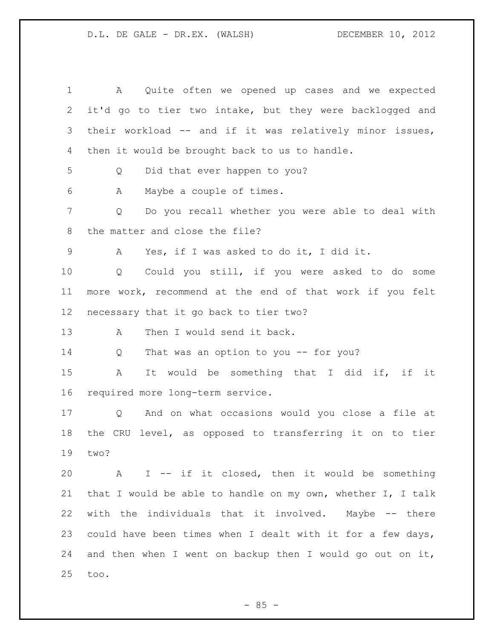A Quite often we opened up cases and we expected it'd go to tier two intake, but they were backlogged and their workload -- and if it was relatively minor issues, then it would be brought back to us to handle. Q Did that ever happen to you? A Maybe a couple of times. Q Do you recall whether you were able to deal with the matter and close the file? A Yes, if I was asked to do it, I did it. Q Could you still, if you were asked to do some more work, recommend at the end of that work if you felt necessary that it go back to tier two? 13 A Then I would send it back. Q That was an option to you -- for you? A It would be something that I did if, if it required more long-term service. Q And on what occasions would you close a file at the CRU level, as opposed to transferring it on to tier two? A I -- if it closed, then it would be something that I would be able to handle on my own, whether I, I talk with the individuals that it involved. Maybe -- there could have been times when I dealt with it for a few days, and then when I went on backup then I would go out on it, too.

 $-85 -$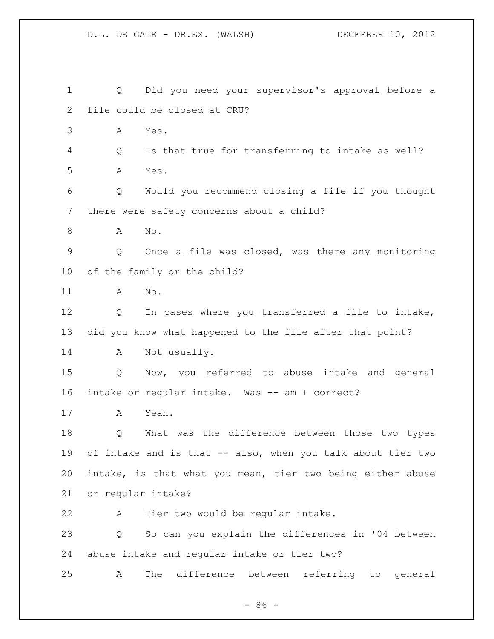Q Did you need your supervisor's approval before a file could be closed at CRU? A Yes. Q Is that true for transferring to intake as well? A Yes. Q Would you recommend closing a file if you thought there were safety concerns about a child? A No. Q Once a file was closed, was there any monitoring of the family or the child? A No. Q In cases where you transferred a file to intake, did you know what happened to the file after that point? A Not usually. Q Now, you referred to abuse intake and general 16 intake or regular intake. Was -- am I correct? A Yeah. Q What was the difference between those two types of intake and is that -- also, when you talk about tier two intake, is that what you mean, tier two being either abuse or regular intake? A Tier two would be regular intake. Q So can you explain the differences in '04 between abuse intake and regular intake or tier two? A The difference between referring to general

 $-86 -$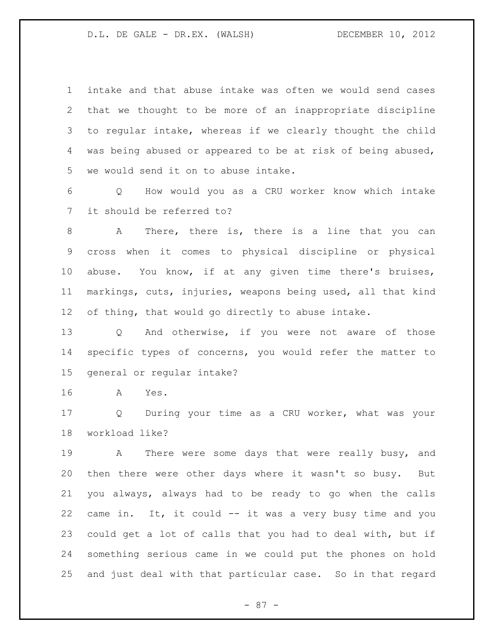intake and that abuse intake was often we would send cases that we thought to be more of an inappropriate discipline to regular intake, whereas if we clearly thought the child was being abused or appeared to be at risk of being abused, we would send it on to abuse intake.

 Q How would you as a CRU worker know which intake it should be referred to?

 A There, there is, there is a line that you can cross when it comes to physical discipline or physical abuse. You know, if at any given time there's bruises, markings, cuts, injuries, weapons being used, all that kind of thing, that would go directly to abuse intake.

 Q And otherwise, if you were not aware of those specific types of concerns, you would refer the matter to general or regular intake?

A Yes.

 Q During your time as a CRU worker, what was your workload like?

 A There were some days that were really busy, and then there were other days where it wasn't so busy. But you always, always had to be ready to go when the calls came in. It, it could -- it was a very busy time and you could get a lot of calls that you had to deal with, but if something serious came in we could put the phones on hold and just deal with that particular case. So in that regard

- 87 -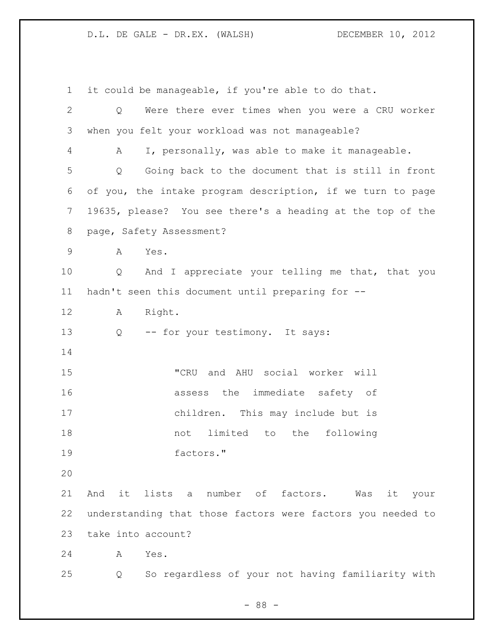it could be manageable, if you're able to do that. Q Were there ever times when you were a CRU worker when you felt your workload was not manageable? A I, personally, was able to make it manageable. Q Going back to the document that is still in front of you, the intake program description, if we turn to page 19635, please? You see there's a heading at the top of the page, Safety Assessment? A Yes. Q And I appreciate your telling me that, that you hadn't seen this document until preparing for -- A Right. Q -- for your testimony. It says: "CRU and AHU social worker will assess the immediate safety of children. This may include but is not limited to the following factors." And it lists a number of factors. Was it your understanding that those factors were factors you needed to take into account? A Yes. Q So regardless of your not having familiarity with

- 88 -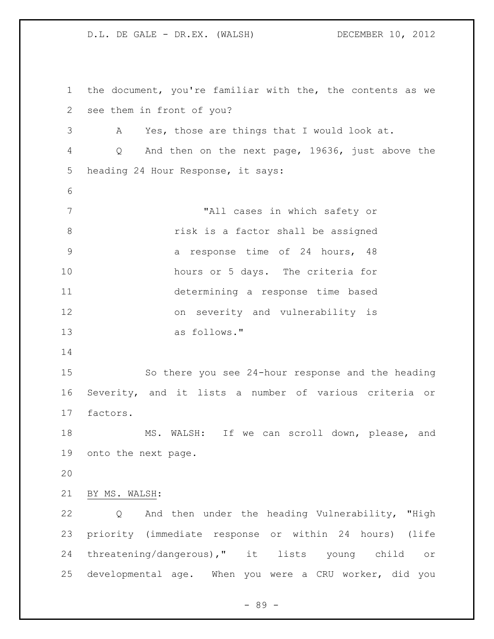the document, you're familiar with the, the contents as we see them in front of you? A Yes, those are things that I would look at. Q And then on the next page, 19636, just above the heading 24 Hour Response, it says: "All cases in which safety or risk is a factor shall be assigned **3 1 a** response time of 24 hours, 48 hours or 5 days. The criteria for determining a response time based on severity and vulnerability is as follows." So there you see 24-hour response and the heading Severity, and it lists a number of various criteria or factors. MS. WALSH: If we can scroll down, please, and onto the next page. BY MS. WALSH: Q And then under the heading Vulnerability, "High priority (immediate response or within 24 hours) (life threatening/dangerous)," it lists young child or developmental age. When you were a CRU worker, did you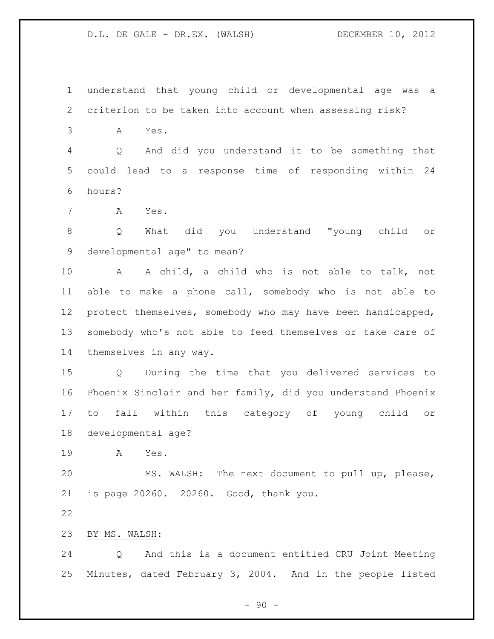understand that young child or developmental age was a criterion to be taken into account when assessing risk?

A Yes.

 Q And did you understand it to be something that could lead to a response time of responding within 24 hours?

A Yes.

 Q What did you understand "young child or developmental age" to mean?

 A A child, a child who is not able to talk, not able to make a phone call, somebody who is not able to protect themselves, somebody who may have been handicapped, somebody who's not able to feed themselves or take care of themselves in any way.

 Q During the time that you delivered services to Phoenix Sinclair and her family, did you understand Phoenix to fall within this category of young child or developmental age?

A Yes.

 MS. WALSH: The next document to pull up, please, is page 20260. 20260. Good, thank you.

BY MS. WALSH:

 Q And this is a document entitled CRU Joint Meeting Minutes, dated February 3, 2004. And in the people listed

 $-90 -$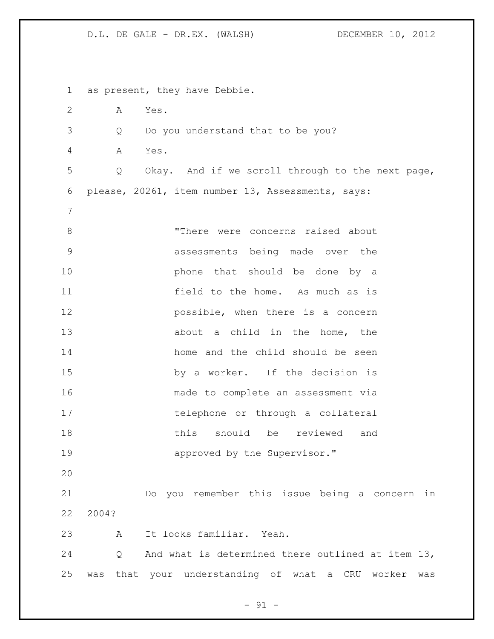as present, they have Debbie. A Yes. Q Do you understand that to be you? A Yes. Q Okay. And if we scroll through to the next page, please, 20261, item number 13, Assessments, says: 8 There were concerns raised about assessments being made over the **phone** that should be done by a field to the home. As much as is **possible, when there is a concern** 13 about a child in the home, the home and the child should be seen by a worker. If the decision is made to complete an assessment via telephone or through a collateral this should be reviewed and **approved** by the Supervisor." Do you remember this issue being a concern in 2004? A It looks familiar. Yeah. Q And what is determined there outlined at item 13, was that your understanding of what a CRU worker was

- 91 -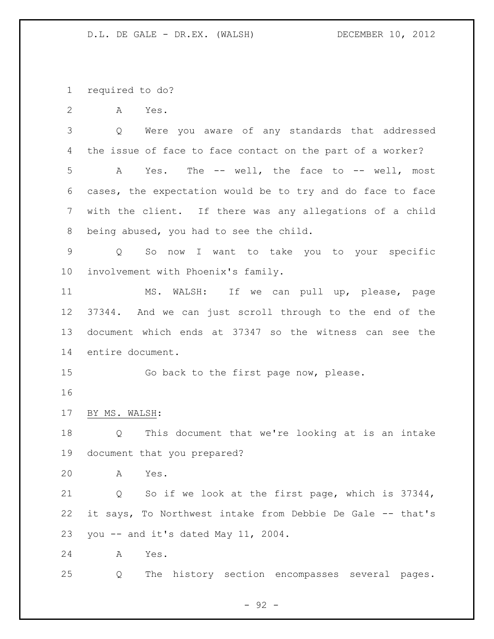required to do?

A Yes.

 Q Were you aware of any standards that addressed the issue of face to face contact on the part of a worker? A Yes. The -- well, the face to -- well, most cases, the expectation would be to try and do face to face with the client. If there was any allegations of a child being abused, you had to see the child.

 Q So now I want to take you to your specific involvement with Phoenix's family.

 MS. WALSH: If we can pull up, please, page 37344. And we can just scroll through to the end of the document which ends at 37347 so the witness can see the entire document.

Go back to the first page now, please.

BY MS. WALSH:

 Q This document that we're looking at is an intake document that you prepared?

A Yes.

 Q So if we look at the first page, which is 37344, it says, To Northwest intake from Debbie De Gale -- that's you -- and it's dated May 11, 2004.

A Yes.

Q The history section encompasses several pages.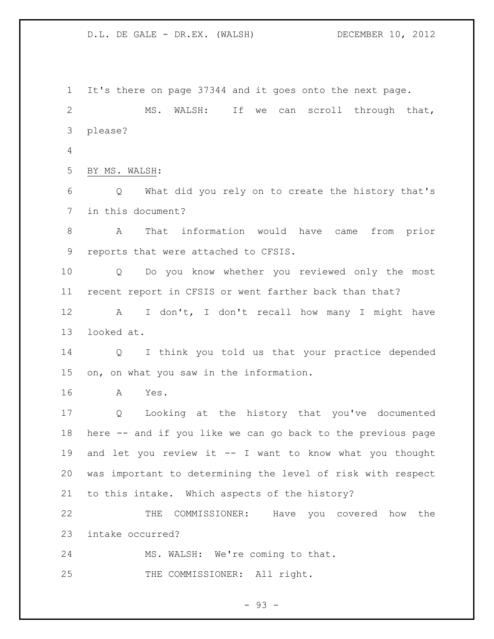It's there on page 37344 and it goes onto the next page. MS. WALSH: If we can scroll through that, please? BY MS. WALSH: Q What did you rely on to create the history that's in this document? A That information would have came from prior reports that were attached to CFSIS. Q Do you know whether you reviewed only the most recent report in CFSIS or went farther back than that? A I don't, I don't recall how many I might have looked at. Q I think you told us that your practice depended on, on what you saw in the information. A Yes. Q Looking at the history that you've documented here -- and if you like we can go back to the previous page 19 and let you review it -- I want to know what you thought was important to determining the level of risk with respect to this intake. Which aspects of the history? THE COMMISSIONER: Have you covered how the intake occurred? MS. WALSH: We're coming to that. 25 THE COMMISSIONER: All right.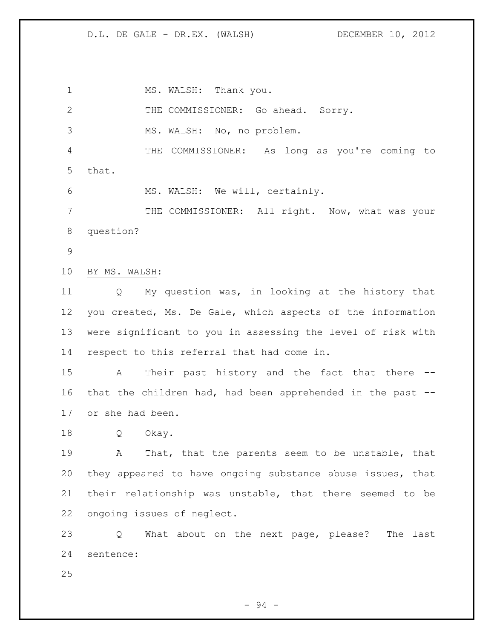1 MS. WALSH: Thank you. THE COMMISSIONER: Go ahead. Sorry. MS. WALSH: No, no problem. THE COMMISSIONER: As long as you're coming to that. MS. WALSH: We will, certainly. THE COMMISSIONER: All right. Now, what was your question? BY MS. WALSH: Q My question was, in looking at the history that you created, Ms. De Gale, which aspects of the information were significant to you in assessing the level of risk with respect to this referral that had come in. A Their past history and the fact that there -- that the children had, had been apprehended in the past -- or she had been. Q Okay. A That, that the parents seem to be unstable, that they appeared to have ongoing substance abuse issues, that their relationship was unstable, that there seemed to be ongoing issues of neglect.

 Q What about on the next page, please? The last sentence:

- 94 -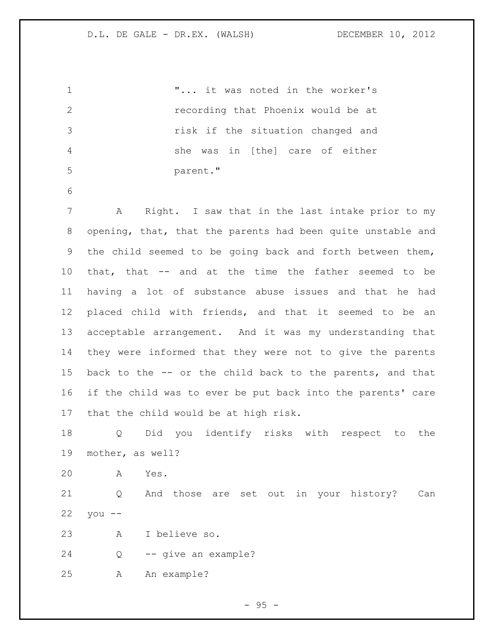| 1              | " it was noted in the worker's                              |
|----------------|-------------------------------------------------------------|
| $\mathbf{2}$   | recording that Phoenix would be at                          |
| 3              | risk if the situation changed and                           |
| $\overline{4}$ | she was in [the] care of either                             |
| 5              | parent."                                                    |
| 6              |                                                             |
| 7              | Α<br>Right. I saw that in the last intake prior to my       |
| 8              | opening, that, that the parents had been quite unstable and |
| 9              | the child seemed to be going back and forth between them,   |
| 10             | that, that -- and at the time the father seemed to be       |
| 11             | having a lot of substance abuse issues and that he had      |
| 12             | placed child with friends, and that it seemed to be an      |
| 13             | acceptable arrangement. And it was my understanding that    |
| 14             | they were informed that they were not to give the parents   |
| 15             | back to the -- or the child back to the parents, and that   |
| 16             | if the child was to ever be put back into the parents' care |
| 17             | that the child would be at high risk.                       |
| 18             | Did you identify risks with respect to<br>Q<br>the          |
| 19             | mother, as well?                                            |
| 20             | Α<br>Yes.                                                   |
| 21             | And those are set out in your history?<br>Q<br>Can          |
| 22             | you<br>$- -$                                                |
| 23             | I believe so.<br>A                                          |
| 24             | -- give an example?<br>Q                                    |
| 25             | An example?<br>Α                                            |

- 95 -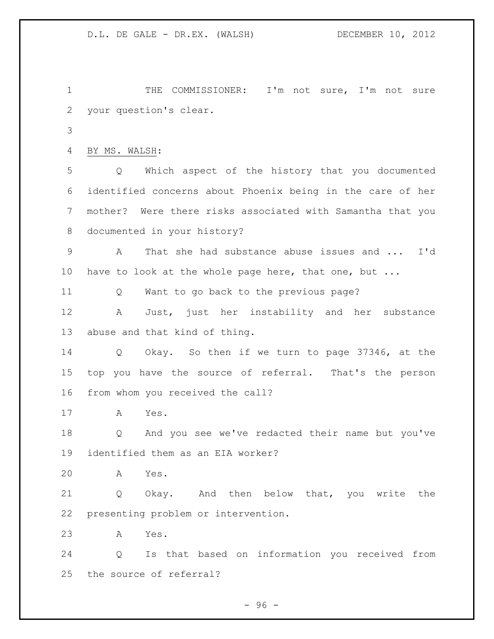1 THE COMMISSIONER: I'm not sure, I'm not sure your question's clear.

```
4 BY MS. WALSH:
```
 Q Which aspect of the history that you documented identified concerns about Phoenix being in the care of her mother? Were there risks associated with Samantha that you documented in your history?

 A That she had substance abuse issues and ... I'd 10 have to look at the whole page here, that one, but ...

Q Want to go back to the previous page?

 A Just, just her instability and her substance abuse and that kind of thing.

 Q Okay. So then if we turn to page 37346, at the top you have the source of referral. That's the person from whom you received the call?

A Yes.

 Q And you see we've redacted their name but you've identified them as an EIA worker?

A Yes.

 Q Okay. And then below that, you write the presenting problem or intervention.

A Yes.

 Q Is that based on information you received from the source of referral?

 $-96 -$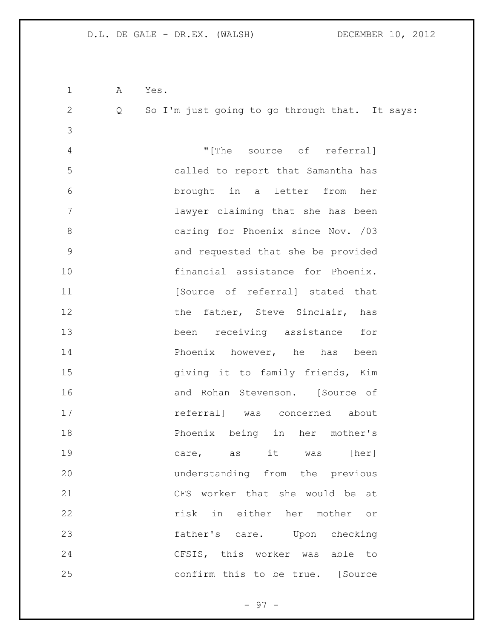| $\mathbf 1$   | A | Yes.                                           |
|---------------|---|------------------------------------------------|
| $\mathbf{2}$  | Q | So I'm just going to go through that. It says: |
| 3             |   |                                                |
| 4             |   | "[The source of referral]                      |
| 5             |   | called to report that Samantha has             |
| 6             |   | brought in a letter from her                   |
| 7             |   | lawyer claiming that she has been              |
| 8             |   | caring for Phoenix since Nov. /03              |
| $\mathcal{G}$ |   | and requested that she be provided             |
| 10            |   | financial assistance for Phoenix.              |
| 11            |   | [Source of referral] stated that               |
| 12            |   | the father, Steve Sinclair, has                |
| 13            |   | receiving assistance for<br>been               |
| 14            |   | Phoenix however, he has been                   |
| 15            |   | giving it to family friends, Kim               |
| 16            |   | and Rohan Stevenson. [Source of                |
| 17            |   | referral] was concerned about                  |
| 18            |   | Phoenix being in her mother's                  |
| 19            |   | care, as it was [her]                          |
| 20            |   | understanding from the previous                |
| 21            |   | CFS worker that she would be at                |
| 22            |   | risk in either her mother or                   |
| 23            |   | father's care. Upon checking                   |
| 24            |   | CFSIS, this worker was able to                 |
| 25            |   | confirm this to be true. [Source               |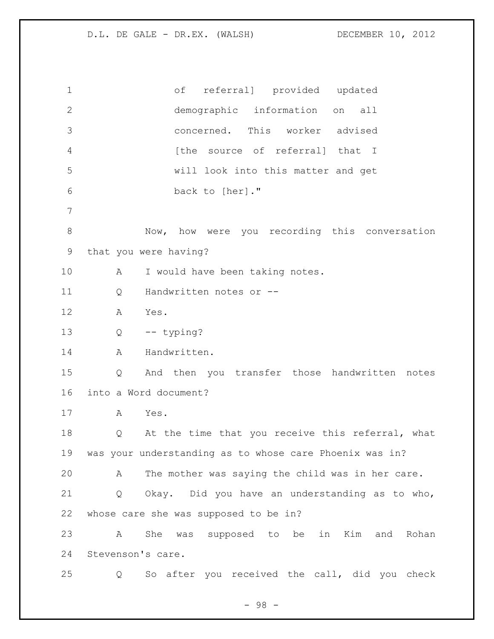of referral] provided updated demographic information on all concerned. This worker advised **1** [the source of referral] that I will look into this matter and get back to [her]." Now, how were you recording this conversation that you were having? 10 A I would have been taking notes. Q Handwritten notes or -- A Yes. Q -- typing? 14 A Handwritten. Q And then you transfer those handwritten notes into a Word document? A Yes. 18 Q At the time that you receive this referral, what was your understanding as to whose care Phoenix was in? A The mother was saying the child was in her care. Q Okay. Did you have an understanding as to who, whose care she was supposed to be in? A She was supposed to be in Kim and Rohan Stevenson's care. Q So after you received the call, did you check

- 98 -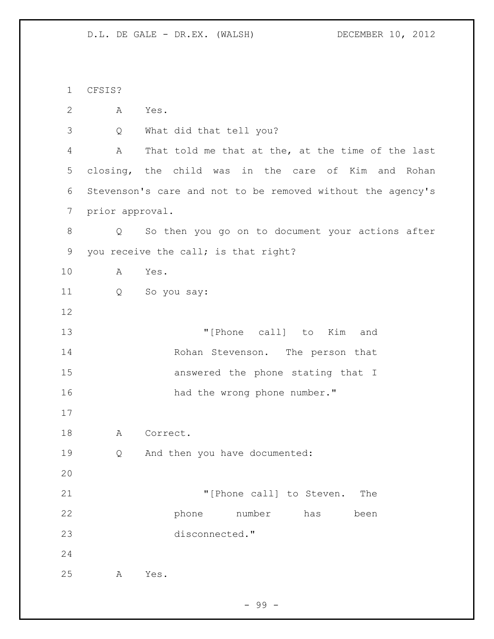CFSIS? A Yes. Q What did that tell you? A That told me that at the, at the time of the last closing, the child was in the care of Kim and Rohan Stevenson's care and not to be removed without the agency's prior approval. Q So then you go on to document your actions after you receive the call; is that right? A Yes. Q So you say: "[Phone call] to Kim and Rohan Stevenson. The person that answered the phone stating that I 16 had the wrong phone number." 18 A Correct. Q And then you have documented: **Thone** call] to Steven. The phone number has been disconnected." A Yes.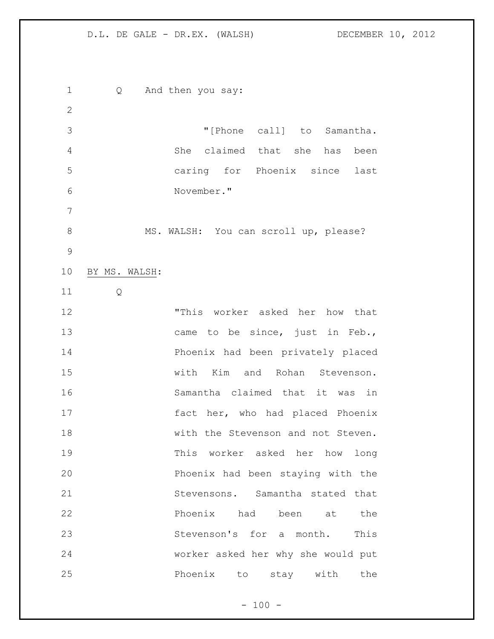Q And then you say: "[Phone call] to Samantha. She claimed that she has been caring for Phoenix since last November." 8 MS. WALSH: You can scroll up, please? BY MS. WALSH: Q "This worker asked her how that 13 came to be since, just in Feb., Phoenix had been privately placed with Kim and Rohan Stevenson. Samantha claimed that it was in fact her, who had placed Phoenix with the Stevenson and not Steven. This worker asked her how long Phoenix had been staying with the Stevensons. Samantha stated that **Phoenix** had been at the Stevenson's for a month. This worker asked her why she would put Phoenix to stay with the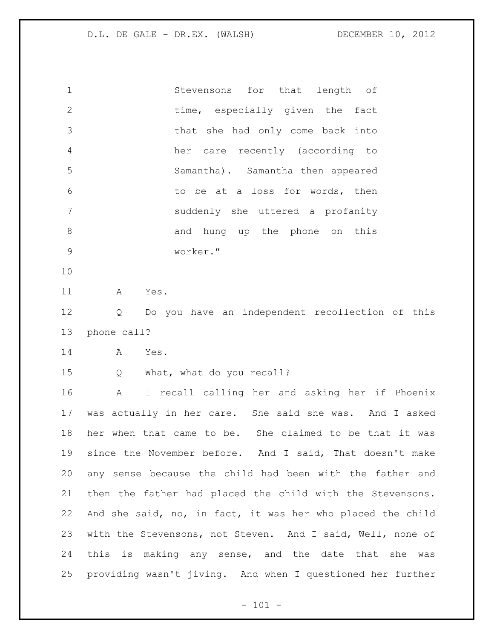| $\mathbf{1}$   | Stevensons for that length of     |
|----------------|-----------------------------------|
| $\overline{2}$ | time, especially given the fact   |
| 3              | that she had only come back into  |
| 4              | her care recently (according to   |
| 5              | Samantha). Samantha then appeared |
| 6              | to be at a loss for words, then   |
| 7              | suddenly she uttered a profanity  |
| 8              | and hung up the phone on this     |
| 9              | worker."                          |

A Yes.

 Q Do you have an independent recollection of this phone call?

- A Yes.
- 

Q What, what do you recall?

 A I recall calling her and asking her if Phoenix was actually in her care. She said she was. And I asked her when that came to be. She claimed to be that it was since the November before. And I said, That doesn't make any sense because the child had been with the father and then the father had placed the child with the Stevensons. And she said, no, in fact, it was her who placed the child with the Stevensons, not Steven. And I said, Well, none of this is making any sense, and the date that she was providing wasn't jiving. And when I questioned her further

 $- 101 -$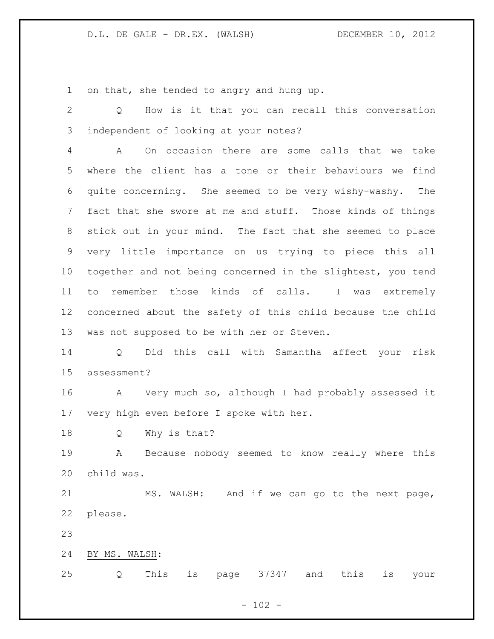on that, she tended to angry and hung up.

 Q How is it that you can recall this conversation independent of looking at your notes? A On occasion there are some calls that we take where the client has a tone or their behaviours we find quite concerning. She seemed to be very wishy-washy. The fact that she swore at me and stuff. Those kinds of things stick out in your mind. The fact that she seemed to place very little importance on us trying to piece this all together and not being concerned in the slightest, you tend to remember those kinds of calls. I was extremely concerned about the safety of this child because the child was not supposed to be with her or Steven. Q Did this call with Samantha affect your risk assessment? A Very much so, although I had probably assessed it very high even before I spoke with her. Q Why is that? A Because nobody seemed to know really where this child was. MS. WALSH: And if we can go to the next page, please. BY MS. WALSH: Q This is page 37347 and this is your

 $- 102 -$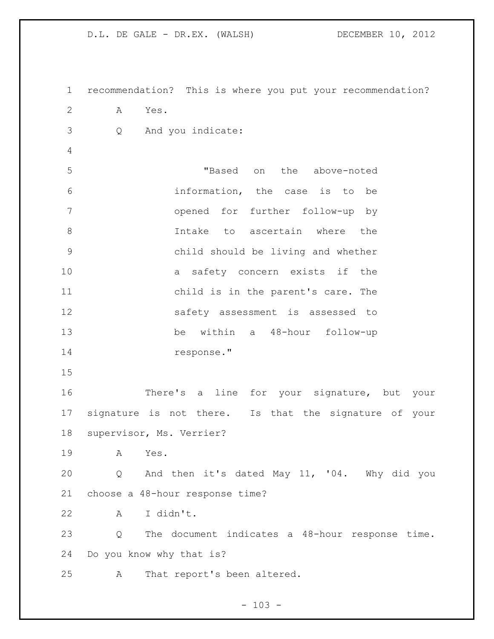recommendation? This is where you put your recommendation? A Yes. Q And you indicate: "Based on the above-noted information, the case is to be opened for further follow-up by 8 1ntake to ascertain where the child should be living and whether a safety concern exists if the child is in the parent's care. The safety assessment is assessed to be within a 48-hour follow-up response." There's a line for your signature, but your signature is not there. Is that the signature of your supervisor, Ms. Verrier? A Yes. Q And then it's dated May 11, '04. Why did you choose a 48-hour response time? A I didn't. Q The document indicates a 48-hour response time. Do you know why that is? A That report's been altered.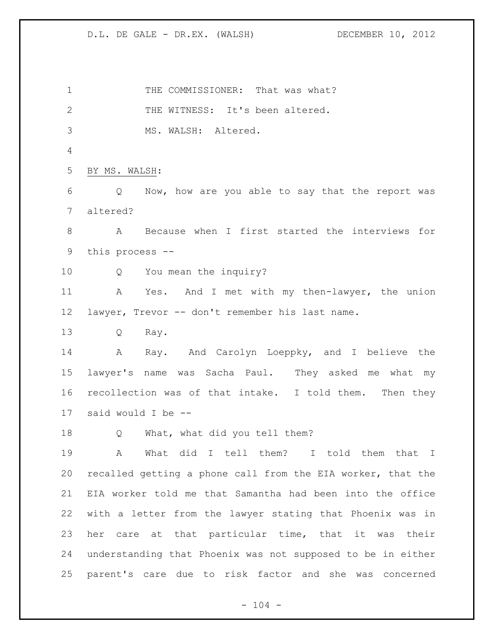1 THE COMMISSIONER: That was what? 2 THE WITNESS: It's been altered. MS. WALSH: Altered. BY MS. WALSH: Q Now, how are you able to say that the report was altered? A Because when I first started the interviews for this process -- Q You mean the inquiry? A Yes. And I met with my then-lawyer, the union lawyer, Trevor -- don't remember his last name. Q Ray. 14 A Ray. And Carolyn Loeppky, and I believe the lawyer's name was Sacha Paul. They asked me what my recollection was of that intake. I told them. Then they said would I be -- Q What, what did you tell them? A What did I tell them? I told them that I recalled getting a phone call from the EIA worker, that the EIA worker told me that Samantha had been into the office with a letter from the lawyer stating that Phoenix was in her care at that particular time, that it was their understanding that Phoenix was not supposed to be in either parent's care due to risk factor and she was concerned

D.L. DE GALE - DR.EX. (WALSH) DECEMBER 10, 2012

 $- 104 -$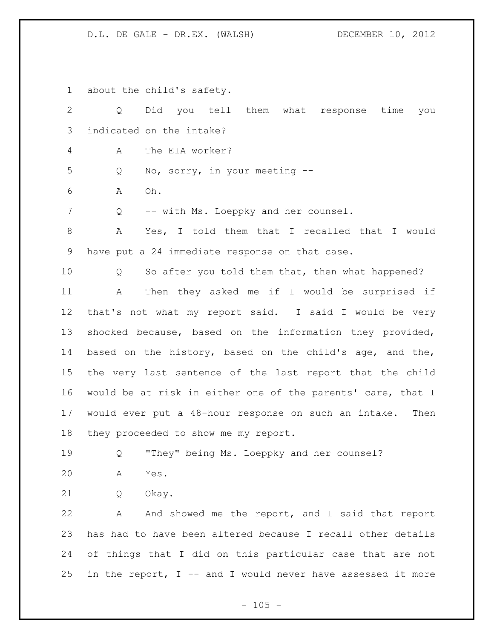about the child's safety.

| $\overline{2}$ | Did you tell them what response time<br>Q<br>you              |
|----------------|---------------------------------------------------------------|
| 3              | indicated on the intake?                                      |
| 4              | The EIA worker?<br>A                                          |
| 5              | No, sorry, in your meeting --<br>Q                            |
| 6              | Oh.<br>Α                                                      |
| 7              | -- with Ms. Loeppky and her counsel.<br>Q                     |
| $8\,$          | Yes, I told them that I recalled that I would<br>А            |
| 9              | have put a 24 immediate response on that case.                |
| 10             | So after you told them that, then what happened?<br>Q         |
| 11             | Then they asked me if I would be surprised if<br>Α            |
| 12             | that's not what my report said. I said I would be very        |
| 13             | shocked because, based on the information they provided,      |
| 14             | based on the history, based on the child's age, and the,      |
| 15             | the very last sentence of the last report that the child      |
| 16             | would be at risk in either one of the parents' care, that I   |
| 17             | would ever put a 48-hour response on such an intake.<br>Then  |
| 18             | they proceeded to show me my report.                          |
| 19             | "They" being Ms. Loeppky and her counsel?<br>Q                |
| 20             | А<br>Yes.                                                     |
| 21             | Okay.<br>Q                                                    |
| 22             | And showed me the report, and I said that report<br>Α         |
| 23             | has had to have been altered because I recall other details   |
| 24             | of things that I did on this particular case that are not     |
| 25             | in the report, $I$ -- and I would never have assessed it more |

 $- 105 -$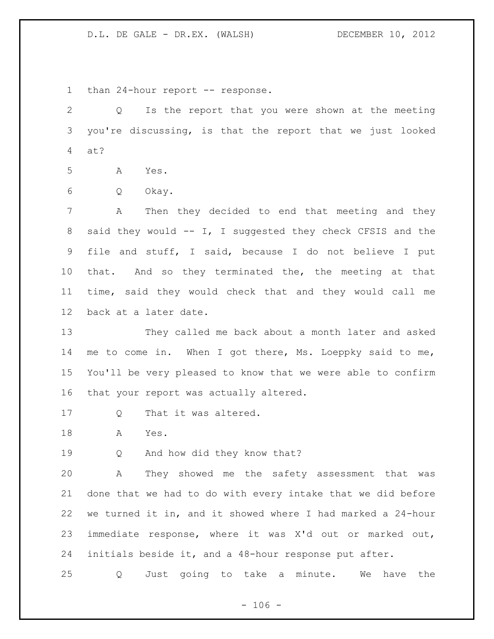1 than 24-hour report -- response.

 Q Is the report that you were shown at the meeting you're discussing, is that the report that we just looked at?

A Yes.

Q Okay.

 A Then they decided to end that meeting and they 8 said they would -- I, I suggested they check CFSIS and the file and stuff, I said, because I do not believe I put that. And so they terminated the, the meeting at that time, said they would check that and they would call me back at a later date.

 They called me back about a month later and asked me to come in. When I got there, Ms. Loeppky said to me, You'll be very pleased to know that we were able to confirm that your report was actually altered.

- 17 Q That it was altered.
- A Yes.

19 Q And how did they know that?

 A They showed me the safety assessment that was done that we had to do with every intake that we did before we turned it in, and it showed where I had marked a 24-hour immediate response, where it was X'd out or marked out, initials beside it, and a 48-hour response put after.

Q Just going to take a minute. We have the

 $- 106 -$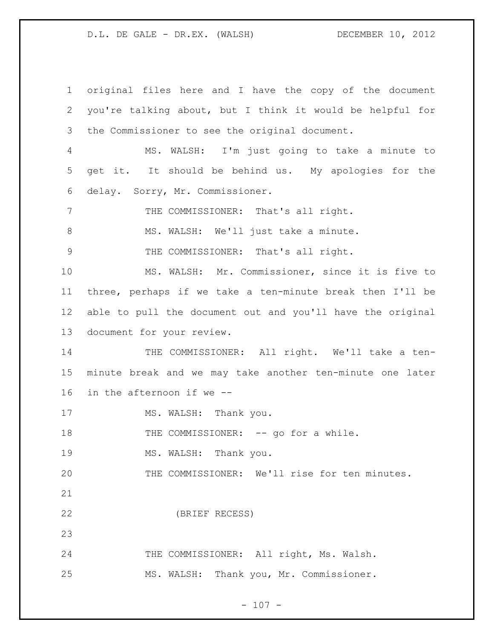original files here and I have the copy of the document you're talking about, but I think it would be helpful for the Commissioner to see the original document. MS. WALSH: I'm just going to take a minute to get it. It should be behind us. My apologies for the delay. Sorry, Mr. Commissioner. 7 THE COMMISSIONER: That's all right. 8 MS. WALSH: We'll just take a minute. THE COMMISSIONER: That's all right. MS. WALSH: Mr. Commissioner, since it is five to three, perhaps if we take a ten-minute break then I'll be able to pull the document out and you'll have the original document for your review. 14 THE COMMISSIONER: All right. We'll take a ten- minute break and we may take another ten-minute one later in the afternoon if we -- 17 MS. WALSH: Thank you. 18 THE COMMISSIONER: -- go for a while. 19 MS. WALSH: Thank you. THE COMMISSIONER: We'll rise for ten minutes. (BRIEF RECESS) 24 THE COMMISSIONER: All right, Ms. Walsh. MS. WALSH: Thank you, Mr. Commissioner.

 $- 107 -$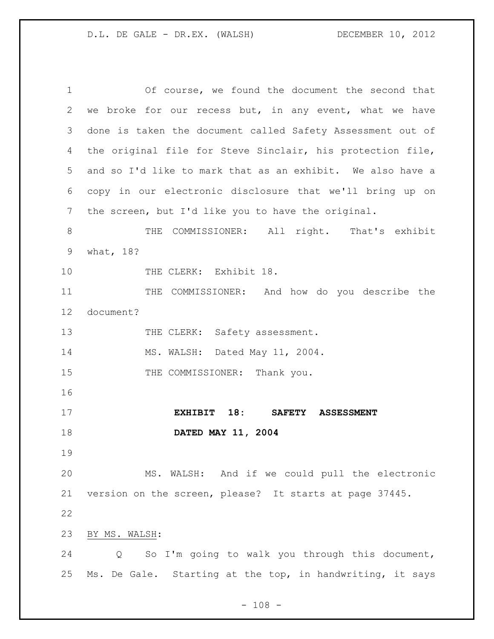Of course, we found the document the second that we broke for our recess but, in any event, what we have done is taken the document called Safety Assessment out of the original file for Steve Sinclair, his protection file, and so I'd like to mark that as an exhibit. We also have a copy in our electronic disclosure that we'll bring up on the screen, but I'd like you to have the original. 8 THE COMMISSIONER: All right. That's exhibit what, 18? 10 THE CLERK: Exhibit 18. 11 THE COMMISSIONER: And how do you describe the document? 13 THE CLERK: Safety assessment. MS. WALSH: Dated May 11, 2004. 15 THE COMMISSIONER: Thank you. **EXHIBIT 18: SAFETY ASSESSMENT DATED MAY 11, 2004** MS. WALSH: And if we could pull the electronic version on the screen, please? It starts at page 37445. BY MS. WALSH: Q So I'm going to walk you through this document, Ms. De Gale. Starting at the top, in handwriting, it says

 $- 108 -$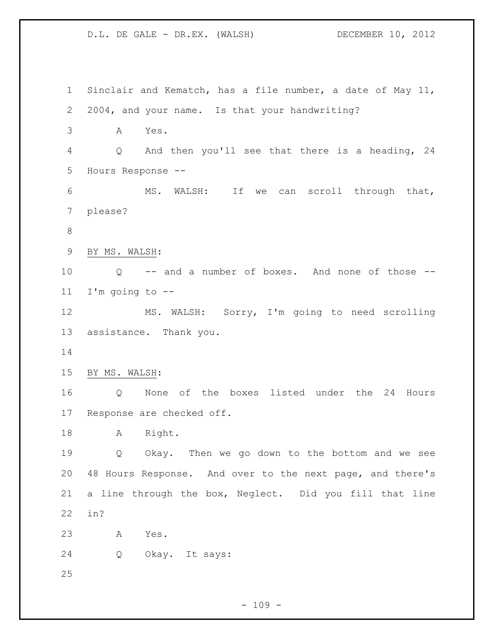D.L. DE GALE - DR.EX. (WALSH) DECEMBER 10, 2012 Sinclair and Kematch, has a file number, a date of May 11, 2004, and your name. Is that your handwriting? A Yes. Q And then you'll see that there is a heading, 24 Hours Response -- MS. WALSH: If we can scroll through that, please? BY MS. WALSH: Q -- and a number of boxes. And none of those -- I'm going to -- MS. WALSH: Sorry, I'm going to need scrolling assistance. Thank you. BY MS. WALSH: Q None of the boxes listed under the 24 Hours Response are checked off. A Right. Q Okay. Then we go down to the bottom and we see 48 Hours Response. And over to the next page, and there's a line through the box, Neglect. Did you fill that line in? A Yes. Q Okay. It says: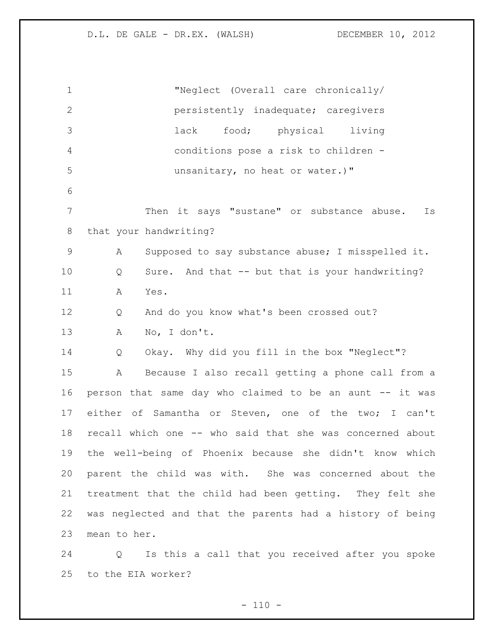"Neglect (Overall care chronically/ persistently inadequate; caregivers lack food; physical living conditions pose a risk to children - unsanitary, no heat or water.)" Then it says "sustane" or substance abuse. Is that your handwriting? A Supposed to say substance abuse; I misspelled it. Q Sure. And that -- but that is your handwriting? A Yes. Q And do you know what's been crossed out? A No, I don't. Q Okay. Why did you fill in the box "Neglect"? A Because I also recall getting a phone call from a person that same day who claimed to be an aunt -- it was either of Samantha or Steven, one of the two; I can't recall which one -- who said that she was concerned about the well-being of Phoenix because she didn't know which parent the child was with. She was concerned about the treatment that the child had been getting. They felt she was neglected and that the parents had a history of being mean to her.

 Q Is this a call that you received after you spoke to the EIA worker?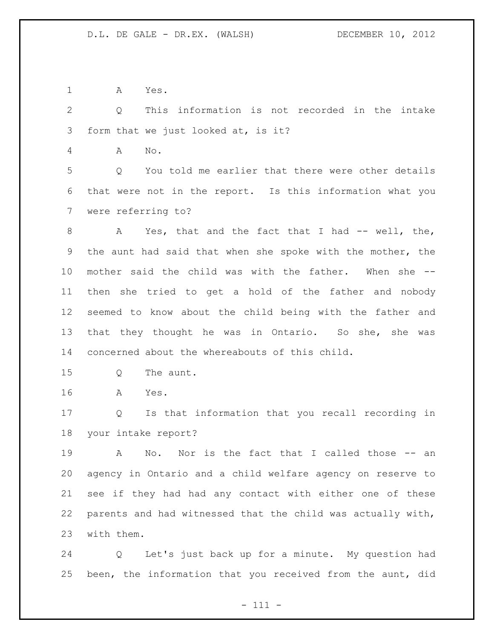A Yes.

 Q This information is not recorded in the intake form that we just looked at, is it?

A No.

 Q You told me earlier that there were other details that were not in the report. Is this information what you were referring to?

8 A Yes, that and the fact that I had -- well, the, the aunt had said that when she spoke with the mother, the mother said the child was with the father. When she -- then she tried to get a hold of the father and nobody seemed to know about the child being with the father and that they thought he was in Ontario. So she, she was concerned about the whereabouts of this child.

- 15 O The aunt.
- A Yes.

 Q Is that information that you recall recording in your intake report?

 A No. Nor is the fact that I called those -- an agency in Ontario and a child welfare agency on reserve to see if they had had any contact with either one of these parents and had witnessed that the child was actually with, with them.

 Q Let's just back up for a minute. My question had been, the information that you received from the aunt, did

- 111 -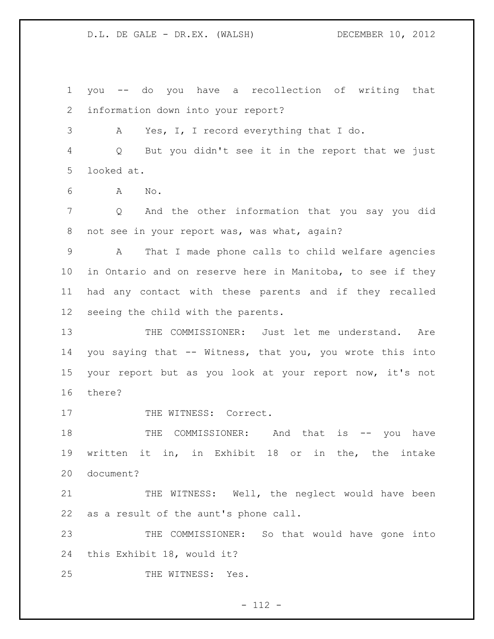you -- do you have a recollection of writing that information down into your report? A Yes, I, I record everything that I do. Q But you didn't see it in the report that we just looked at. A No. Q And the other information that you say you did 8 not see in your report was, was what, again? A That I made phone calls to child welfare agencies in Ontario and on reserve here in Manitoba, to see if they had any contact with these parents and if they recalled seeing the child with the parents. THE COMMISSIONER: Just let me understand. Are you saying that -- Witness, that you, you wrote this into your report but as you look at your report now, it's not there? 17 THE WITNESS: Correct.

18 THE COMMISSIONER: And that is -- you have written it in, in Exhibit 18 or in the, the intake document?

21 THE WITNESS: Well, the neglect would have been as a result of the aunt's phone call.

 THE COMMISSIONER: So that would have gone into this Exhibit 18, would it?

25 THE WITNESS: Yes.

- 112 -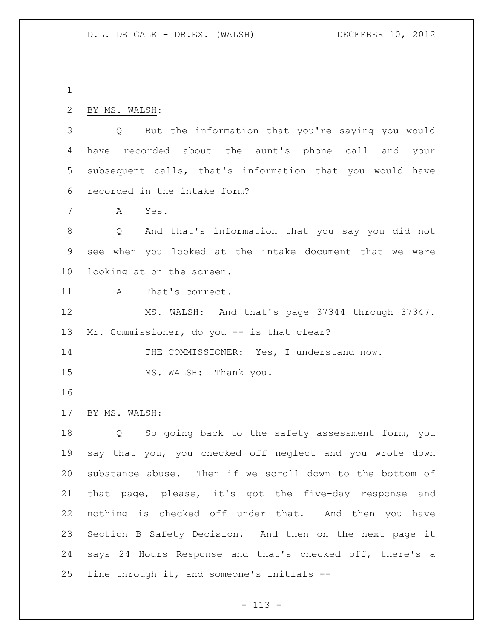```
2 BY MS. WALSH:
```
 Q But the information that you're saying you would have recorded about the aunt's phone call and your subsequent calls, that's information that you would have recorded in the intake form?

A Yes.

 Q And that's information that you say you did not see when you looked at the intake document that we were looking at on the screen.

A That's correct.

 MS. WALSH: And that's page 37344 through 37347. 13 Mr. Commissioner, do you -- is that clear?

14 THE COMMISSIONER: Yes, I understand now.

15 MS. WALSH: Thank you.

BY MS. WALSH:

 Q So going back to the safety assessment form, you say that you, you checked off neglect and you wrote down substance abuse. Then if we scroll down to the bottom of that page, please, it's got the five-day response and nothing is checked off under that. And then you have Section B Safety Decision. And then on the next page it says 24 Hours Response and that's checked off, there's a line through it, and someone's initials --

- 113 -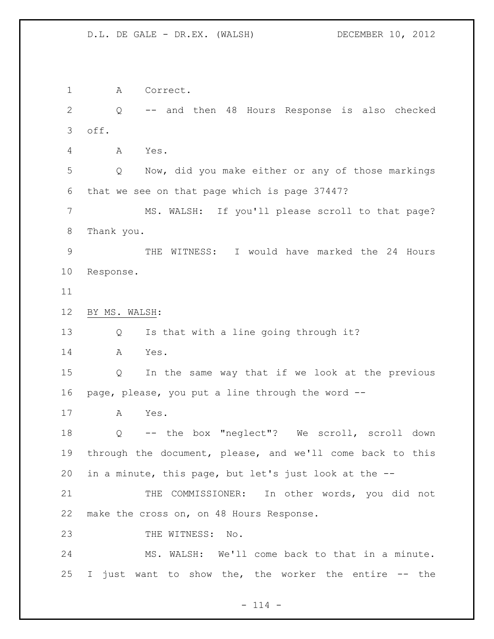A Correct. Q -- and then 48 Hours Response is also checked off. A Yes. Q Now, did you make either or any of those markings that we see on that page which is page 37447? MS. WALSH: If you'll please scroll to that page? Thank you. THE WITNESS: I would have marked the 24 Hours Response. BY MS. WALSH: Q Is that with a line going through it? A Yes. Q In the same way that if we look at the previous page, please, you put a line through the word -- A Yes. Q -- the box "neglect"? We scroll, scroll down through the document, please, and we'll come back to this in a minute, this page, but let's just look at the -- THE COMMISSIONER: In other words, you did not make the cross on, on 48 Hours Response. 23 THE WITNESS: No. MS. WALSH: We'll come back to that in a minute. I just want to show the, the worker the entire -- the

 $- 114 -$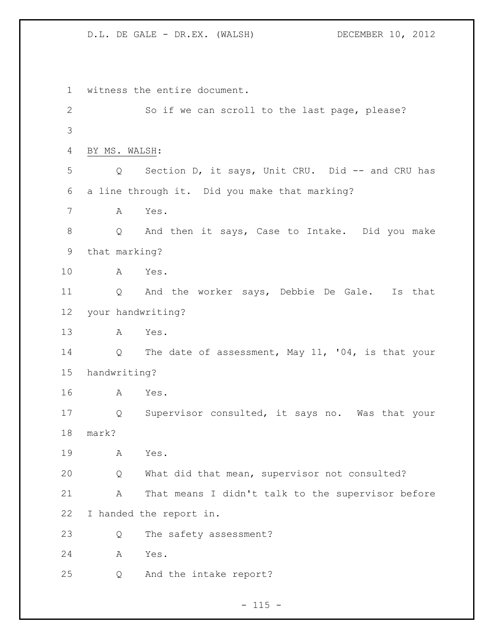witness the entire document. So if we can scroll to the last page, please? BY MS. WALSH: Q Section D, it says, Unit CRU. Did -- and CRU has a line through it. Did you make that marking? A Yes. Q And then it says, Case to Intake. Did you make that marking? A Yes. Q And the worker says, Debbie De Gale. Is that your handwriting? A Yes. 14 Q The date of assessment, May 11, '04, is that your handwriting? A Yes. Q Supervisor consulted, it says no. Was that your mark? A Yes. Q What did that mean, supervisor not consulted? A That means I didn't talk to the supervisor before I handed the report in. Q The safety assessment? A Yes. Q And the intake report?

 $- 115 -$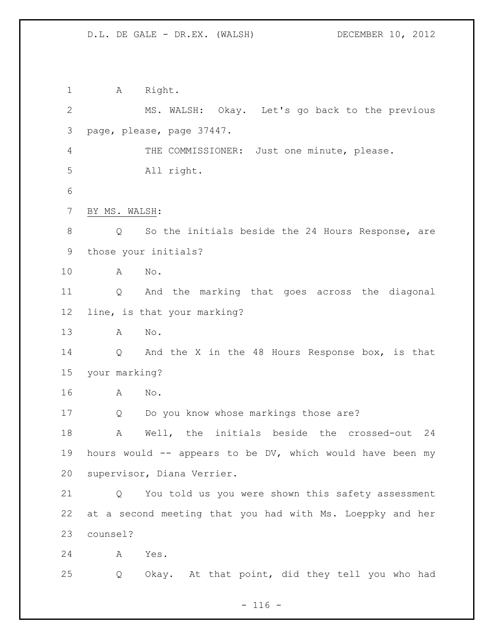1 A Right. MS. WALSH: Okay. Let's go back to the previous page, please, page 37447. 4 THE COMMISSIONER: Just one minute, please. All right. BY MS. WALSH: Q So the initials beside the 24 Hours Response, are those your initials? A No. Q And the marking that goes across the diagonal line, is that your marking? A No. Q And the X in the 48 Hours Response box, is that your marking? A No. Q Do you know whose markings those are? A Well, the initials beside the crossed-out 24 hours would -- appears to be DV, which would have been my supervisor, Diana Verrier. Q You told us you were shown this safety assessment at a second meeting that you had with Ms. Loeppky and her counsel? A Yes. Q Okay. At that point, did they tell you who had

 $- 116 -$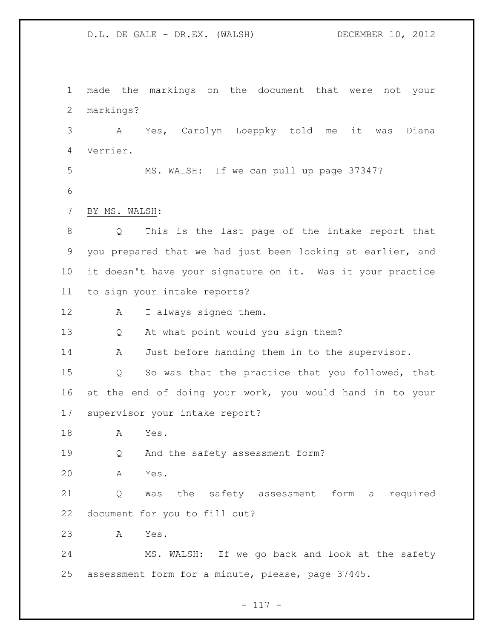made the markings on the document that were not your markings? A Yes, Carolyn Loeppky told me it was Diana Verrier. MS. WALSH: If we can pull up page 37347? BY MS. WALSH: Q This is the last page of the intake report that you prepared that we had just been looking at earlier, and it doesn't have your signature on it. Was it your practice to sign your intake reports? A I always signed them. Q At what point would you sign them? A Just before handing them in to the supervisor. Q So was that the practice that you followed, that at the end of doing your work, you would hand in to your supervisor your intake report? A Yes. Q And the safety assessment form? A Yes. Q Was the safety assessment form a required document for you to fill out?

A Yes.

 MS. WALSH: If we go back and look at the safety assessment form for a minute, please, page 37445.

- 117 -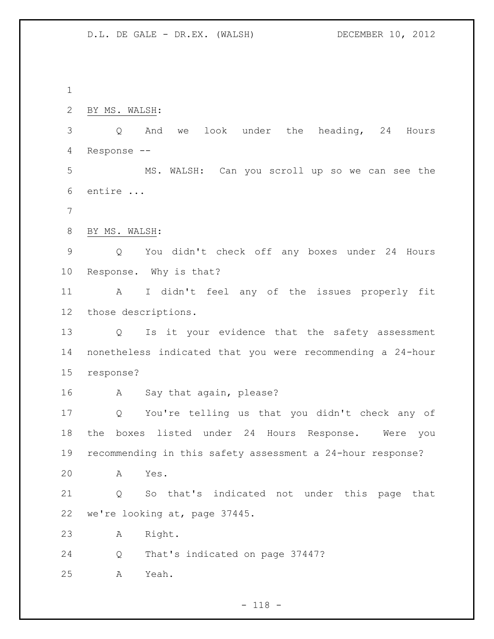BY MS. WALSH:

 Q And we look under the heading, 24 Hours Response --

 MS. WALSH: Can you scroll up so we can see the entire ...

- 
- BY MS. WALSH:

 Q You didn't check off any boxes under 24 Hours Response. Why is that?

 A I didn't feel any of the issues properly fit those descriptions.

 Q Is it your evidence that the safety assessment nonetheless indicated that you were recommending a 24-hour response?

16 A Say that again, please?

 Q You're telling us that you didn't check any of the boxes listed under 24 Hours Response. Were you recommending in this safety assessment a 24-hour response?

A Yes.

 Q So that's indicated not under this page that we're looking at, page 37445.

- A Right.
- Q That's indicated on page 37447?
- A Yeah.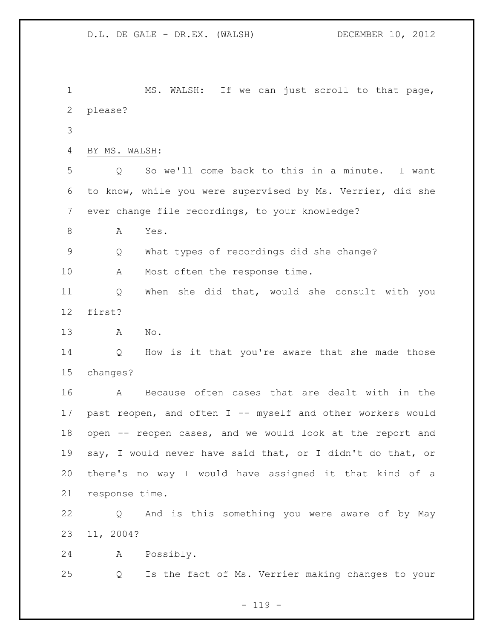MS. WALSH: If we can just scroll to that page, please? BY MS. WALSH: Q So we'll come back to this in a minute. I want to know, while you were supervised by Ms. Verrier, did she ever change file recordings, to your knowledge? 8 A Yes. Q What types of recordings did she change? 10 A Most often the response time. Q When she did that, would she consult with you first? A No. Q How is it that you're aware that she made those changes? A Because often cases that are dealt with in the past reopen, and often I -- myself and other workers would open -- reopen cases, and we would look at the report and say, I would never have said that, or I didn't do that, or there's no way I would have assigned it that kind of a response time. Q And is this something you were aware of by May 11, 2004? A Possibly. Q Is the fact of Ms. Verrier making changes to your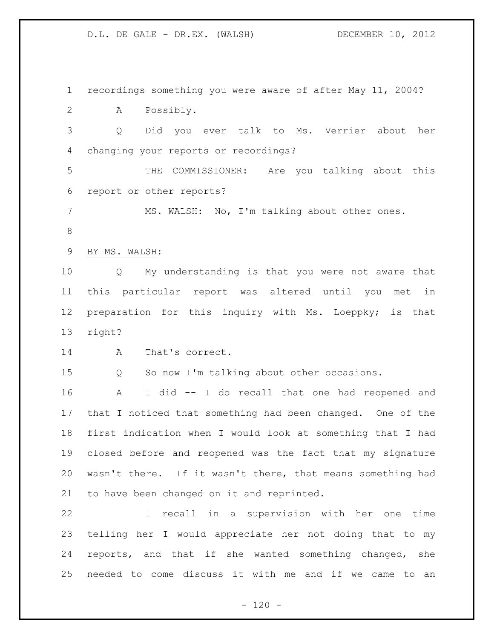recordings something you were aware of after May 11, 2004? A Possibly. Q Did you ever talk to Ms. Verrier about her changing your reports or recordings? THE COMMISSIONER: Are you talking about this report or other reports? MS. WALSH: No, I'm talking about other ones. BY MS. WALSH: Q My understanding is that you were not aware that this particular report was altered until you met in preparation for this inquiry with Ms. Loeppky; is that right? A That's correct. Q So now I'm talking about other occasions. A I did -- I do recall that one had reopened and that I noticed that something had been changed. One of the first indication when I would look at something that I had closed before and reopened was the fact that my signature wasn't there. If it wasn't there, that means something had to have been changed on it and reprinted. I recall in a supervision with her one time telling her I would appreciate her not doing that to my reports, and that if she wanted something changed, she needed to come discuss it with me and if we came to an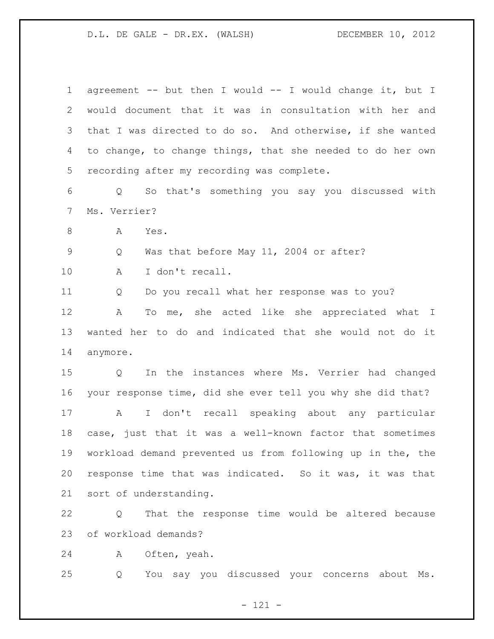| $\mathbf 1$     | agreement -- but then I would -- I would change it, but I           |
|-----------------|---------------------------------------------------------------------|
| 2               | would document that it was in consultation with her and             |
| 3               | that I was directed to do so. And otherwise, if she wanted          |
| 4               | to change, to change things, that she needed to do her own          |
| 5               | recording after my recording was complete.                          |
| 6               | So that's something you say you discussed with<br>Q                 |
| $7\phantom{.0}$ | Ms. Verrier?                                                        |
| 8               | Yes.<br>A                                                           |
| $\mathsf 9$     | Was that before May 11, 2004 or after?<br>Q                         |
| 10              | I don't recall.<br>A                                                |
| 11              | Do you recall what her response was to you?<br>Q                    |
| 12              | To me, she acted like she appreciated what I<br>Α                   |
| 13              | wanted her to do and indicated that she would not do it             |
| 14              | anymore.                                                            |
| 15              | In the instances where Ms. Verrier had changed<br>$Q \qquad \qquad$ |
| 16              | your response time, did she ever tell you why she did that?         |
| 17              | I don't recall speaking about any particular<br>$\mathbf{A}$        |
| 18              | case, just that it was a well-known factor that sometimes           |
| 19              | workload demand prevented us from following up in the, the          |
| 20              | response time that was indicated. So it was, it was that            |
| 21              | sort of understanding.                                              |
| 22              | That the response time would be altered because<br>Q                |
| 23              | of workload demands?                                                |
| 24              | Often, yeah.<br>A                                                   |
| 25              | You say you discussed your concerns about Ms.<br>Q                  |

- 121 -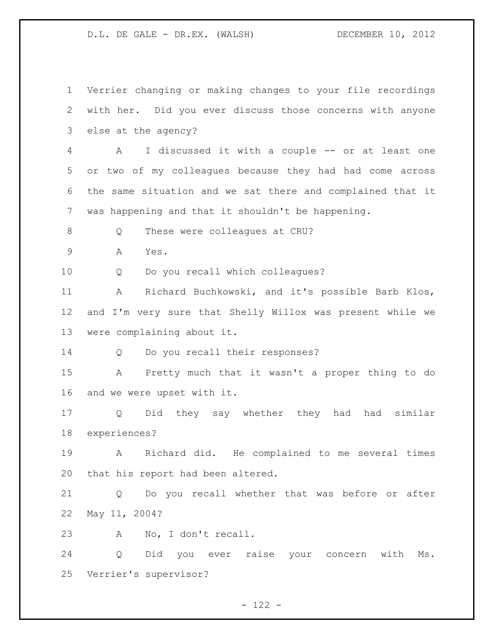Verrier changing or making changes to your file recordings with her. Did you ever discuss those concerns with anyone else at the agency? A I discussed it with a couple -- or at least one or two of my colleagues because they had had come across the same situation and we sat there and complained that it was happening and that it shouldn't be happening. 8 O These were colleagues at CRU? A Yes. Q Do you recall which colleagues? A Richard Buchkowski, and it's possible Barb Klos, and I'm very sure that Shelly Willox was present while we were complaining about it. Q Do you recall their responses? A Pretty much that it wasn't a proper thing to do and we were upset with it. Q Did they say whether they had had similar experiences? A Richard did. He complained to me several times that his report had been altered. Q Do you recall whether that was before or after May 11, 2004? A No, I don't recall. Q Did you ever raise your concern with Ms. Verrier's supervisor?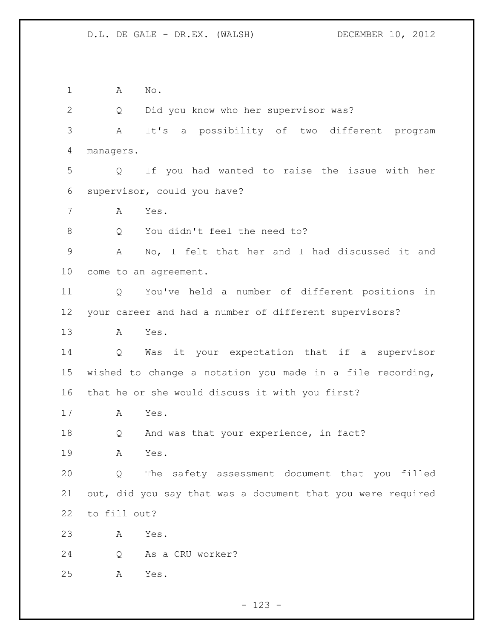A No. Q Did you know who her supervisor was? A It's a possibility of two different program managers. Q If you had wanted to raise the issue with her supervisor, could you have? A Yes. 8 Q You didn't feel the need to? A No, I felt that her and I had discussed it and come to an agreement. Q You've held a number of different positions in your career and had a number of different supervisors? A Yes. Q Was it your expectation that if a supervisor wished to change a notation you made in a file recording, that he or she would discuss it with you first? A Yes. 18 Q And was that your experience, in fact? A Yes. Q The safety assessment document that you filled out, did you say that was a document that you were required to fill out? A Yes. Q As a CRU worker? A Yes.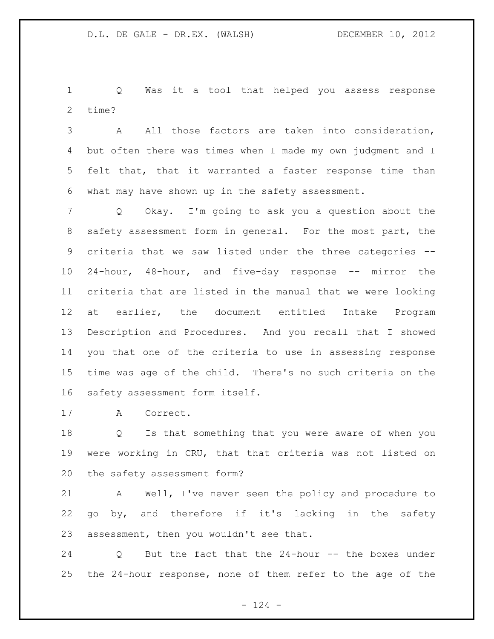Q Was it a tool that helped you assess response time?

 A All those factors are taken into consideration, but often there was times when I made my own judgment and I felt that, that it warranted a faster response time than what may have shown up in the safety assessment.

 Q Okay. I'm going to ask you a question about the safety assessment form in general. For the most part, the criteria that we saw listed under the three categories -- 24-hour, 48-hour, and five-day response -- mirror the criteria that are listed in the manual that we were looking at earlier, the document entitled Intake Program Description and Procedures. And you recall that I showed you that one of the criteria to use in assessing response time was age of the child. There's no such criteria on the safety assessment form itself.

A Correct.

 Q Is that something that you were aware of when you were working in CRU, that that criteria was not listed on the safety assessment form?

 A Well, I've never seen the policy and procedure to go by, and therefore if it's lacking in the safety assessment, then you wouldn't see that.

 Q But the fact that the 24-hour -- the boxes under the 24-hour response, none of them refer to the age of the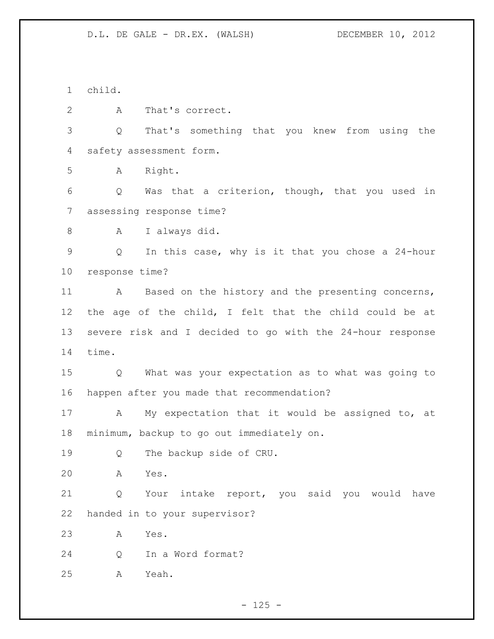child.

A That's correct.

 Q That's something that you knew from using the safety assessment form.

A Right.

 Q Was that a criterion, though, that you used in assessing response time?

A I always did.

 Q In this case, why is it that you chose a 24-hour response time?

11 A Based on the history and the presenting concerns, the age of the child, I felt that the child could be at severe risk and I decided to go with the 24-hour response time.

 Q What was your expectation as to what was going to happen after you made that recommendation?

 A My expectation that it would be assigned to, at minimum, backup to go out immediately on.

Q The backup side of CRU.

A Yes.

 Q Your intake report, you said you would have handed in to your supervisor?

A Yes.

Q In a Word format?

A Yeah.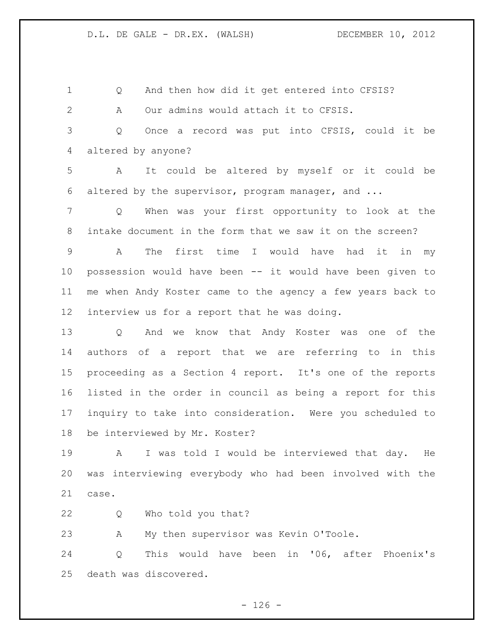Q And then how did it get entered into CFSIS? A Our admins would attach it to CFSIS. Q Once a record was put into CFSIS, could it be altered by anyone? A It could be altered by myself or it could be altered by the supervisor, program manager, and ... Q When was your first opportunity to look at the intake document in the form that we saw it on the screen? A The first time I would have had it in my possession would have been -- it would have been given to me when Andy Koster came to the agency a few years back to interview us for a report that he was doing. Q And we know that Andy Koster was one of the authors of a report that we are referring to in this proceeding as a Section 4 report. It's one of the reports listed in the order in council as being a report for this inquiry to take into consideration. Were you scheduled to be interviewed by Mr. Koster? A I was told I would be interviewed that day. He

 was interviewing everybody who had been involved with the case.

Q Who told you that?

A My then supervisor was Kevin O'Toole.

 Q This would have been in '06, after Phoenix's death was discovered.

 $- 126 -$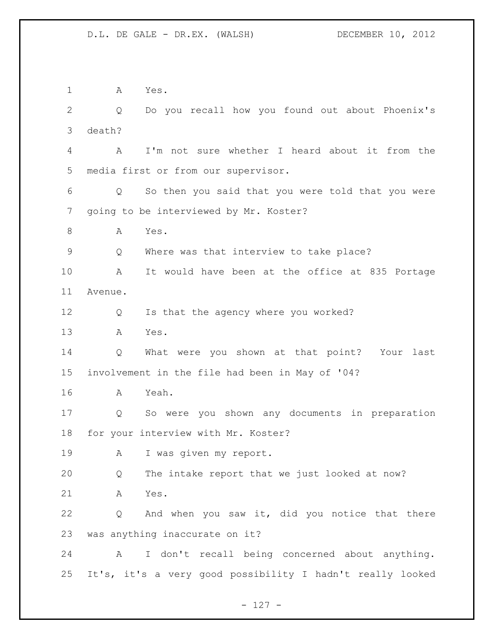A Yes. Q Do you recall how you found out about Phoenix's death? A I'm not sure whether I heard about it from the media first or from our supervisor. Q So then you said that you were told that you were going to be interviewed by Mr. Koster? A Yes. Q Where was that interview to take place? A It would have been at the office at 835 Portage Avenue. Q Is that the agency where you worked? A Yes. Q What were you shown at that point? Your last involvement in the file had been in May of '04? A Yeah. Q So were you shown any documents in preparation for your interview with Mr. Koster? A I was given my report. Q The intake report that we just looked at now? A Yes. Q And when you saw it, did you notice that there was anything inaccurate on it? A I don't recall being concerned about anything. It's, it's a very good possibility I hadn't really looked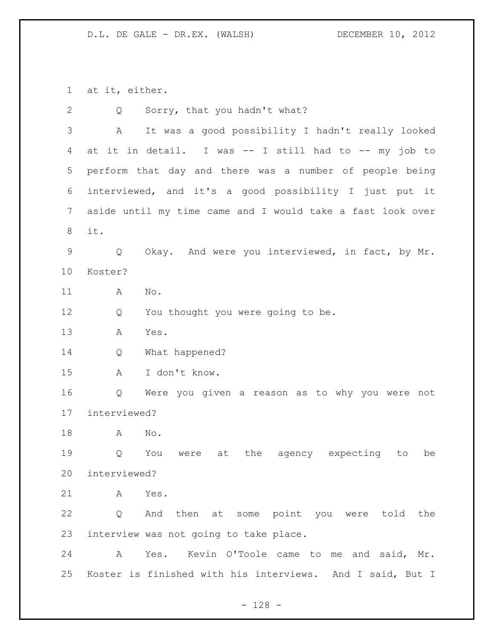at it, either.

| $\mathbf{2}$   | Sorry, that you hadn't what?<br>Q                          |
|----------------|------------------------------------------------------------|
| 3              | It was a good possibility I hadn't really looked<br>А      |
| 4              | at it in detail. I was -- I still had to -- my job to      |
| 5              | perform that day and there was a number of people being    |
| 6              | interviewed, and it's a good possibility I just put it     |
| $7\phantom{.}$ | aside until my time came and I would take a fast look over |
| 8              | it.                                                        |
| $\mathsf 9$    | Okay. And were you interviewed, in fact, by Mr.<br>Q       |
| 10             | Koster?                                                    |
| 11             | Α<br>No.                                                   |
| 12             | You thought you were going to be.<br>Q                     |
| 13             | Yes.<br>A                                                  |
| 14             | What happened?<br>Q                                        |
| 15             | I don't know.<br>Α                                         |
| 16             | Q<br>Were you given a reason as to why you were not        |
| 17             | interviewed?                                               |
| 18             | $\mathrm{No}$ .<br>A                                       |
| 19             | the agency expecting<br>You<br>Q<br>at<br>to<br>be<br>were |
| 20             | interviewed?                                               |
| 21             | Yes.<br>A                                                  |
| 22             | And then at some point you were told the<br>Q              |
| 23             | interview was not going to take place.                     |
| 24             | Kevin O'Toole came to me and said, Mr.<br>Α<br>Yes.        |
| 25             | Koster is finished with his interviews. And I said, But I  |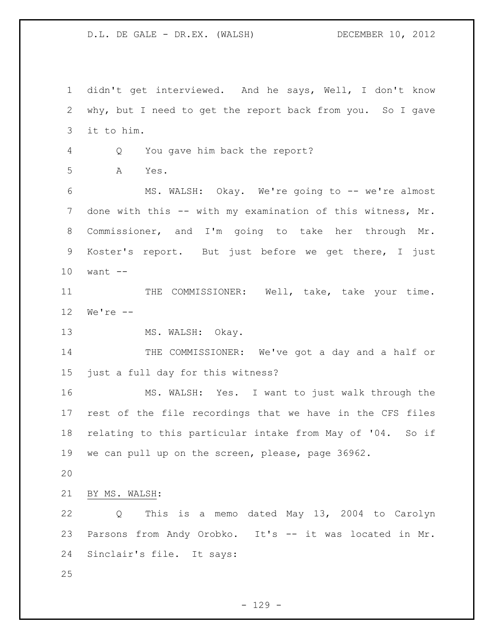didn't get interviewed. And he says, Well, I don't know why, but I need to get the report back from you. So I gave it to him. Q You gave him back the report? A Yes. MS. WALSH: Okay. We're going to -- we're almost 7 done with this -- with my examination of this witness, Mr. Commissioner, and I'm going to take her through Mr. Koster's report. But just before we get there, I just want -- 11 THE COMMISSIONER: Well, take, take your time. We're -- 13 MS. WALSH: Okay. 14 THE COMMISSIONER: We've got a day and a half or just a full day for this witness? MS. WALSH: Yes. I want to just walk through the rest of the file recordings that we have in the CFS files relating to this particular intake from May of '04. So if we can pull up on the screen, please, page 36962. BY MS. WALSH: Q This is a memo dated May 13, 2004 to Carolyn Parsons from Andy Orobko. It's -- it was located in Mr. Sinclair's file. It says: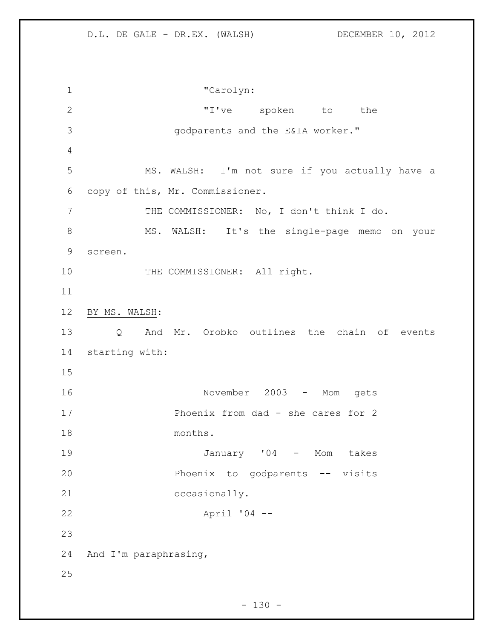"Carolyn: 2 T've spoken to the godparents and the E&IA worker." MS. WALSH: I'm not sure if you actually have a copy of this, Mr. Commissioner. 7 THE COMMISSIONER: No, I don't think I do. 8 MS. WALSH: It's the single-page memo on your screen. 10 THE COMMISSIONER: All right. BY MS. WALSH: Q And Mr. Orobko outlines the chain of events starting with: November 2003 - Mom gets Phoenix from dad - she cares for 2 months. January '04 - Mom takes Phoenix to godparents -- visits occasionally. April '04 -- And I'm paraphrasing,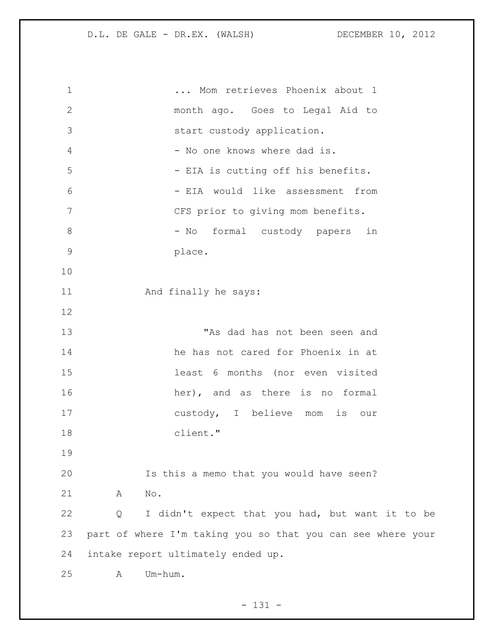... Mom retrieves Phoenix about 1 month ago. Goes to Legal Aid to start custody application. 4 - No one knows where dad is. 5 - EIA is cutting off his benefits. - EIA would like assessment from CFS prior to giving mom benefits. 8 - No formal custody papers in place. And finally he says: "As dad has not been seen and he has not cared for Phoenix in at least 6 months (nor even visited 16 her), and as there is no formal custody, I believe mom is our client." Is this a memo that you would have seen? A No. Q I didn't expect that you had, but want it to be part of where I'm taking you so that you can see where your intake report ultimately ended up. A Um-hum.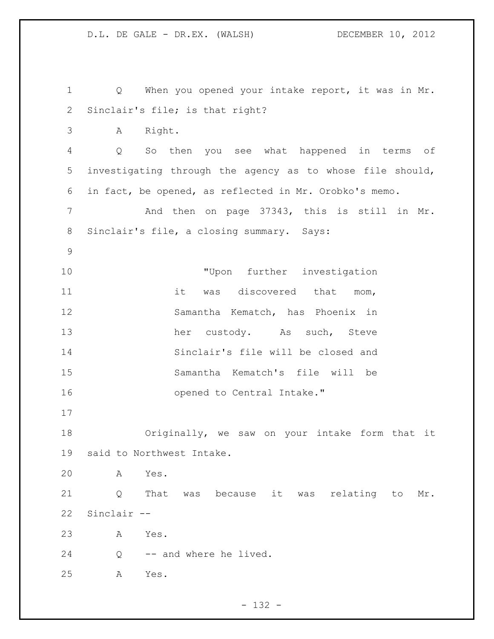```
1 Q When you opened your intake report, it was in Mr.
2 Sinclair's file; is that right?
3 A Right.
4 Q So then you see what happened in terms of 
5 investigating through the agency as to whose file should, 
6 in fact, be opened, as reflected in Mr. Orobko's memo. 
7 And then on page 37343, this is still in Mr. 
8 Sinclair's file, a closing summary. Says:
9
10 WE TUPON further investigation
11 it was discovered that mom,
12 Samantha Kematch, has Phoenix in 
13 her custody. As such, Steve
14 Sinclair's file will be closed and 
15 Samantha Kematch's file will be 
16 opened to Central Intake." 
17
18 Originally, we saw on your intake form that it 
19 said to Northwest Intake. 
20 A Yes. 
21 Q That was because it was relating to Mr. 
22 Sinclair --
23 A Yes. 
24 Q -- and where he lived.
25 A Yes.
```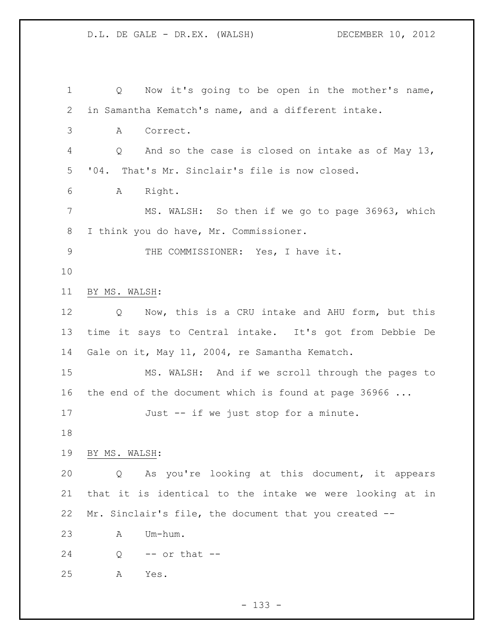| $\mathbf 1$    | Now it's going to be open in the mother's name,<br>Q     |
|----------------|----------------------------------------------------------|
| $\mathbf{2}$   | in Samantha Kematch's name, and a different intake.      |
| $\mathfrak{Z}$ | Correct.<br>A                                            |
| 4              | And so the case is closed on intake as of May 13,<br>Q   |
| 5              | '04. That's Mr. Sinclair's file is now closed.           |
| 6              | Right.<br>A                                              |
| 7              | MS. WALSH: So then if we go to page 36963, which         |
| 8              | I think you do have, Mr. Commissioner.                   |
| $\mathsf 9$    | THE COMMISSIONER: Yes, I have it.                        |
| 10             |                                                          |
| 11             | BY MS. WALSH:                                            |
| 12             | Q Now, this is a CRU intake and AHU form, but this       |
| 13             | time it says to Central intake. It's got from Debbie De  |
| 14             | Gale on it, May 11, 2004, re Samantha Kematch.           |
| 15             | MS. WALSH: And if we scroll through the pages to         |
| 16             | the end of the document which is found at page $36966$   |
| 17             | Just -- if we just stop for a minute.                    |
| 18             |                                                          |
| 19             | BY MS. WALSH:                                            |
| 20             | As you're looking at this document, it appears<br>Q      |
| 21             | that it is identical to the intake we were looking at in |
| 22             | Mr. Sinclair's file, the document that you created --    |
| 23             | Um-hum.<br>A                                             |
| 24             | $--$ or that $--$<br>Q                                   |
| 25             | А<br>Yes.                                                |

- 133 -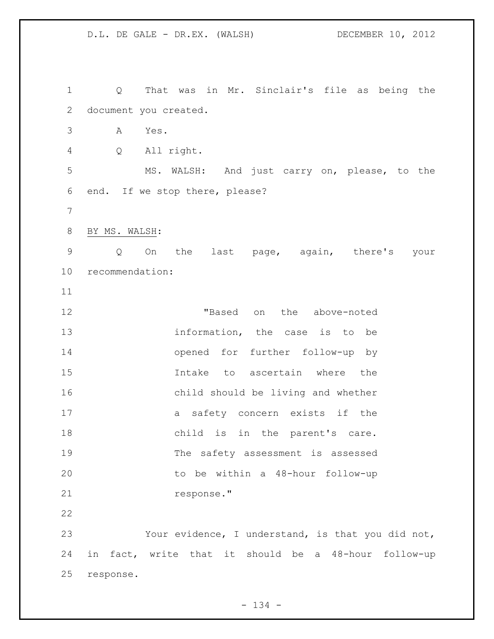D.L. DE GALE - DR.EX. (WALSH) DECEMBER 10, 2012 Q That was in Mr. Sinclair's file as being the document you created. A Yes. Q All right. MS. WALSH: And just carry on, please, to the end. If we stop there, please? BY MS. WALSH: Q On the last page, again, there's your recommendation: "Based on the above-noted 13 information, the case is to be opened for further follow-up by Intake to ascertain where the child should be living and whether a safety concern exists if the 18 child is in the parent's care. The safety assessment is assessed to be within a 48-hour follow-up response." Your evidence, I understand, is that you did not, in fact, write that it should be a 48-hour follow-up response.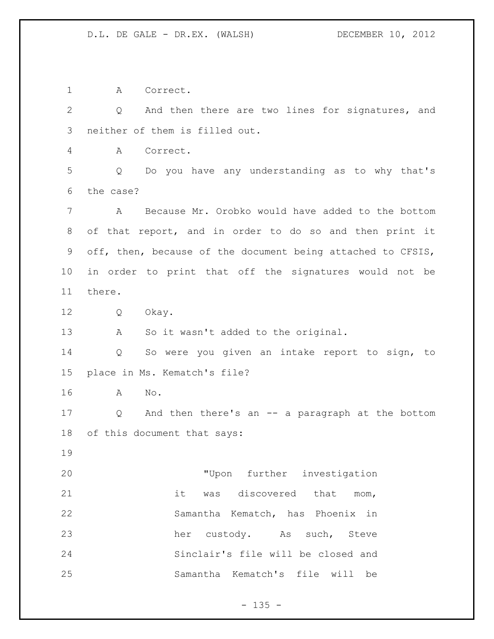A Correct. Q And then there are two lines for signatures, and neither of them is filled out. A Correct. Q Do you have any understanding as to why that's the case? A Because Mr. Orobko would have added to the bottom of that report, and in order to do so and then print it off, then, because of the document being attached to CFSIS, in order to print that off the signatures would not be there. Q Okay. A So it wasn't added to the original. Q So were you given an intake report to sign, to place in Ms. Kematch's file? A No. Q And then there's an -- a paragraph at the bottom of this document that says: "Upon further investigation it was discovered that mom, Samantha Kematch, has Phoenix in 23 her custody. As such, Steve Sinclair's file will be closed and Samantha Kematch's file will be

## $- 135 -$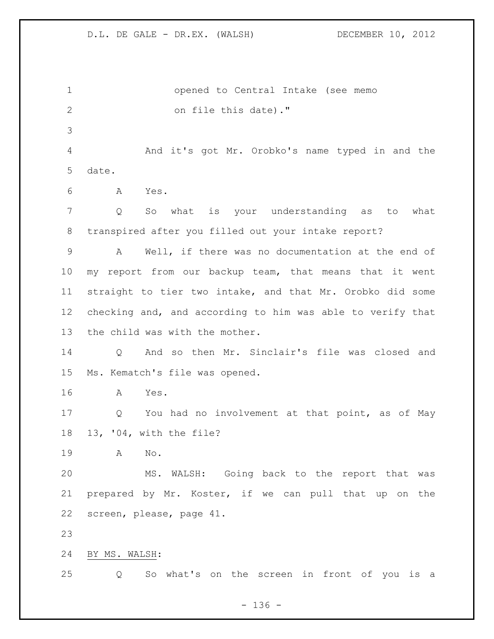| $\mathbf{1}$    | opened to Central Intake (see memo                         |
|-----------------|------------------------------------------------------------|
| 2               | on file this date)."                                       |
| 3               |                                                            |
| 4               | And it's got Mr. Orobko's name typed in and the            |
| 5               | date.                                                      |
| 6               | Yes.<br>A                                                  |
| 7               | what is your understanding as to what<br>Q<br>So           |
| 8               | transpired after you filled out your intake report?        |
| 9               | Well, if there was no documentation at the end of<br>A     |
| $10 \,$         | my report from our backup team, that means that it went    |
| 11              | straight to tier two intake, and that Mr. Orobko did some  |
| 12 <sup>°</sup> | checking and, and according to him was able to verify that |
| 13              | the child was with the mother.                             |
| 14              | And so then Mr. Sinclair's file was closed and<br>Q        |
| 15              | Ms. Kematch's file was opened.                             |
| 16              | Yes.<br>A                                                  |
| 17              | Q<br>You had no involvement at that point, as of May       |
| 18              | 13, '04, with the file?                                    |
| 19              | Α<br>No.                                                   |
| 20              | MS. WALSH: Going back to the report that was               |
| 21              | prepared by Mr. Koster, if we can pull that up on the      |
| 22              | screen, please, page 41.                                   |
| 23              |                                                            |
| 24              | BY MS. WALSH:                                              |
| 25              | So what's on the screen in front of you is a<br>Q          |

- 136 -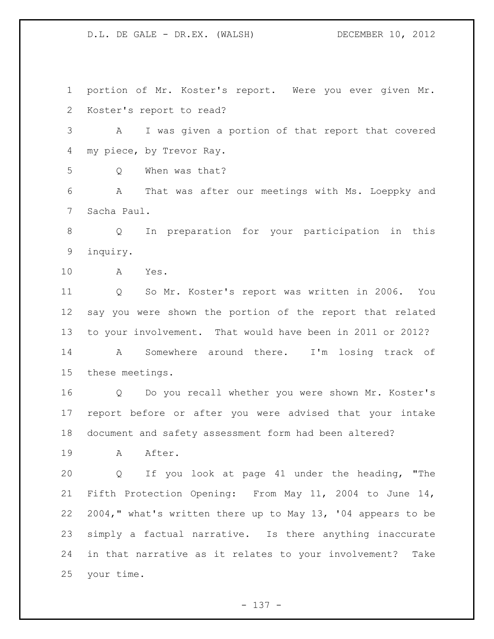portion of Mr. Koster's report. Were you ever given Mr. Koster's report to read? A I was given a portion of that report that covered my piece, by Trevor Ray. Q When was that? A That was after our meetings with Ms. Loeppky and Sacha Paul. Q In preparation for your participation in this inquiry. A Yes. Q So Mr. Koster's report was written in 2006. You say you were shown the portion of the report that related to your involvement. That would have been in 2011 or 2012? A Somewhere around there. I'm losing track of these meetings. Q Do you recall whether you were shown Mr. Koster's report before or after you were advised that your intake document and safety assessment form had been altered? 19 A After. Q If you look at page 41 under the heading, "The Fifth Protection Opening: From May 11, 2004 to June 14, 2004," what's written there up to May 13, '04 appears to be simply a factual narrative. Is there anything inaccurate in that narrative as it relates to your involvement? Take your time.

- 137 -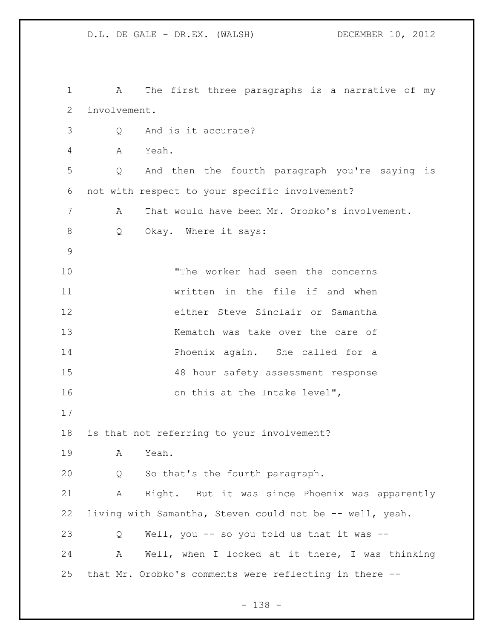A The first three paragraphs is a narrative of my involvement. Q And is it accurate? A Yeah. Q And then the fourth paragraph you're saying is not with respect to your specific involvement? A That would have been Mr. Orobko's involvement. 8 Q Okay. Where it says: "The worker had seen the concerns written in the file if and when either Steve Sinclair or Samantha 13 Kematch was take over the care of Phoenix again. She called for a 48 hour safety assessment response 16 on this at the Intake level", is that not referring to your involvement? A Yeah. Q So that's the fourth paragraph. A Right. But it was since Phoenix was apparently living with Samantha, Steven could not be -- well, yeah. Q Well, you -- so you told us that it was -- A Well, when I looked at it there, I was thinking that Mr. Orobko's comments were reflecting in there --

- 138 -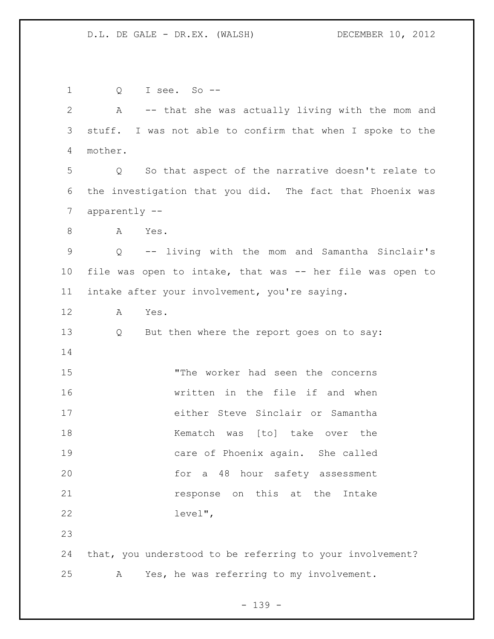Q I see. So -- A -- that she was actually living with the mom and stuff. I was not able to confirm that when I spoke to the mother. Q So that aspect of the narrative doesn't relate to the investigation that you did. The fact that Phoenix was apparently -- 8 A Yes. Q -- living with the mom and Samantha Sinclair's file was open to intake, that was -- her file was open to intake after your involvement, you're saying. A Yes. Q But then where the report goes on to say: "The worker had seen the concerns written in the file if and when either Steve Sinclair or Samantha 18 Kematch was [to] take over the care of Phoenix again. She called for a 48 hour safety assessment **response** on this at the Intake level", that, you understood to be referring to your involvement? A Yes, he was referring to my involvement.

- 139 -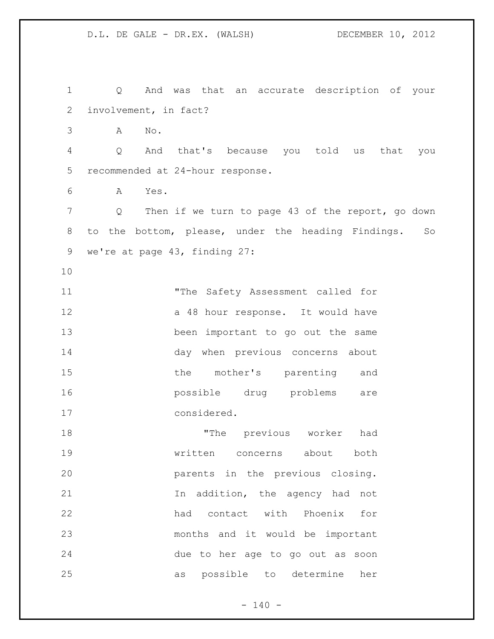Q And was that an accurate description of your involvement, in fact? A No. Q And that's because you told us that you recommended at 24-hour response. A Yes. Q Then if we turn to page 43 of the report, go down to the bottom, please, under the heading Findings. So we're at page 43, finding 27: "The Safety Assessment called for 12 a 48 hour response. It would have been important to go out the same day when previous concerns about 15 the mother's parenting and possible drug problems are considered. "The previous worker had written concerns about both parents in the previous closing. In addition, the agency had not had contact with Phoenix for months and it would be important due to her age to go out as soon as possible to determine her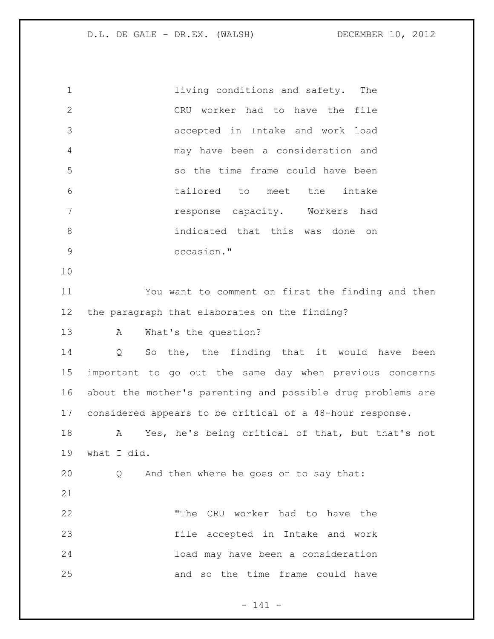living conditions and safety. The CRU worker had to have the file accepted in Intake and work load may have been a consideration and so the time frame could have been tailored to meet the intake response capacity. Workers had indicated that this was done on occasion." You want to comment on first the finding and then the paragraph that elaborates on the finding? A What's the question? Q So the, the finding that it would have been important to go out the same day when previous concerns about the mother's parenting and possible drug problems are considered appears to be critical of a 48-hour response. A Yes, he's being critical of that, but that's not what I did. Q And then where he goes on to say that: "The CRU worker had to have the file accepted in Intake and work load may have been a consideration and so the time frame could have

- 141 -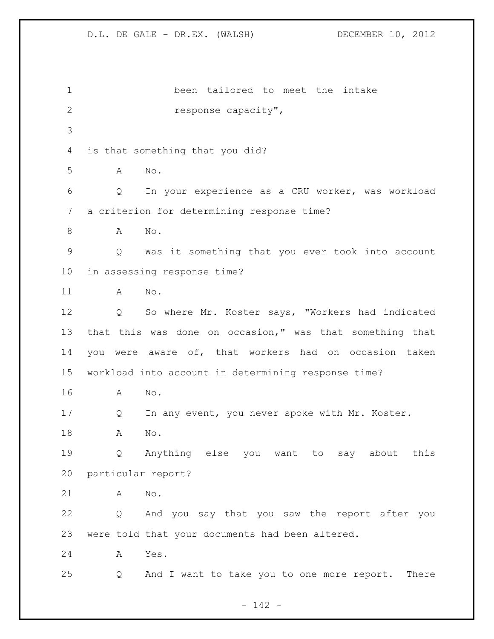been tailored to meet the intake response capacity", is that something that you did? A No. Q In your experience as a CRU worker, was workload a criterion for determining response time? A No. Q Was it something that you ever took into account in assessing response time? A No. Q So where Mr. Koster says, "Workers had indicated that this was done on occasion," was that something that you were aware of, that workers had on occasion taken workload into account in determining response time? A No. Q In any event, you never spoke with Mr. Koster. A No. Q Anything else you want to say about this particular report? A No. Q And you say that you saw the report after you were told that your documents had been altered. A Yes. Q And I want to take you to one more report. There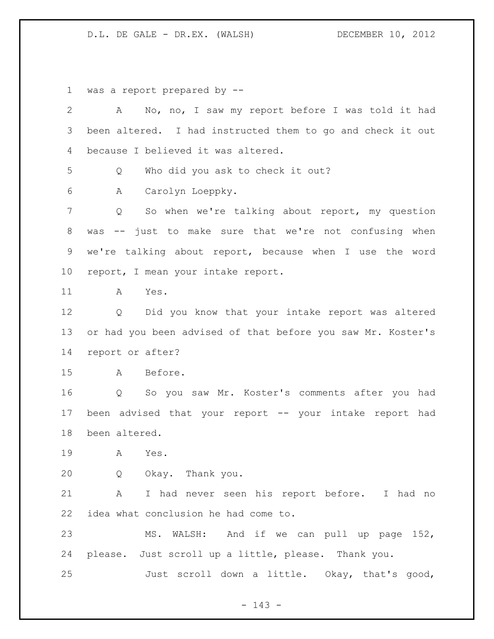D.L. DE GALE - DR.EX. (WALSH) DECEMBER 10, 2012

was a report prepared by --

| $\overline{2}$ | No, no, I saw my report before I was told it had<br>A       |
|----------------|-------------------------------------------------------------|
| 3              | been altered. I had instructed them to go and check it out  |
| 4              | because I believed it was altered.                          |
| 5              | Who did you ask to check it out?<br>Q                       |
| 6              | Carolyn Loeppky.<br>А                                       |
| 7              | So when we're talking about report, my question<br>Q        |
| 8              | was -- just to make sure that we're not confusing when      |
| 9              | we're talking about report, because when I use the word     |
| 10             | report, I mean your intake report.                          |
| 11             | Yes.<br>A                                                   |
| 12             | Q Did you know that your intake report was altered          |
| 13             | or had you been advised of that before you saw Mr. Koster's |
| 14             | report or after?                                            |
| 15             | Before.<br>A                                                |
| 16             | So you saw Mr. Koster's comments after you had<br>Q         |
| 17             | been advised that your report -- your intake report had     |
| 18             | been altered.                                               |
| 19             | A<br>Yes.                                                   |
| 20             | Okay. Thank you.<br>Q                                       |
| 21             | I had never seen his report before. I had no<br>A           |
| 22             | idea what conclusion he had come to.                        |
| 23             | MS. WALSH: And if we can pull up page 152,                  |
| 24             | please. Just scroll up a little, please. Thank you.         |
| 25             | Just scroll down a little. Okay, that's good,               |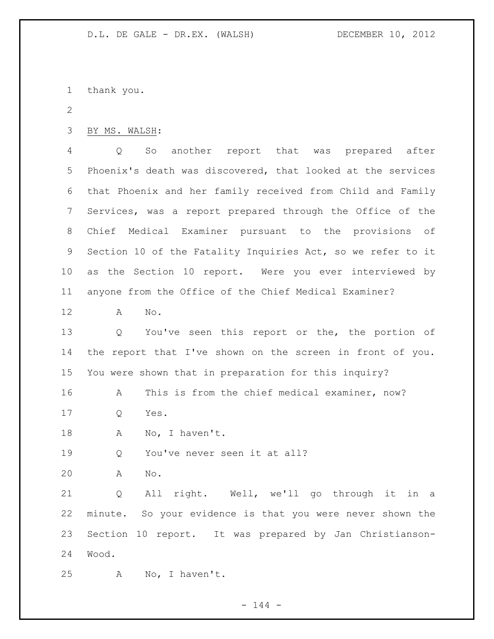thank you.

BY MS. WALSH:

 Q So another report that was prepared after Phoenix's death was discovered, that looked at the services that Phoenix and her family received from Child and Family Services, was a report prepared through the Office of the Chief Medical Examiner pursuant to the provisions of Section 10 of the Fatality Inquiries Act, so we refer to it as the Section 10 report. Were you ever interviewed by anyone from the Office of the Chief Medical Examiner?

A No.

 Q You've seen this report or the, the portion of the report that I've shown on the screen in front of you. You were shown that in preparation for this inquiry?

A This is from the chief medical examiner, now?

Q Yes.

18 A No, I haven't.

Q You've never seen it at all?

A No.

 Q All right. Well, we'll go through it in a minute. So your evidence is that you were never shown the Section 10 report. It was prepared by Jan Christianson-Wood.

A No, I haven't.

 $- 144 -$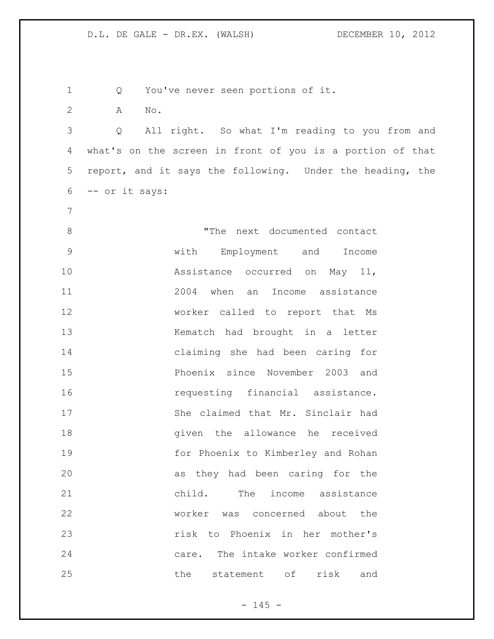Q You've never seen portions of it. A No. Q All right. So what I'm reading to you from and what's on the screen in front of you is a portion of that report, and it says the following. Under the heading, the -- or it says: 8 The next documented contact with Employment and Income 10 Assistance occurred on May 11, 2004 when an Income assistance worker called to report that Ms 13 Kematch had brought in a letter claiming she had been caring for Phoenix since November 2003 and *requesting financial assistance.* 17 She claimed that Mr. Sinclair had given the allowance he received for Phoenix to Kimberley and Rohan as they had been caring for the child. The income assistance worker was concerned about the risk to Phoenix in her mother's care. The intake worker confirmed the statement of risk and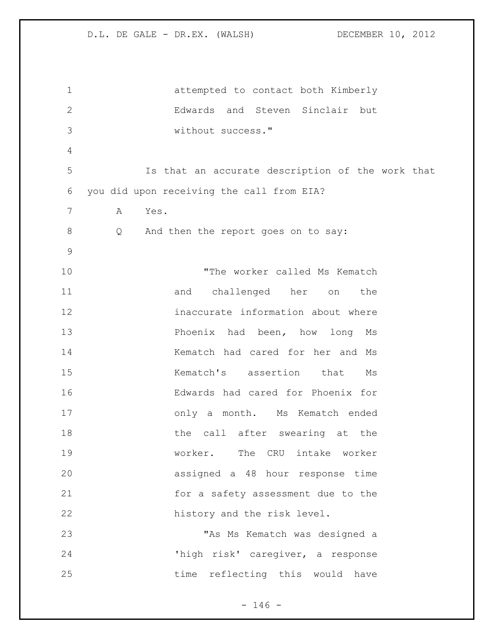| $\mathbf{1}$   | attempted to contact both Kimberly               |
|----------------|--------------------------------------------------|
| $\overline{2}$ | Edwards and Steven Sinclair but                  |
| 3              | without success."                                |
| 4              |                                                  |
| 5              | Is that an accurate description of the work that |
| 6              | you did upon receiving the call from EIA?        |
| 7              | Α<br>Yes.                                        |
| $8\,$          | And then the report goes on to say:<br>Q         |
| $\mathsf 9$    |                                                  |
| 10             | "The worker called Ms Kematch                    |
| 11             | challenged her on<br>and<br>the                  |
| 12             | inaccurate information about where               |
| 13             | Phoenix had been, how long Ms                    |
| 14             | Kematch had cared for her and Ms                 |
| 15             | Kematch's assertion that<br>Ms                   |
| 16             | Edwards had cared for Phoenix for                |
| 17             | only a month. Ms Kematch ended                   |
| 18             | the call after swearing at the                   |
| 19             | worker. The CRU intake worker                    |
| 20             | assigned a 48 hour response time                 |
| 21             | for a safety assessment due to the               |
| 22             | history and the risk level.                      |
| 23             | "As Ms Kematch was designed a                    |
| 24             | 'high risk' caregiver, a response                |
| 25             | time reflecting this would have                  |

- 146 -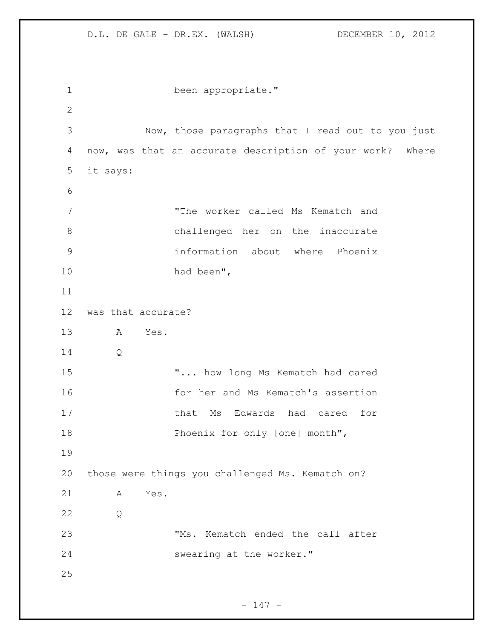```
1 been appropriate."
2
3 Now, those paragraphs that I read out to you just 
4 now, was that an accurate description of your work? Where 
5 it says: 
6
7 "The worker called Ms Kematch and 
8 challenged her on the inaccurate 
9 information about where Phoenix 
10 had been", 
11
12 was that accurate? 
13 A Yes. 
14 Q
15 "... how long Ms Kematch had cared
16 for her and Ms Kematch's assertion 
17 that Ms Edwards had cared for
18 Phoenix for only [one] month",
19
20 those were things you challenged Ms. Kematch on?
21 A Yes. 
22 Q
23 TMS. Kematch ended the call after
24 Swearing at the worker."
25
```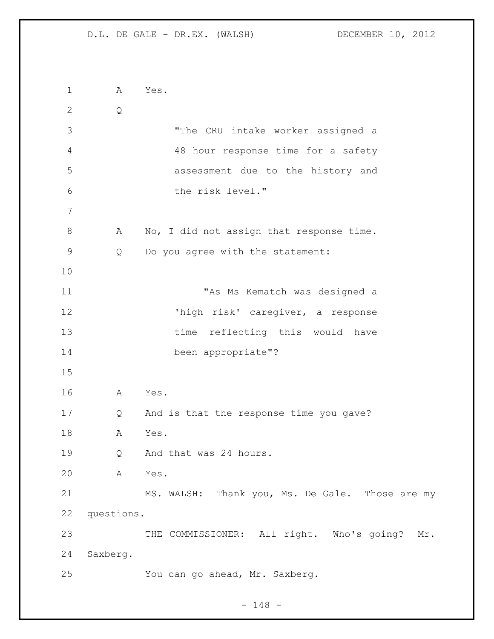```
1 A Yes. 
2 Q
3 "The CRU intake worker assigned a 
4 48 hour response time for a safety 
5 assessment due to the history and 
6 the risk level."
7
8 A No, I did not assign that response time.
9 Q Do you agree with the statement:
10
11 "As Ms Kematch was designed a 
12 'high risk' caregiver, a response 
13 time reflecting this would have
14 been appropriate"?
15
16 A Yes. 
17 Q And is that the response time you gave?
18 A Yes. 
19 Q And that was 24 hours.
20 A Yes. 
21 MS. WALSH: Thank you, Ms. De Gale. Those are my
22 questions. 
23 THE COMMISSIONER: All right. Who's going? Mr.
24 Saxberg. 
25 You can go ahead, Mr. Saxberg.
```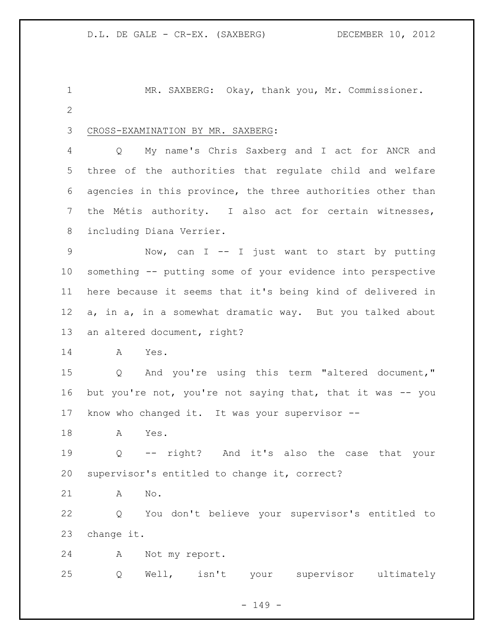1 MR. SAXBERG: Okay, thank you, Mr. Commissioner. 

CROSS-EXAMINATION BY MR. SAXBERG:

 Q My name's Chris Saxberg and I act for ANCR and three of the authorities that regulate child and welfare agencies in this province, the three authorities other than the Métis authority. I also act for certain witnesses, including Diana Verrier.

 Now, can I -- I just want to start by putting something -- putting some of your evidence into perspective here because it seems that it's being kind of delivered in a, in a, in a somewhat dramatic way. But you talked about an altered document, right?

A Yes.

 Q And you're using this term "altered document," 16 but you're not, you're not saying that, that it was -- you know who changed it. It was your supervisor --

A Yes.

 Q -- right? And it's also the case that your supervisor's entitled to change it, correct?

A No.

 Q You don't believe your supervisor's entitled to change it.

A Not my report.

Q Well, isn't your supervisor ultimately

 $- 149 -$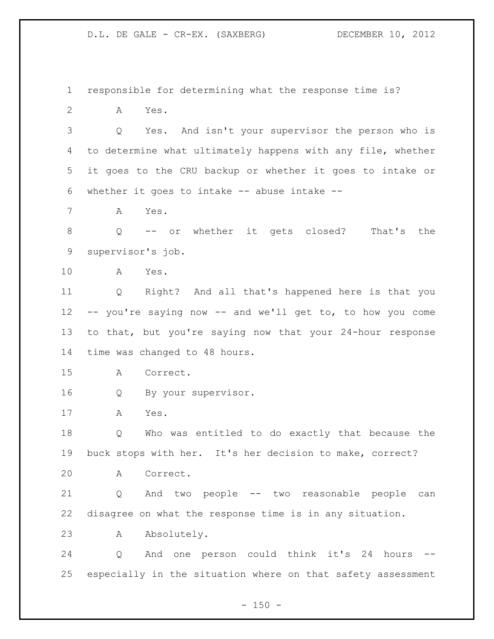responsible for determining what the response time is?

A Yes.

 Q Yes. And isn't your supervisor the person who is to determine what ultimately happens with any file, whether it goes to the CRU backup or whether it goes to intake or whether it goes to intake -- abuse intake --

A Yes.

 Q -- or whether it gets closed? That's the supervisor's job.

A Yes.

 Q Right? And all that's happened here is that you -- you're saying now -- and we'll get to, to how you come to that, but you're saying now that your 24-hour response time was changed to 48 hours.

A Correct.

Q By your supervisor.

A Yes.

 Q Who was entitled to do exactly that because the buck stops with her. It's her decision to make, correct?

A Correct.

 Q And two people -- two reasonable people can disagree on what the response time is in any situation.

A Absolutely.

24 Q And one person could think it's 24 hours especially in the situation where on that safety assessment

 $- 150 -$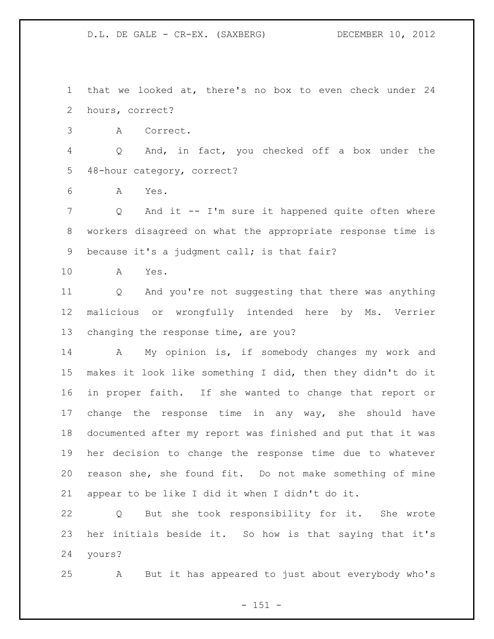that we looked at, there's no box to even check under 24 hours, correct?

A Correct.

 Q And, in fact, you checked off a box under the 48-hour category, correct?

A Yes.

 Q And it -- I'm sure it happened quite often where workers disagreed on what the appropriate response time is because it's a judgment call; is that fair?

A Yes.

 Q And you're not suggesting that there was anything malicious or wrongfully intended here by Ms. Verrier changing the response time, are you?

 A My opinion is, if somebody changes my work and makes it look like something I did, then they didn't do it in proper faith. If she wanted to change that report or change the response time in any way, she should have documented after my report was finished and put that it was her decision to change the response time due to whatever reason she, she found fit. Do not make something of mine appear to be like I did it when I didn't do it.

 Q But she took responsibility for it. She wrote her initials beside it. So how is that saying that it's yours?

A But it has appeared to just about everybody who's

 $- 151 -$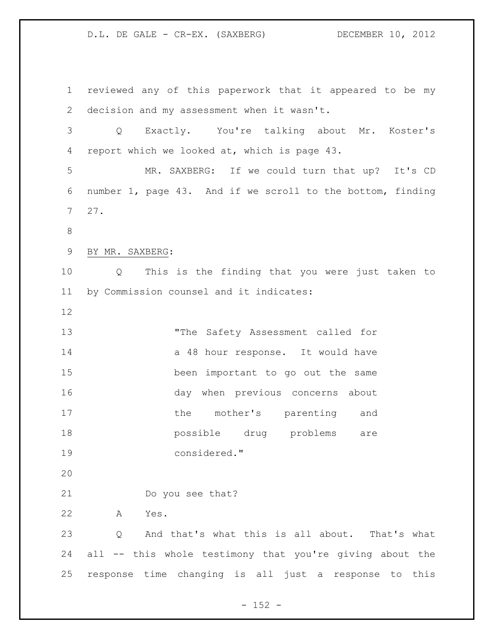reviewed any of this paperwork that it appeared to be my decision and my assessment when it wasn't. Q Exactly. You're talking about Mr. Koster's report which we looked at, which is page 43. MR. SAXBERG: If we could turn that up? It's CD number 1, page 43. And if we scroll to the bottom, finding 27. BY MR. SAXBERG: Q This is the finding that you were just taken to by Commission counsel and it indicates: "The Safety Assessment called for 14 a 48 hour response. It would have been important to go out the same day when previous concerns about 17 the mother's parenting and possible drug problems are considered." Do you see that? A Yes. Q And that's what this is all about. That's what all -- this whole testimony that you're giving about the response time changing is all just a response to this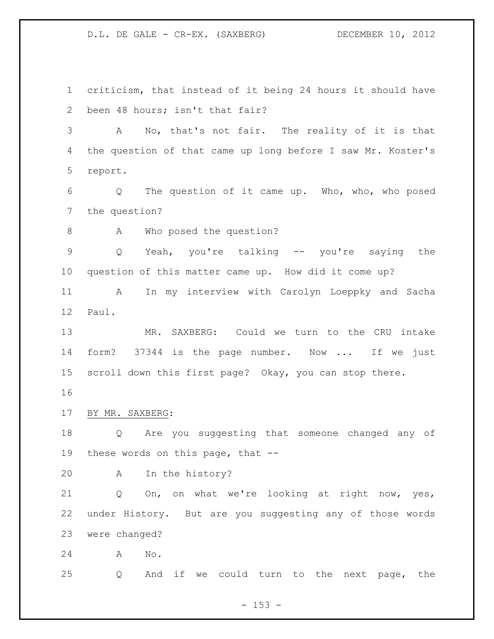criticism, that instead of it being 24 hours it should have been 48 hours; isn't that fair? A No, that's not fair. The reality of it is that the question of that came up long before I saw Mr. Koster's report. Q The question of it came up. Who, who, who posed the question? 8 A Who posed the question? Q Yeah, you're talking -- you're saying the question of this matter came up. How did it come up? A In my interview with Carolyn Loeppky and Sacha Paul. MR. SAXBERG: Could we turn to the CRU intake form? 37344 is the page number. Now ... If we just scroll down this first page? Okay, you can stop there. BY MR. SAXBERG: Q Are you suggesting that someone changed any of these words on this page, that -- A In the history? Q On, on what we're looking at right now, yes, under History. But are you suggesting any of those words were changed? A No.

Q And if we could turn to the next page, the

 $- 153 -$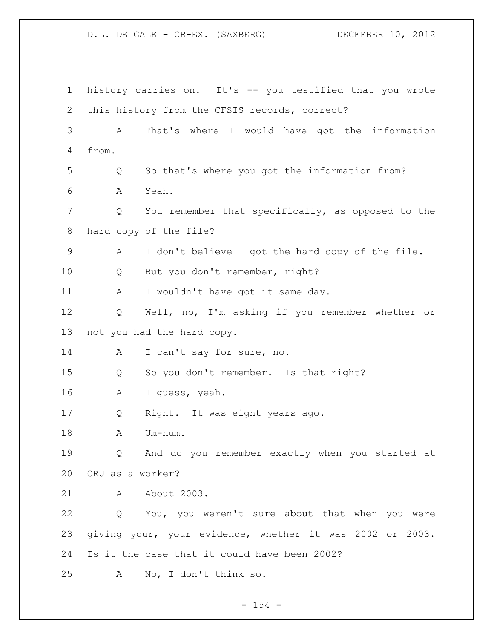history carries on. It's -- you testified that you wrote this history from the CFSIS records, correct? A That's where I would have got the information from. Q So that's where you got the information from? A Yeah. Q You remember that specifically, as opposed to the hard copy of the file? A I don't believe I got the hard copy of the file. Q But you don't remember, right? 11 A I wouldn't have got it same day. Q Well, no, I'm asking if you remember whether or not you had the hard copy. 14 A I can't say for sure, no. Q So you don't remember. Is that right? A I guess, yeah. Q Right. It was eight years ago. 18 A Um-hum. Q And do you remember exactly when you started at CRU as a worker? 21 A About 2003. Q You, you weren't sure about that when you were giving your, your evidence, whether it was 2002 or 2003. Is it the case that it could have been 2002? A No, I don't think so.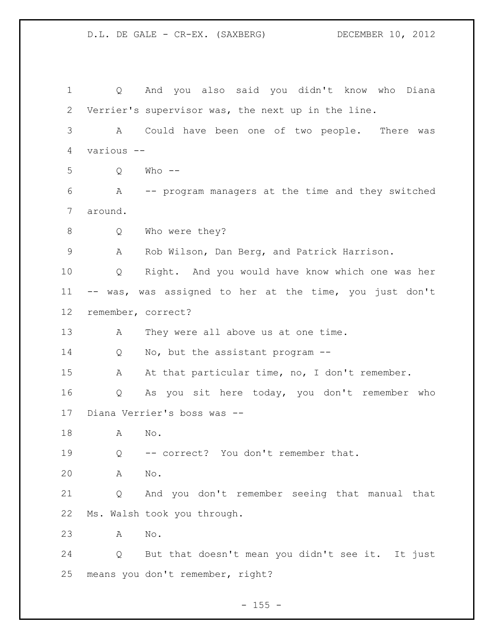Q And you also said you didn't know who Diana Verrier's supervisor was, the next up in the line. A Could have been one of two people. There was various -- Q Who -- A -- program managers at the time and they switched around. 8 Q Who were they? A Rob Wilson, Dan Berg, and Patrick Harrison. Q Right. And you would have know which one was her -- was, was assigned to her at the time, you just don't remember, correct? 13 A They were all above us at one time. Q No, but the assistant program -- 15 A At that particular time, no, I don't remember. Q As you sit here today, you don't remember who Diana Verrier's boss was -- A No. Q -- correct? You don't remember that. A No. Q And you don't remember seeing that manual that Ms. Walsh took you through. A No. Q But that doesn't mean you didn't see it. It just means you don't remember, right?

 $- 155 -$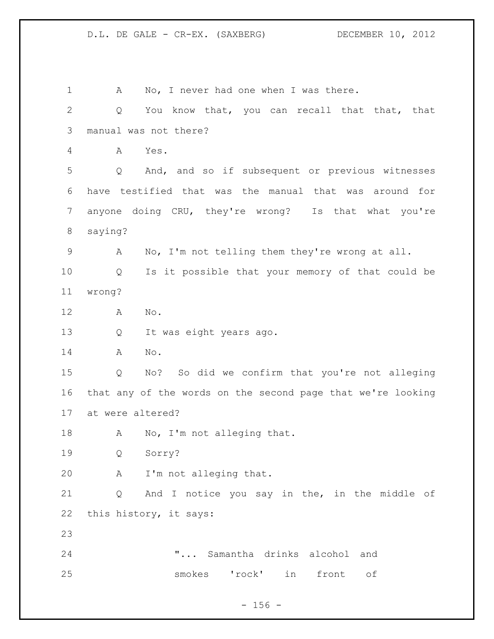1 A No, I never had one when I was there. 2 Q You know that, you can recall that that, that manual was not there? A Yes. Q And, and so if subsequent or previous witnesses have testified that was the manual that was around for anyone doing CRU, they're wrong? Is that what you're saying? A No, I'm not telling them they're wrong at all. Q Is it possible that your memory of that could be wrong? A No. Q It was eight years ago. A No. Q No? So did we confirm that you're not alleging that any of the words on the second page that we're looking at were altered? 18 A No, I'm not alleging that. Q Sorry? A I'm not alleging that. Q And I notice you say in the, in the middle of this history, it says: "... Samantha drinks alcohol and smokes 'rock' in front of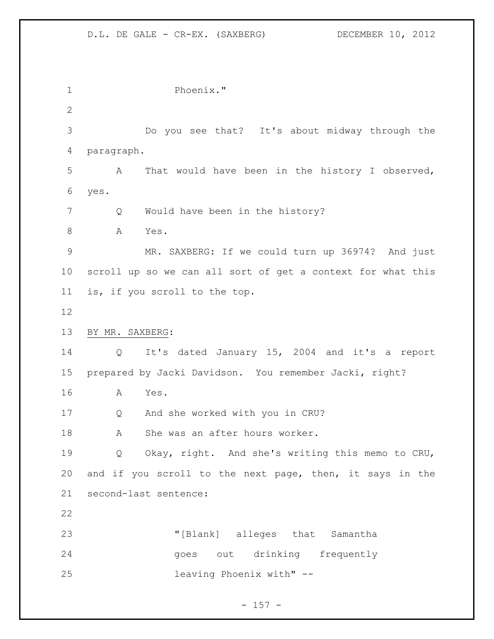Phoenix." Do you see that? It's about midway through the paragraph. A That would have been in the history I observed, yes. 7 Q Would have been in the history? A Yes. MR. SAXBERG: If we could turn up 36974? And just scroll up so we can all sort of get a context for what this is, if you scroll to the top. BY MR. SAXBERG: Q It's dated January 15, 2004 and it's a report prepared by Jacki Davidson. You remember Jacki, right? A Yes. Q And she worked with you in CRU? 18 A She was an after hours worker. Q Okay, right. And she's writing this memo to CRU, and if you scroll to the next page, then, it says in the second-last sentence: "[Blank] alleges that Samantha goes out drinking frequently leaving Phoenix with" --

## $- 157 -$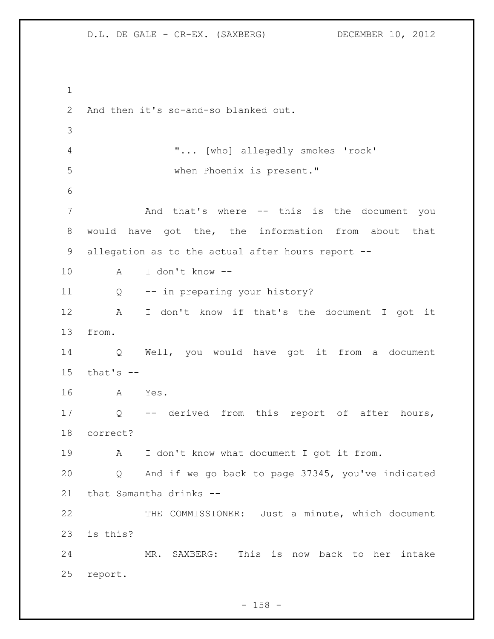```
1
2 And then it's so-and-so blanked out.
3
4 "... [who] allegedly smokes 'rock' 
5 when Phoenix is present." 
6
7 And that's where -- this is the document you 
8 would have got the, the information from about that 
9 allegation as to the actual after hours report --
10 A I don't know --
11 Q -- in preparing your history? 
12 A I don't know if that's the document I got it 
13 from. 
14 Q Well, you would have got it from a document 
15 that's -16 A Yes. 
17 Q -- derived from this report of after hours, 
18 correct?
19 A I don't know what document I got it from.
20 Q And if we go back to page 37345, you've indicated 
21 that Samantha drinks --
22 THE COMMISSIONER: Just a minute, which document 
23 is this?
24 MR. SAXBERG: This is now back to her intake 
25 report.
```
 $- 158 -$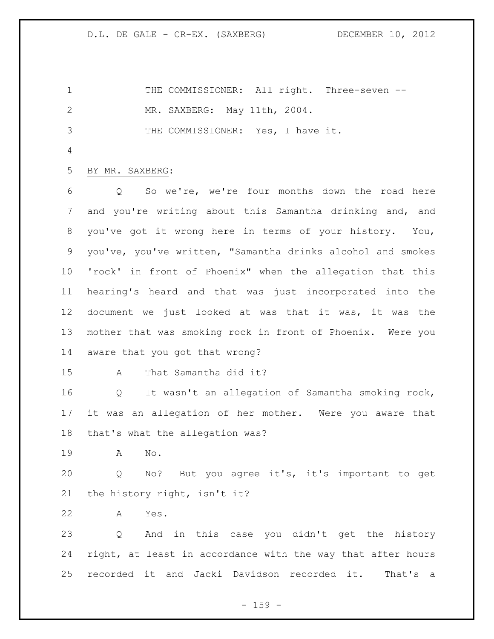1 THE COMMISSIONER: All right. Three-seven -- MR. SAXBERG: May 11th, 2004. THE COMMISSIONER: Yes, I have it.

## BY MR. SAXBERG:

 Q So we're, we're four months down the road here and you're writing about this Samantha drinking and, and you've got it wrong here in terms of your history. You, you've, you've written, "Samantha drinks alcohol and smokes 'rock' in front of Phoenix" when the allegation that this hearing's heard and that was just incorporated into the document we just looked at was that it was, it was the mother that was smoking rock in front of Phoenix. Were you aware that you got that wrong?

A That Samantha did it?

 Q It wasn't an allegation of Samantha smoking rock, it was an allegation of her mother. Were you aware that that's what the allegation was?

A No.

 Q No? But you agree it's, it's important to get the history right, isn't it?

A Yes.

 Q And in this case you didn't get the history right, at least in accordance with the way that after hours recorded it and Jacki Davidson recorded it. That's a

 $- 159 -$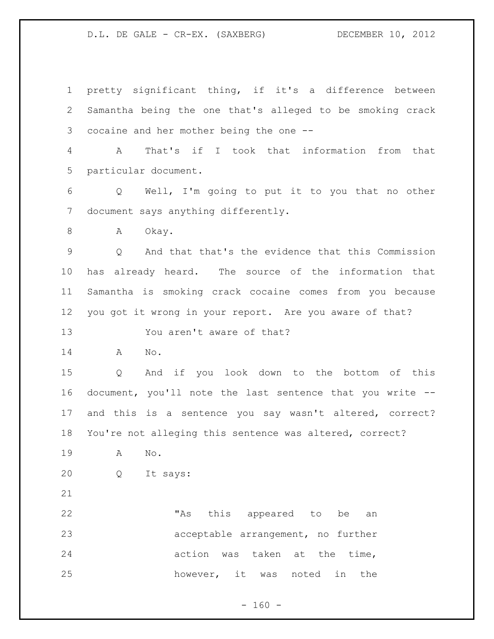pretty significant thing, if it's a difference between Samantha being the one that's alleged to be smoking crack cocaine and her mother being the one -- A That's if I took that information from that particular document. Q Well, I'm going to put it to you that no other document says anything differently. 8 A Okay. Q And that that's the evidence that this Commission has already heard. The source of the information that Samantha is smoking crack cocaine comes from you because you got it wrong in your report. Are you aware of that? You aren't aware of that? A No. Q And if you look down to the bottom of this document, you'll note the last sentence that you write -- and this is a sentence you say wasn't altered, correct? You're not alleging this sentence was altered, correct? A No. Q It says: 22 TAS this appeared to be an acceptable arrangement, no further action was taken at the time, however, it was noted in the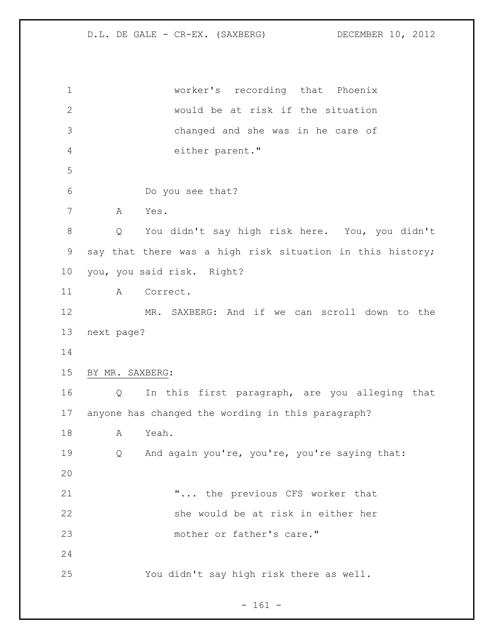worker's recording that Phoenix would be at risk if the situation changed and she was in he care of either parent." Do you see that? A Yes. Q You didn't say high risk here. You, you didn't say that there was a high risk situation in this history; you, you said risk. Right? A Correct. MR. SAXBERG: And if we can scroll down to the next page? BY MR. SAXBERG: Q In this first paragraph, are you alleging that anyone has changed the wording in this paragraph? A Yeah. Q And again you're, you're, you're saying that: "... the previous CFS worker that she would be at risk in either her mother or father's care." You didn't say high risk there as well.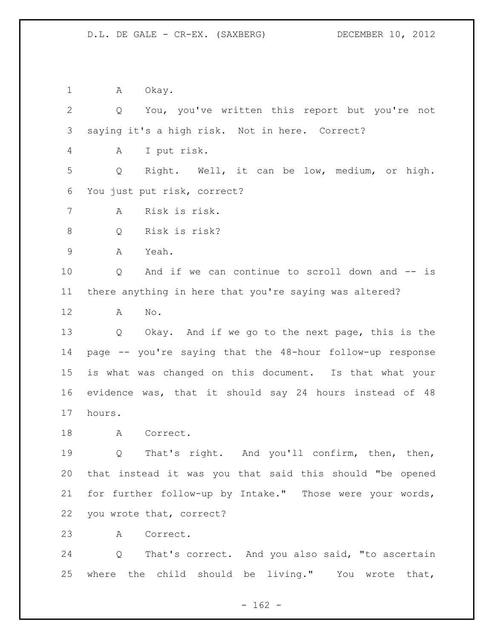1 A Okay.

 Q You, you've written this report but you're not saying it's a high risk. Not in here. Correct? A I put risk. Q Right. Well, it can be low, medium, or high. You just put risk, correct? A Risk is risk. Q Risk is risk? A Yeah. Q And if we can continue to scroll down and -- is there anything in here that you're saying was altered? A No. Q Okay. And if we go to the next page, this is the page -- you're saying that the 48-hour follow-up response is what was changed on this document. Is that what your evidence was, that it should say 24 hours instead of 48 hours. 18 A Correct. 19 0 That's right. And you'll confirm, then, then, that instead it was you that said this should "be opened for further follow-up by Intake." Those were your words, you wrote that, correct? A Correct.

 Q That's correct. And you also said, "to ascertain where the child should be living." You wrote that,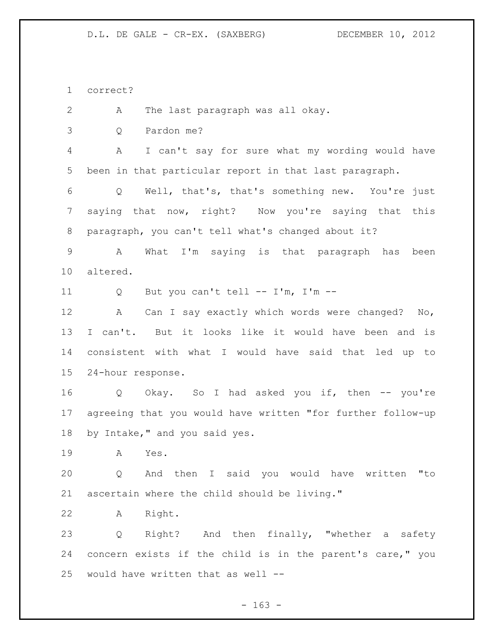correct?

A The last paragraph was all okay.

Q Pardon me?

 A I can't say for sure what my wording would have been in that particular report in that last paragraph.

 Q Well, that's, that's something new. You're just saying that now, right? Now you're saying that this paragraph, you can't tell what's changed about it?

 A What I'm saying is that paragraph has been altered.

Q But you can't tell -- I'm, I'm --

 A Can I say exactly which words were changed? No, I can't. But it looks like it would have been and is consistent with what I would have said that led up to 24-hour response.

 Q Okay. So I had asked you if, then -- you're agreeing that you would have written "for further follow-up by Intake," and you said yes.

A Yes.

 Q And then I said you would have written "to ascertain where the child should be living."

A Right.

 Q Right? And then finally, "whether a safety concern exists if the child is in the parent's care," you would have written that as well --

- 163 -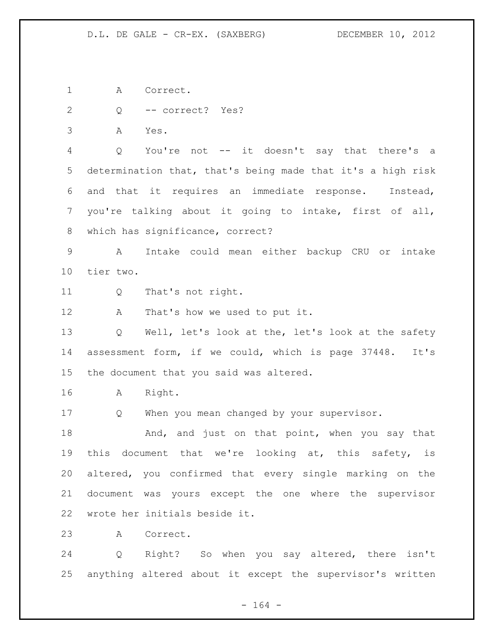A Correct.

Q -- correct? Yes?

A Yes.

 Q You're not -- it doesn't say that there's a determination that, that's being made that it's a high risk and that it requires an immediate response. Instead, you're talking about it going to intake, first of all, which has significance, correct?

 A Intake could mean either backup CRU or intake tier two.

Q That's not right.

A That's how we used to put it.

 Q Well, let's look at the, let's look at the safety assessment form, if we could, which is page 37448. It's the document that you said was altered.

A Right.

Q When you mean changed by your supervisor.

18 And, and just on that point, when you say that 19 this document that we're looking at, this safety, is altered, you confirmed that every single marking on the document was yours except the one where the supervisor wrote her initials beside it.

A Correct.

 Q Right? So when you say altered, there isn't anything altered about it except the supervisor's written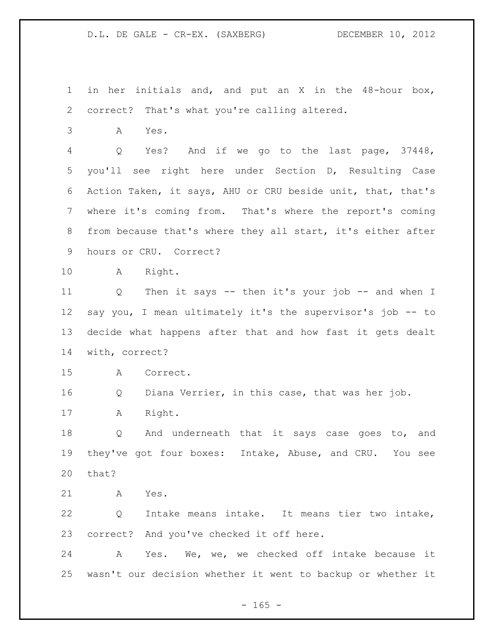in her initials and, and put an X in the 48-hour box, correct? That's what you're calling altered.

A Yes.

 Q Yes? And if we go to the last page, 37448, you'll see right here under Section D, Resulting Case Action Taken, it says, AHU or CRU beside unit, that, that's where it's coming from. That's where the report's coming from because that's where they all start, it's either after hours or CRU. Correct?

A Right.

 Q Then it says -- then it's your job -- and when I say you, I mean ultimately it's the supervisor's job -- to decide what happens after that and how fast it gets dealt with, correct?

A Correct.

Q Diana Verrier, in this case, that was her job.

A Right.

 Q And underneath that it says case goes to, and they've got four boxes: Intake, Abuse, and CRU. You see that?

A Yes.

 Q Intake means intake. It means tier two intake, correct? And you've checked it off here.

 A Yes. We, we, we checked off intake because it wasn't our decision whether it went to backup or whether it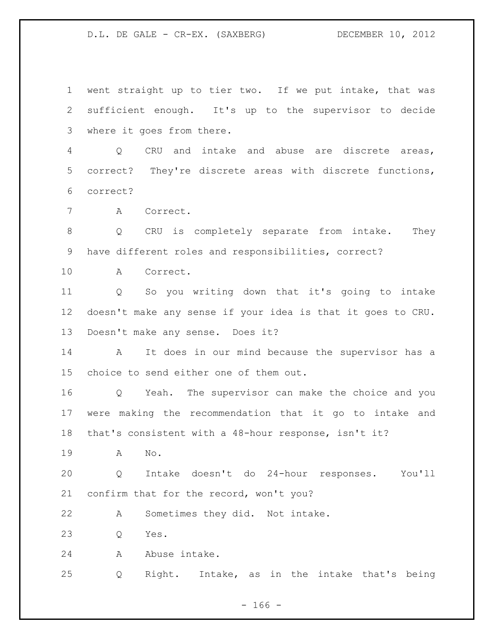went straight up to tier two. If we put intake, that was sufficient enough. It's up to the supervisor to decide where it goes from there.

 Q CRU and intake and abuse are discrete areas, correct? They're discrete areas with discrete functions, correct?

A Correct.

 Q CRU is completely separate from intake. They have different roles and responsibilities, correct?

A Correct.

 Q So you writing down that it's going to intake doesn't make any sense if your idea is that it goes to CRU. Doesn't make any sense. Does it?

 A It does in our mind because the supervisor has a choice to send either one of them out.

 Q Yeah. The supervisor can make the choice and you were making the recommendation that it go to intake and that's consistent with a 48-hour response, isn't it?

A No.

 Q Intake doesn't do 24-hour responses. You'll confirm that for the record, won't you?

A Sometimes they did. Not intake.

Q Yes.

A Abuse intake.

Q Right. Intake, as in the intake that's being

- 166 -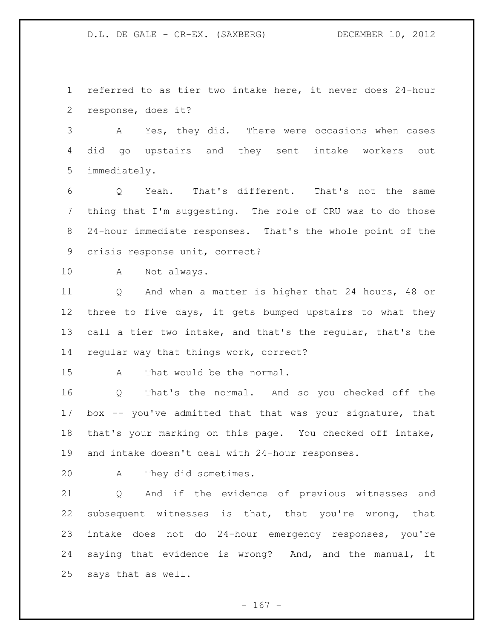referred to as tier two intake here, it never does 24-hour response, does it?

 A Yes, they did. There were occasions when cases did go upstairs and they sent intake workers out immediately.

 Q Yeah. That's different. That's not the same thing that I'm suggesting. The role of CRU was to do those 24-hour immediate responses. That's the whole point of the crisis response unit, correct?

A Not always.

 Q And when a matter is higher that 24 hours, 48 or three to five days, it gets bumped upstairs to what they call a tier two intake, and that's the regular, that's the regular way that things work, correct?

A That would be the normal.

 Q That's the normal. And so you checked off the box -- you've admitted that that was your signature, that that's your marking on this page. You checked off intake, and intake doesn't deal with 24-hour responses.

A They did sometimes.

 Q And if the evidence of previous witnesses and subsequent witnesses is that, that you're wrong, that intake does not do 24-hour emergency responses, you're saying that evidence is wrong? And, and the manual, it says that as well.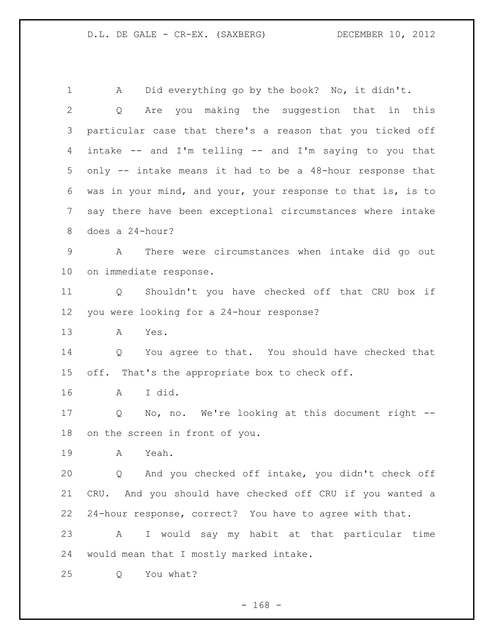A Did everything go by the book? No, it didn't. Q Are you making the suggestion that in this particular case that there's a reason that you ticked off intake -- and I'm telling -- and I'm saying to you that only -- intake means it had to be a 48-hour response that was in your mind, and your, your response to that is, is to say there have been exceptional circumstances where intake does a 24-hour? A There were circumstances when intake did go out on immediate response. Q Shouldn't you have checked off that CRU box if you were looking for a 24-hour response? A Yes. Q You agree to that. You should have checked that off. That's the appropriate box to check off. A I did. Q No, no. We're looking at this document right -- on the screen in front of you. A Yeah. Q And you checked off intake, you didn't check off CRU. And you should have checked off CRU if you wanted a 24-hour response, correct? You have to agree with that. A I would say my habit at that particular time would mean that I mostly marked intake. Q You what?

- 168 -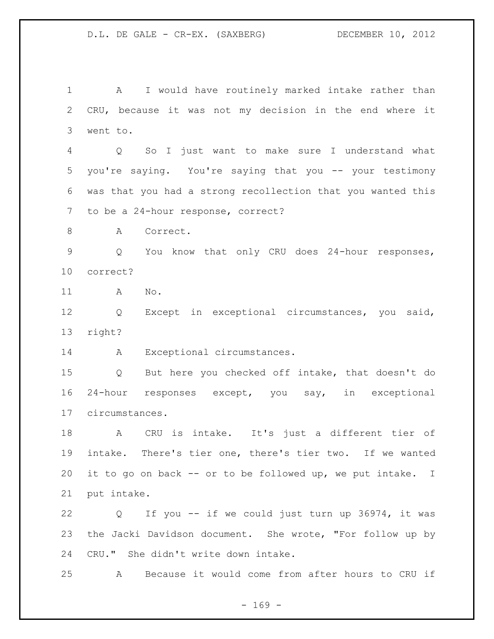A I would have routinely marked intake rather than CRU, because it was not my decision in the end where it went to.

 Q So I just want to make sure I understand what you're saying. You're saying that you -- your testimony was that you had a strong recollection that you wanted this to be a 24-hour response, correct?

8 A Correct.

 Q You know that only CRU does 24-hour responses, correct?

A No.

 Q Except in exceptional circumstances, you said, right?

14 A Exceptional circumstances.

 Q But here you checked off intake, that doesn't do 24-hour responses except, you say, in exceptional circumstances.

 A CRU is intake. It's just a different tier of intake. There's tier one, there's tier two. If we wanted it to go on back -- or to be followed up, we put intake. I put intake.

 Q If you -- if we could just turn up 36974, it was the Jacki Davidson document. She wrote, "For follow up by CRU." She didn't write down intake.

A Because it would come from after hours to CRU if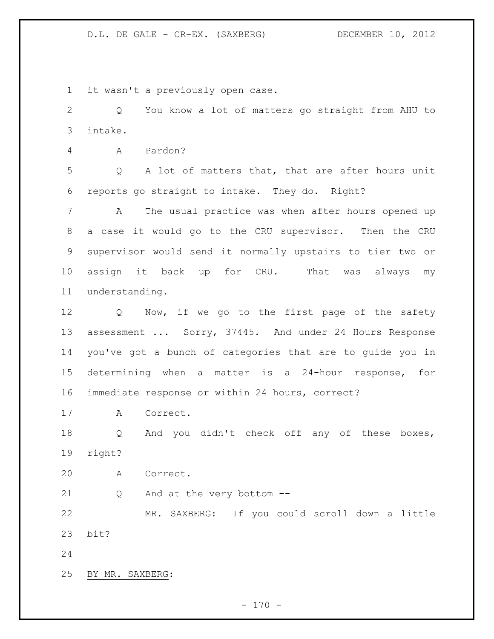it wasn't a previously open case.

 Q You know a lot of matters go straight from AHU to intake.

A Pardon?

 Q A lot of matters that, that are after hours unit reports go straight to intake. They do. Right?

 A The usual practice was when after hours opened up a case it would go to the CRU supervisor. Then the CRU supervisor would send it normally upstairs to tier two or assign it back up for CRU. That was always my understanding.

12 Q Now, if we go to the first page of the safety 13 assessment ... Sorry, 37445. And under 24 Hours Response you've got a bunch of categories that are to guide you in determining when a matter is a 24-hour response, for immediate response or within 24 hours, correct?

A Correct.

 Q And you didn't check off any of these boxes, right?

A Correct.

Q And at the very bottom --

 MR. SAXBERG: If you could scroll down a little bit?

BY MR. SAXBERG: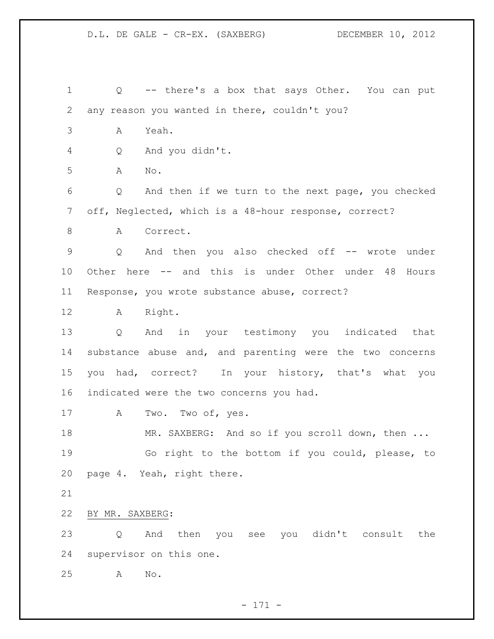| $\mathbf 1$    | -- there's a box that says Other. You can put<br>Q       |
|----------------|----------------------------------------------------------|
| $\mathbf{2}$   | any reason you wanted in there, couldn't you?            |
| $\mathfrak{Z}$ | Yeah.<br>A                                               |
| 4              | And you didn't.<br>Q                                     |
| 5              | A<br>No.                                                 |
| 6              | Q<br>And then if we turn to the next page, you checked   |
| 7              | off, Neglected, which is a 48-hour response, correct?    |
| 8              | Correct.<br>A                                            |
| $\mathsf 9$    | And then you also checked off -- wrote<br>Q<br>under     |
| 10             | Other here -- and this is under Other under 48<br>Hours  |
| 11             | Response, you wrote substance abuse, correct?            |
| 12             | Right.<br>A                                              |
| 13             | And in your testimony you indicated that<br>Q            |
| 14             | substance abuse and, and parenting were the two concerns |
| 15             | you had, correct? In your history, that's what you       |
| 16             | indicated were the two concerns you had.                 |
| 17             | Two. Two of, yes.<br>A                                   |
| 18             | MR. SAXBERG: And so if you scroll down, then             |
| 19             | Go right to the bottom if you could, please, to          |
| 20             | page 4. Yeah, right there.                               |
| 21             |                                                          |
| 22             | BY MR. SAXBERG:                                          |
| 23             | then you see you didn't consult the<br>And<br>Q          |
| 24             | supervisor on this one.                                  |
| 25             | $\mathop{\rm No}\nolimits$ .<br>A                        |
|                |                                                          |

- 171 -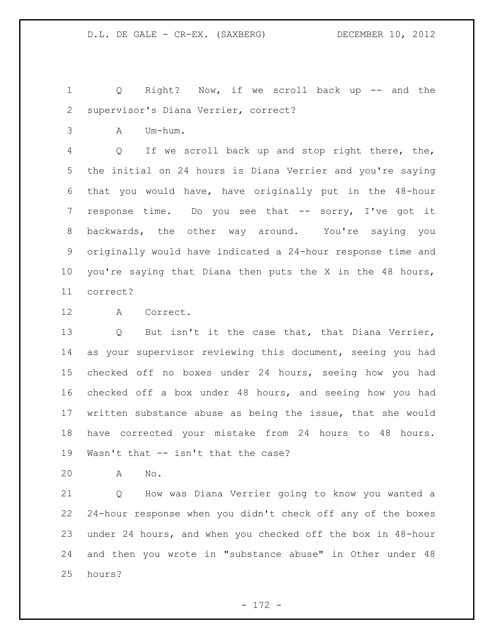Q Right? Now, if we scroll back up -- and the supervisor's Diana Verrier, correct?

A Um-hum.

 Q If we scroll back up and stop right there, the, the initial on 24 hours is Diana Verrier and you're saying that you would have, have originally put in the 48-hour 7 response time. Do you see that -- sorry, I've got it backwards, the other way around. You're saying you originally would have indicated a 24-hour response time and you're saying that Diana then puts the X in the 48 hours, correct?

A Correct.

 Q But isn't it the case that, that Diana Verrier, as your supervisor reviewing this document, seeing you had checked off no boxes under 24 hours, seeing how you had checked off a box under 48 hours, and seeing how you had written substance abuse as being the issue, that she would have corrected your mistake from 24 hours to 48 hours. Wasn't that -- isn't that the case?

A No.

 Q How was Diana Verrier going to know you wanted a 24-hour response when you didn't check off any of the boxes under 24 hours, and when you checked off the box in 48-hour and then you wrote in "substance abuse" in Other under 48 hours?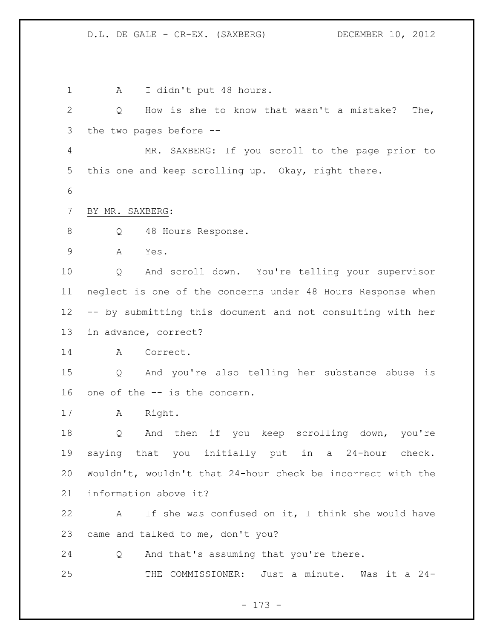1 A I didn't put 48 hours. Q How is she to know that wasn't a mistake? The, the two pages before -- MR. SAXBERG: If you scroll to the page prior to this one and keep scrolling up. Okay, right there. BY MR. SAXBERG: 8 Q 48 Hours Response. A Yes. Q And scroll down. You're telling your supervisor neglect is one of the concerns under 48 Hours Response when -- by submitting this document and not consulting with her in advance, correct? A Correct. Q And you're also telling her substance abuse is one of the -- is the concern. A Right. Q And then if you keep scrolling down, you're saying that you initially put in a 24-hour check. Wouldn't, wouldn't that 24-hour check be incorrect with the information above it? A If she was confused on it, I think she would have came and talked to me, don't you? Q And that's assuming that you're there. THE COMMISSIONER: Just a minute. Was it a 24-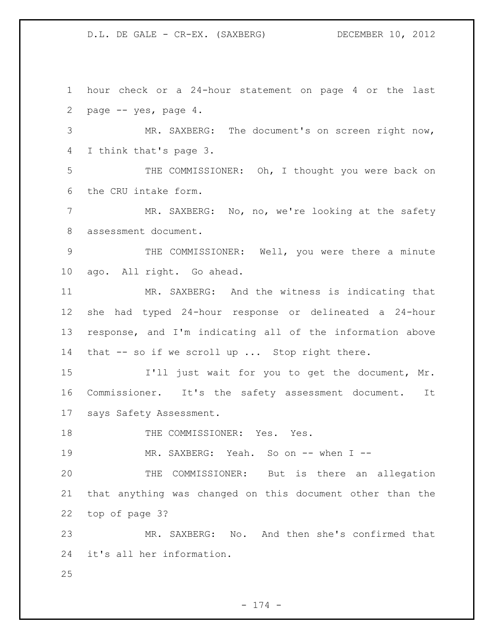hour check or a 24-hour statement on page 4 or the last page -- yes, page 4. MR. SAXBERG: The document's on screen right now, I think that's page 3. THE COMMISSIONER: Oh, I thought you were back on the CRU intake form. MR. SAXBERG: No, no, we're looking at the safety assessment document. THE COMMISSIONER: Well, you were there a minute ago. All right. Go ahead. MR. SAXBERG: And the witness is indicating that she had typed 24-hour response or delineated a 24-hour response, and I'm indicating all of the information above that -- so if we scroll up ... Stop right there. I'll just wait for you to get the document, Mr. Commissioner. It's the safety assessment document. It says Safety Assessment. 18 THE COMMISSIONER: Yes. Yes. 19 MR. SAXBERG: Yeah. So on -- when I -- THE COMMISSIONER: But is there an allegation that anything was changed on this document other than the top of page 3? MR. SAXBERG: No. And then she's confirmed that it's all her information. 

- 174 -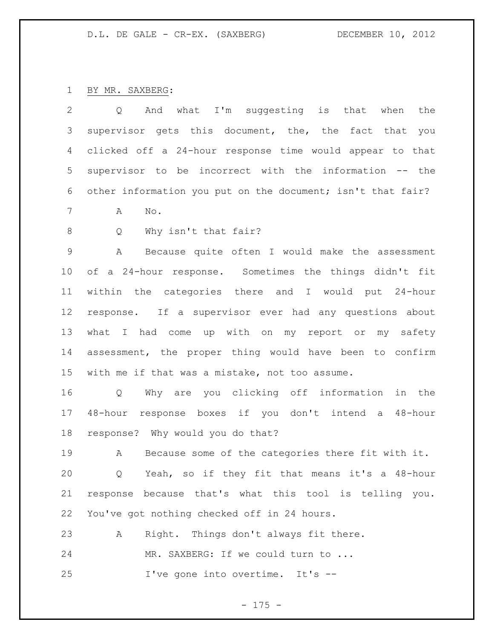BY MR. SAXBERG:

| 2               | is that when<br>And what I'm suggesting<br>the<br>Q         |
|-----------------|-------------------------------------------------------------|
| 3               | supervisor gets this document, the, the fact that you       |
| 4               | clicked off a 24-hour response time would appear to that    |
| 5               | supervisor to be incorrect with the information -- the      |
| 6               | other information you put on the document; isn't that fair? |
| 7               | Α<br>No.                                                    |
| 8               | Why isn't that fair?<br>Q                                   |
| $\mathcal{G}$   | Because quite often I would make the assessment<br>Α        |
| 10              | of a 24-hour response. Sometimes the things didn't fit      |
| 11              | within the categories there and I would put 24-hour         |
| 12              | response. If a supervisor ever had any questions about      |
| 13              | what I had come up with on my report or my safety           |
| 14              | assessment, the proper thing would have been to confirm     |
| 15 <sub>2</sub> | with me if that was a mistake, not too assume.              |
| 16              | Why are you clicking off information<br>in the<br>Q         |
| 17              | 48-hour response boxes if you don't intend a<br>48-hour     |
| 18              | response? Why would you do that?                            |
| 19              | Because some of the categories there fit with it.<br>А      |
| 20              | Yeah, so if they fit that means it's a 48-hour<br>Q         |
| 21              | response because that's what this tool is telling you.      |
| 22              | You've got nothing checked off in 24 hours.                 |
| 23              | Right. Things don't always fit there.<br>А                  |
| 24              | MR. SAXBERG: If we could turn to                            |
| 25              | I've gone into overtime. It's --                            |
|                 |                                                             |

- 175 -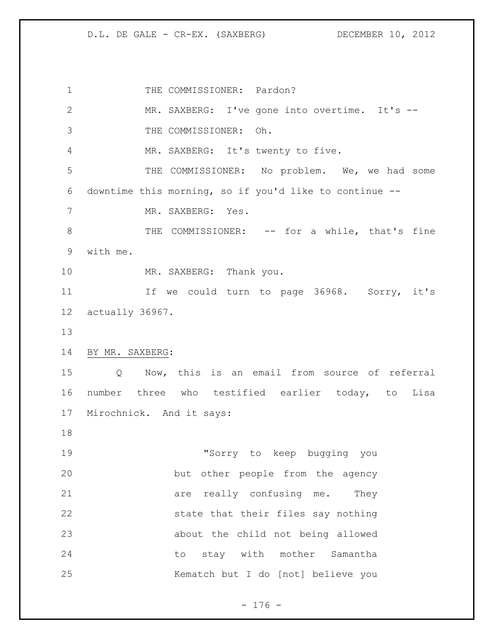1 THE COMMISSIONER: Pardon? MR. SAXBERG: I've gone into overtime. It's -- THE COMMISSIONER: Oh. MR. SAXBERG: It's twenty to five. THE COMMISSIONER: No problem. We, we had some downtime this morning, so if you'd like to continue -- 7 MR. SAXBERG: Yes. 8 THE COMMISSIONER: -- for a while, that's fine with me. 10 MR. SAXBERG: Thank you. 11 11 If we could turn to page 36968. Sorry, it's actually 36967. BY MR. SAXBERG: Q Now, this is an email from source of referral number three who testified earlier today, to Lisa Mirochnick. And it says: "Sorry to keep bugging you but other people from the agency 21 are really confusing me. They state that their files say nothing about the child not being allowed 24 to stay with mother Samantha Kematch but I do [not] believe you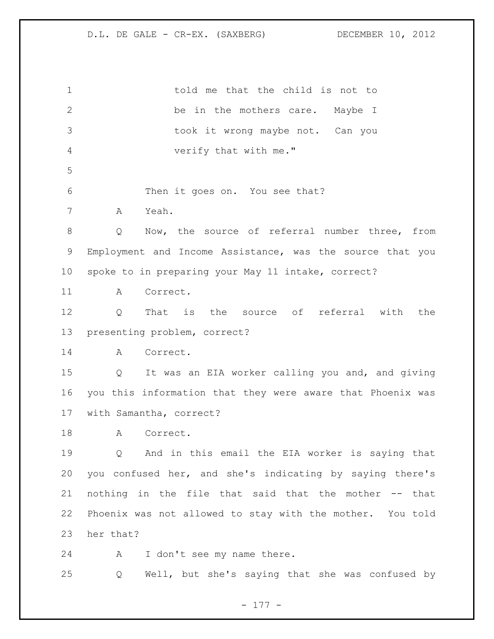told me that the child is not to 2 be in the mothers care. Maybe I took it wrong maybe not. Can you verify that with me." Then it goes on. You see that? A Yeah. Q Now, the source of referral number three, from Employment and Income Assistance, was the source that you spoke to in preparing your May 11 intake, correct? A Correct. Q That is the source of referral with the presenting problem, correct? A Correct. Q It was an EIA worker calling you and, and giving you this information that they were aware that Phoenix was with Samantha, correct? 18 A Correct. Q And in this email the EIA worker is saying that you confused her, and she's indicating by saying there's nothing in the file that said that the mother -- that Phoenix was not allowed to stay with the mother. You told her that? A I don't see my name there. Q Well, but she's saying that she was confused by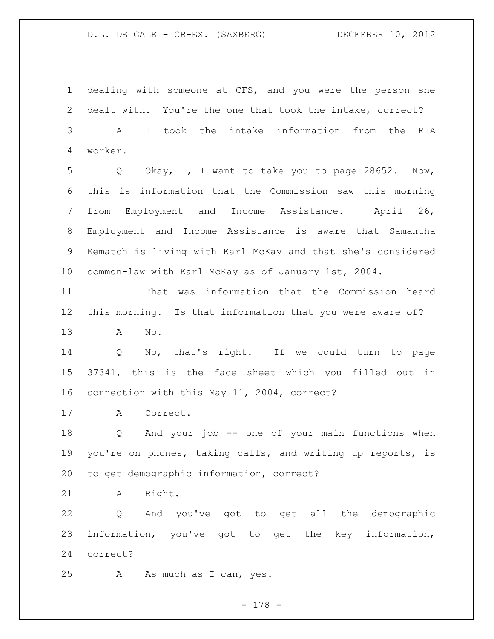dealing with someone at CFS, and you were the person she dealt with. You're the one that took the intake, correct? A I took the intake information from the EIA worker. Q Okay, I, I want to take you to page 28652. Now, this is information that the Commission saw this morning from Employment and Income Assistance. April 26, Employment and Income Assistance is aware that Samantha Kematch is living with Karl McKay and that she's considered common-law with Karl McKay as of January 1st, 2004. That was information that the Commission heard this morning. Is that information that you were aware of? A No. Q No, that's right. If we could turn to page 37341, this is the face sheet which you filled out in connection with this May 11, 2004, correct? A Correct. Q And your job -- one of your main functions when you're on phones, taking calls, and writing up reports, is to get demographic information, correct? A Right. Q And you've got to get all the demographic information, you've got to get the key information, correct? A As much as I can, yes.

- 178 -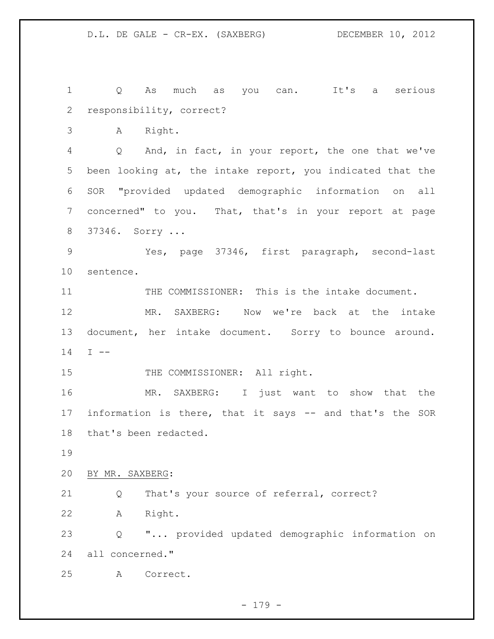Q As much as you can. It's a serious responsibility, correct? A Right. Q And, in fact, in your report, the one that we've been looking at, the intake report, you indicated that the SOR "provided updated demographic information on all concerned" to you. That, that's in your report at page 37346. Sorry ... Yes, page 37346, first paragraph, second-last sentence. THE COMMISSIONER: This is the intake document. MR. SAXBERG: Now we're back at the intake document, her intake document. Sorry to bounce around. I -- 15 THE COMMISSIONER: All right. MR. SAXBERG: I just want to show that the information is there, that it says -- and that's the SOR that's been redacted. BY MR. SAXBERG: Q That's your source of referral, correct? A Right. Q "... provided updated demographic information on all concerned." A Correct.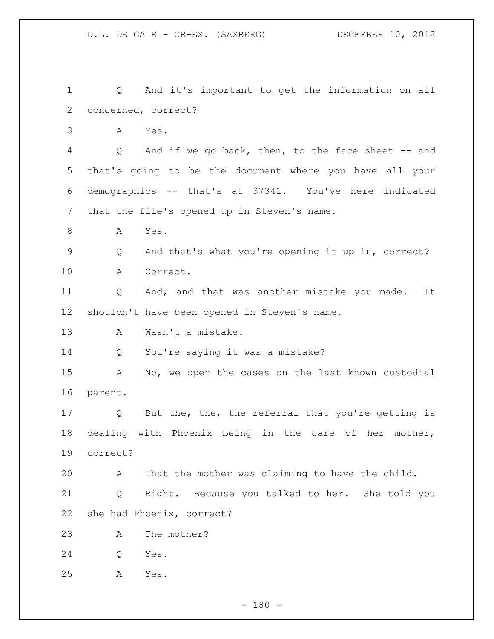Q And it's important to get the information on all concerned, correct? A Yes. Q And if we go back, then, to the face sheet -- and that's going to be the document where you have all your demographics -- that's at 37341. You've here indicated that the file's opened up in Steven's name. A Yes. Q And that's what you're opening it up in, correct? A Correct. Q And, and that was another mistake you made. It shouldn't have been opened in Steven's name. A Wasn't a mistake. Q You're saying it was a mistake? A No, we open the cases on the last known custodial parent. Q But the, the, the referral that you're getting is dealing with Phoenix being in the care of her mother, correct? A That the mother was claiming to have the child. Q Right. Because you talked to her. She told you she had Phoenix, correct? A The mother? Q Yes. A Yes.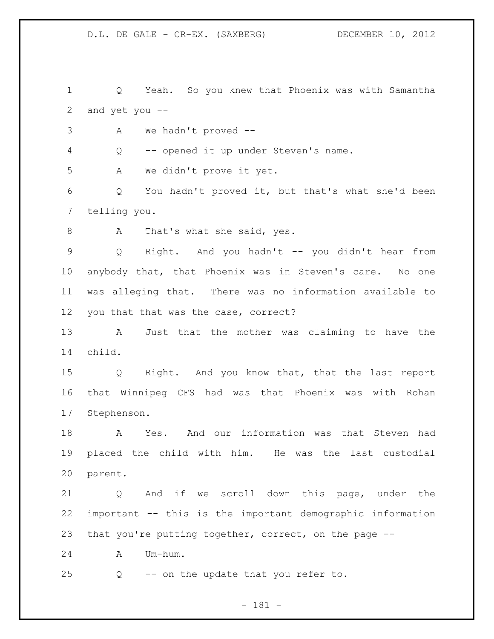Q Yeah. So you knew that Phoenix was with Samantha and yet you --

A We hadn't proved --

Q -- opened it up under Steven's name.

A We didn't prove it yet.

 Q You hadn't proved it, but that's what she'd been telling you.

8 A That's what she said, yes.

 Q Right. And you hadn't -- you didn't hear from anybody that, that Phoenix was in Steven's care. No one was alleging that. There was no information available to you that that was the case, correct?

 A Just that the mother was claiming to have the child.

 Q Right. And you know that, that the last report that Winnipeg CFS had was that Phoenix was with Rohan Stephenson.

 A Yes. And our information was that Steven had placed the child with him. He was the last custodial parent.

 Q And if we scroll down this page, under the important -- this is the important demographic information that you're putting together, correct, on the page --

A Um-hum.

Q -- on the update that you refer to.

- 181 -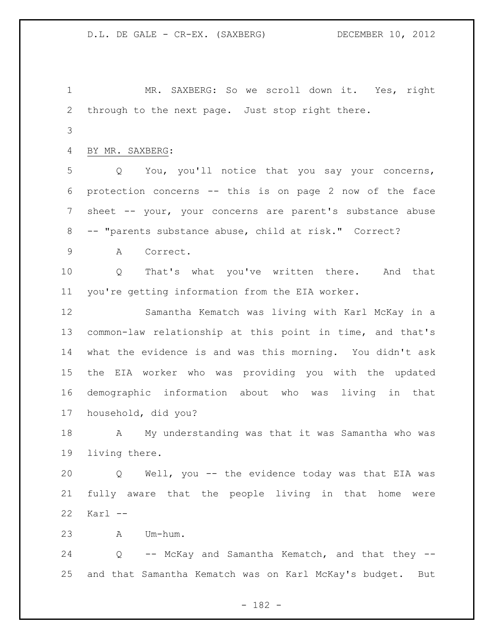MR. SAXBERG: So we scroll down it. Yes, right through to the next page. Just stop right there.

BY MR. SAXBERG:

 Q You, you'll notice that you say your concerns, protection concerns -- this is on page 2 now of the face sheet -- your, your concerns are parent's substance abuse -- "parents substance abuse, child at risk." Correct?

A Correct.

 Q That's what you've written there. And that you're getting information from the EIA worker.

 Samantha Kematch was living with Karl McKay in a common-law relationship at this point in time, and that's what the evidence is and was this morning. You didn't ask the EIA worker who was providing you with the updated demographic information about who was living in that household, did you?

 A My understanding was that it was Samantha who was living there.

 Q Well, you -- the evidence today was that EIA was fully aware that the people living in that home were Karl --

A Um-hum.

24 Q -- McKay and Samantha Kematch, and that they --and that Samantha Kematch was on Karl McKay's budget. But

- 182 -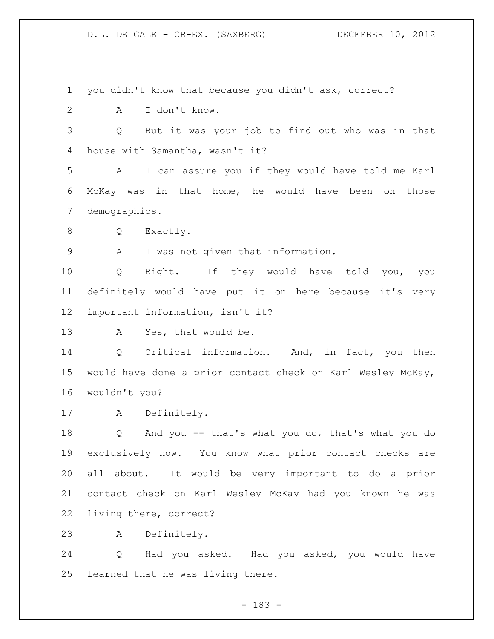you didn't know that because you didn't ask, correct? A I don't know. Q But it was your job to find out who was in that house with Samantha, wasn't it? A I can assure you if they would have told me Karl McKay was in that home, he would have been on those demographics. 8 Q Exactly. A I was not given that information. Q Right. If they would have told you, you definitely would have put it on here because it's very important information, isn't it? A Yes, that would be. Q Critical information. And, in fact, you then would have done a prior contact check on Karl Wesley McKay, wouldn't you? A Definitely. Q And you -- that's what you do, that's what you do exclusively now. You know what prior contact checks are all about. It would be very important to do a prior contact check on Karl Wesley McKay had you known he was living there, correct? A Definitely. Q Had you asked. Had you asked, you would have learned that he was living there.

- 183 -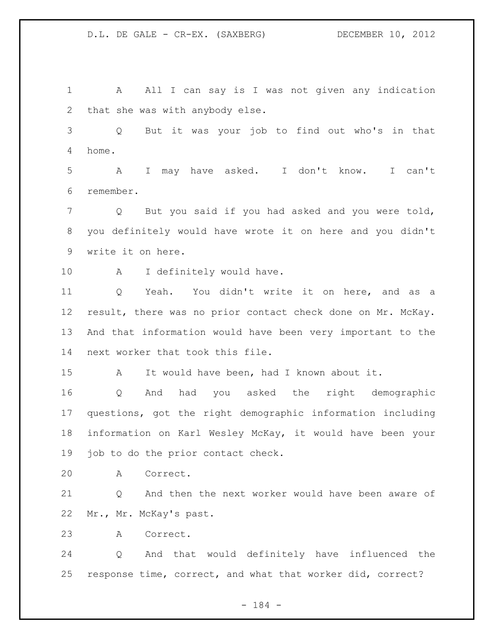1 A All I can say is I was not given any indication that she was with anybody else. Q But it was your job to find out who's in that home. A I may have asked. I don't know. I can't remember. Q But you said if you had asked and you were told, you definitely would have wrote it on here and you didn't write it on here. 10 A I definitely would have. Q Yeah. You didn't write it on here, and as a result, there was no prior contact check done on Mr. McKay. And that information would have been very important to the next worker that took this file. A It would have been, had I known about it. Q And had you asked the right demographic questions, got the right demographic information including information on Karl Wesley McKay, it would have been your 19 job to do the prior contact check. A Correct. Q And then the next worker would have been aware of Mr., Mr. McKay's past. A Correct. Q And that would definitely have influenced the response time, correct, and what that worker did, correct?

- 184 -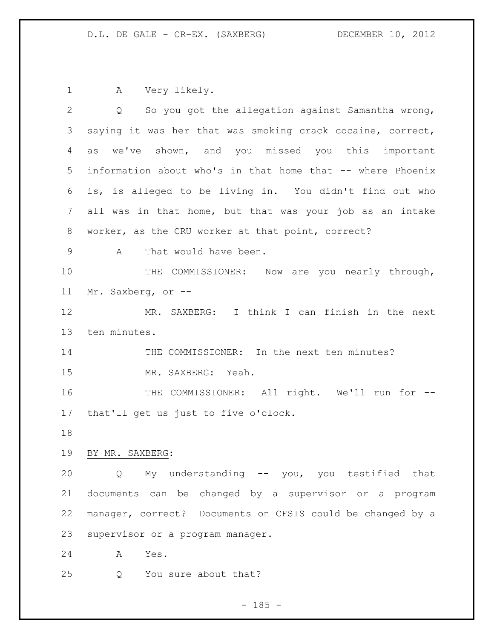A Very likely.

| 2              | So you got the allegation against Samantha wrong,<br>$Q \qquad \qquad$ |
|----------------|------------------------------------------------------------------------|
| 3              | saying it was her that was smoking crack cocaine, correct,             |
| $\overline{4}$ | we've shown, and you missed you this important<br>as                   |
| 5              | information about who's in that home that -- where Phoenix             |
| 6              | is, is alleged to be living in. You didn't find out who                |
| 7              | all was in that home, but that was your job as an intake               |
| 8              | worker, as the CRU worker at that point, correct?                      |
| 9              | That would have been.<br>A                                             |
| 10             | THE COMMISSIONER: Now are you nearly through,                          |
| 11             | Mr. Saxberg, or --                                                     |
| 12             | MR. SAXBERG: I think I can finish in the next                          |
| 13             | ten minutes.                                                           |
| 14             | THE COMMISSIONER: In the next ten minutes?                             |
| 15             | MR. SAXBERG: Yeah.                                                     |
| 16             | THE COMMISSIONER: All right. We'll run for --                          |
| 17             | that'll get us just to five o'clock.                                   |
| 18             |                                                                        |
| 19             | BY MR. SAXBERG:                                                        |
| 20             | My understanding -- you, you testified that<br>Q                       |
| 21             | documents can be changed by a supervisor or a program                  |
| 22             | manager, correct? Documents on CFSIS could be changed by a             |
| 23             | supervisor or a program manager.                                       |
| 24             | Α<br>Yes.                                                              |
| 25             | You sure about that?<br>Q                                              |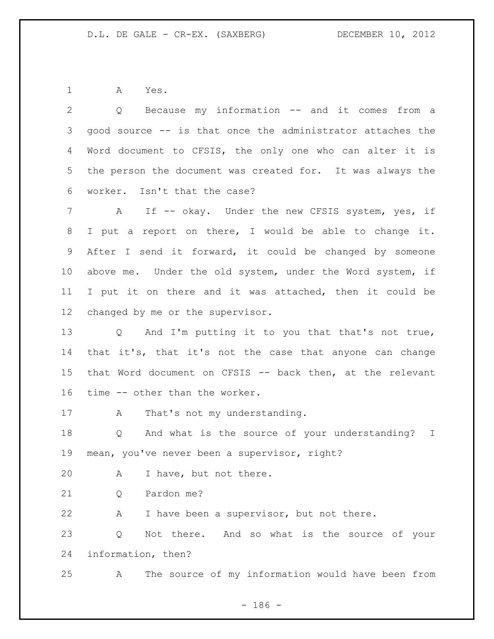A Yes.

| 2               | Because my information -- and it comes from a<br>Q                   |
|-----------------|----------------------------------------------------------------------|
| 3               | good source -- is that once the administrator attaches the           |
| 4               | Word document to CFSIS, the only one who can alter it is             |
| 5               | the person the document was created for. It was always the           |
| 6               | worker. Isn't that the case?                                         |
| $\overline{7}$  | A If -- okay. Under the new CFSIS system, yes, if                    |
| 8               | I put a report on there, I would be able to change it.               |
| 9               | After I send it forward, it could be changed by someone              |
| 10 <sub>o</sub> | above me. Under the old system, under the Word system, if            |
| 11              | I put it on there and it was attached, then it could be              |
| 12              | changed by me or the supervisor.                                     |
| 13              | Q And I'm putting it to you that that's not true,                    |
| 14              | that it's, that it's not the case that anyone can change             |
| 15              | that Word document on CFSIS -- back then, at the relevant            |
| 16              | time -- other than the worker.                                       |
| 17              | That's not my understanding.<br>A                                    |
| 18              | And what is the source of your understanding? I<br>$Q \qquad \qquad$ |
| 19              | mean, you've never been a supervisor, right?                         |
| 20              | I have, but not there.<br>Α                                          |
| 21              | Pardon me?<br>Q                                                      |
| 22              | I have been a supervisor, but not there.<br>Α                        |
| 23              | And so what is the source of your<br>Not there.<br>Q                 |
| 24              | information, then?                                                   |
| 25              | The source of my information would have been from<br>Α               |

- 186 -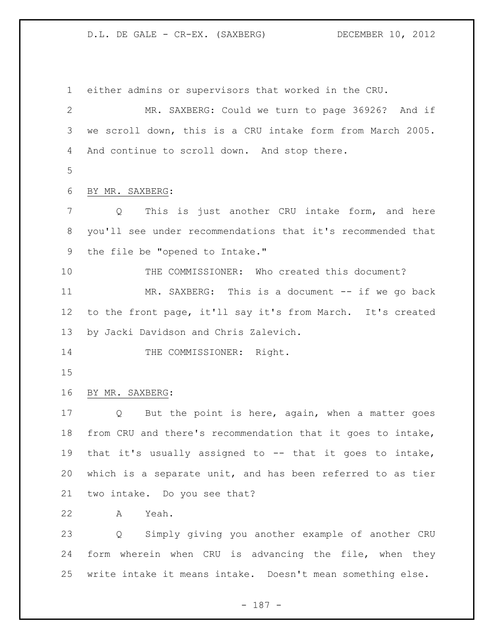either admins or supervisors that worked in the CRU. MR. SAXBERG: Could we turn to page 36926? And if we scroll down, this is a CRU intake form from March 2005. And continue to scroll down. And stop there. BY MR. SAXBERG: Q This is just another CRU intake form, and here you'll see under recommendations that it's recommended that the file be "opened to Intake." THE COMMISSIONER: Who created this document? MR. SAXBERG: This is a document -- if we go back to the front page, it'll say it's from March. It's created by Jacki Davidson and Chris Zalevich. 14 THE COMMISSIONER: Right. BY MR. SAXBERG: Q But the point is here, again, when a matter goes from CRU and there's recommendation that it goes to intake, that it's usually assigned to -- that it goes to intake, which is a separate unit, and has been referred to as tier two intake. Do you see that? A Yeah. Q Simply giving you another example of another CRU form wherein when CRU is advancing the file, when they write intake it means intake. Doesn't mean something else.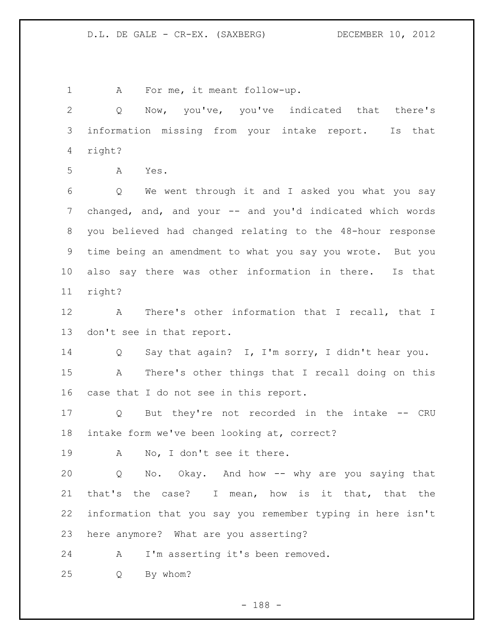A For me, it meant follow-up. Q Now, you've, you've indicated that there's information missing from your intake report. Is that right? A Yes. Q We went through it and I asked you what you say 7 changed, and, and your -- and you'd indicated which words you believed had changed relating to the 48-hour response time being an amendment to what you say you wrote. But you also say there was other information in there. Is that right? A There's other information that I recall, that I don't see in that report. Q Say that again? I, I'm sorry, I didn't hear you. A There's other things that I recall doing on this case that I do not see in this report. Q But they're not recorded in the intake -- CRU intake form we've been looking at, correct? A No, I don't see it there. Q No. Okay. And how -- why are you saying that that's the case? I mean, how is it that, that the information that you say you remember typing in here isn't here anymore? What are you asserting? A I'm asserting it's been removed. Q By whom?

- 188 -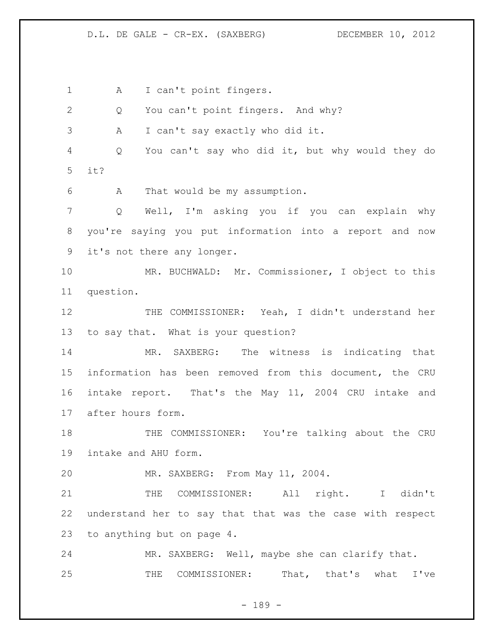1 A I can't point fingers. 2 Q You can't point fingers. And why? A I can't say exactly who did it. Q You can't say who did it, but why would they do it? A That would be my assumption. Q Well, I'm asking you if you can explain why you're saying you put information into a report and now it's not there any longer. MR. BUCHWALD: Mr. Commissioner, I object to this question. 12 THE COMMISSIONER: Yeah, I didn't understand her to say that. What is your question? MR. SAXBERG: The witness is indicating that information has been removed from this document, the CRU intake report. That's the May 11, 2004 CRU intake and after hours form. THE COMMISSIONER: You're talking about the CRU intake and AHU form. MR. SAXBERG: From May 11, 2004. THE COMMISSIONER: All right. I didn't understand her to say that that was the case with respect to anything but on page 4. MR. SAXBERG: Well, maybe she can clarify that. THE COMMISSIONER: That, that's what I've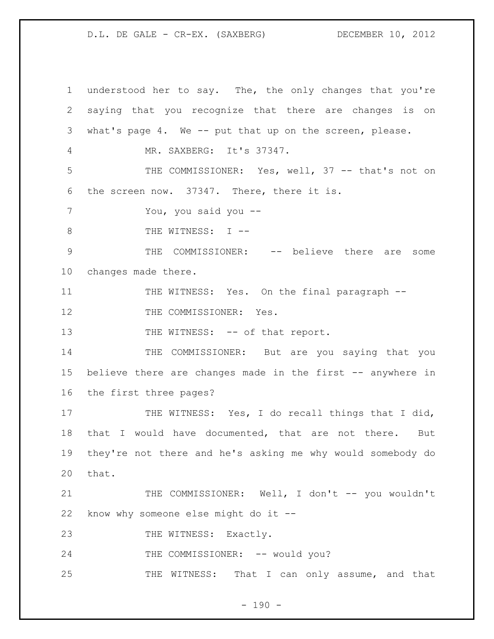1 understood her to say. The, the only changes that you're 2 saying that you recognize that there are changes is on 3 what's page 4. We -- put that up on the screen, please. 4 MR. SAXBERG: It's 37347. 5 THE COMMISSIONER: Yes, well, 37 -- that's not on 6 the screen now. 37347. There, there it is. 7 You, you said you -- 8 THE WITNESS: I --9 THE COMMISSIONER: -- believe there are some 10 changes made there. 11 THE WITNESS: Yes. On the final paragraph --12 THE COMMISSIONER: Yes. 13 THE WITNESS: -- of that report. 14 THE COMMISSIONER: But are you saying that you 15 believe there are changes made in the first -- anywhere in 16 the first three pages? 17 THE WITNESS: Yes, I do recall things that I did, 18 that I would have documented, that are not there. But 19 they're not there and he's asking me why would somebody do 20 that. 21 THE COMMISSIONER: Well, I don't -- you wouldn't 22 know why someone else might do it -- 23 THE WITNESS: Exactly. 24 THE COMMISSIONER: -- would you? 25 THE WITNESS: That I can only assume, and that

 $- 190 -$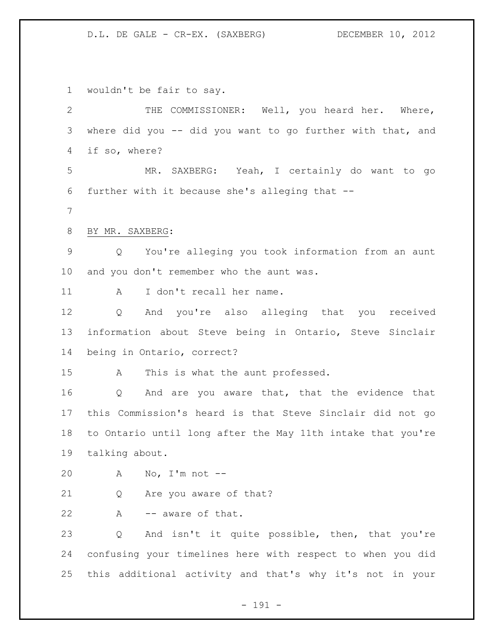wouldn't be fair to say.

| $\overline{2}$ | THE COMMISSIONER: Well, you heard her. Where,                   |
|----------------|-----------------------------------------------------------------|
| 3              | where did you -- did you want to go further with that, and      |
| 4              | if so, where?                                                   |
| 5              | MR. SAXBERG: Yeah, I certainly do want to go                    |
| 6              | further with it because she's alleging that --                  |
| 7              |                                                                 |
| 8              | BY MR. SAXBERG:                                                 |
| $\mathsf 9$    | Q You're alleging you took information from an aunt             |
| 10             | and you don't remember who the aunt was.                        |
| 11             | I don't recall her name.<br>A                                   |
| 12             | And you're also alleging that you received<br>$Q \qquad \qquad$ |
| 13             | information about Steve being in Ontario, Steve Sinclair        |
| 14             | being in Ontario, correct?                                      |
| 15             | A<br>This is what the aunt professed.                           |
| 16             | And are you aware that, that the evidence that<br>Q             |
| 17             | this Commission's heard is that Steve Sinclair did not go       |
| 18             | to Ontario until long after the May 11th intake that you're     |
| 19             | talking about.                                                  |
| 20             | No, I'm not $--$<br>A                                           |
| 21             | Are you aware of that?<br>Q                                     |
| 22             | -- aware of that.<br>A                                          |
| 23             | And isn't it quite possible, then, that you're<br>Q             |
| 24             | confusing your timelines here with respect to when you did      |
| 25             | this additional activity and that's why it's not in your        |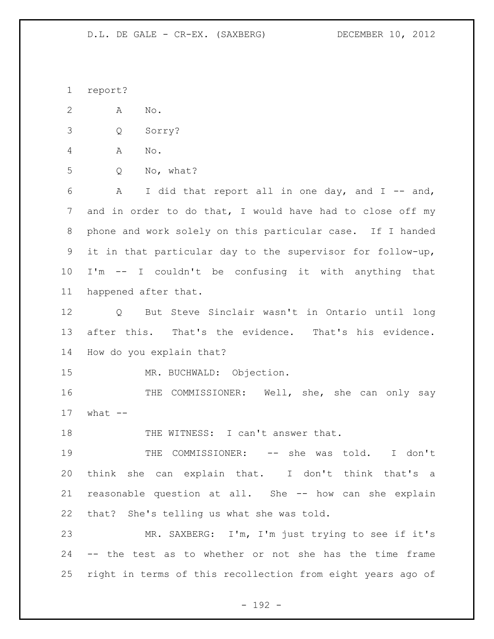report?

A No.

Q Sorry?

A No.

Q No, what?

 A I did that report all in one day, and I -- and, and in order to do that, I would have had to close off my phone and work solely on this particular case. If I handed it in that particular day to the supervisor for follow-up, I'm -- I couldn't be confusing it with anything that happened after that.

 Q But Steve Sinclair wasn't in Ontario until long after this. That's the evidence. That's his evidence. How do you explain that?

MR. BUCHWALD: Objection.

16 THE COMMISSIONER: Well, she, she can only say what  $-$ 

18 THE WITNESS: I can't answer that.

19 THE COMMISSIONER: -- she was told. I don't think she can explain that. I don't think that's a reasonable question at all. She -- how can she explain that? She's telling us what she was told.

 MR. SAXBERG: I'm, I'm just trying to see if it's -- the test as to whether or not she has the time frame right in terms of this recollection from eight years ago of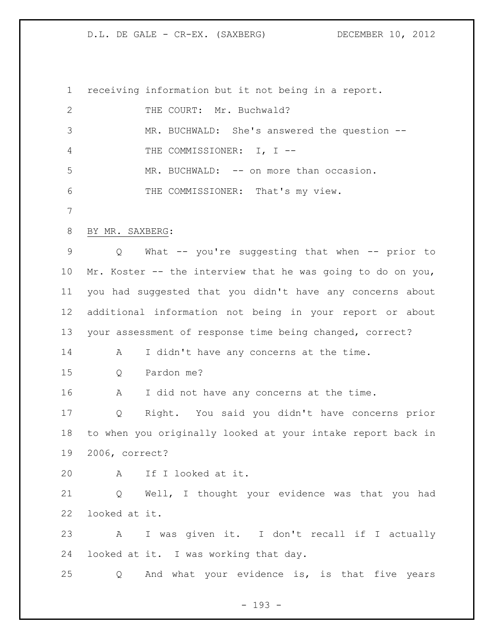receiving information but it not being in a report. 2 THE COURT: Mr. Buchwald? MR. BUCHWALD: She's answered the question -- THE COMMISSIONER: I, I -- 5 MR. BUCHWALD: -- on more than occasion. THE COMMISSIONER: That's my view. BY MR. SAXBERG: Q What -- you're suggesting that when -- prior to Mr. Koster -- the interview that he was going to do on you, you had suggested that you didn't have any concerns about additional information not being in your report or about your assessment of response time being changed, correct? 14 A I didn't have any concerns at the time. Q Pardon me? 16 A I did not have any concerns at the time. Q Right. You said you didn't have concerns prior to when you originally looked at your intake report back in 2006, correct? A If I looked at it. Q Well, I thought your evidence was that you had looked at it. A I was given it. I don't recall if I actually looked at it. I was working that day. Q And what your evidence is, is that five years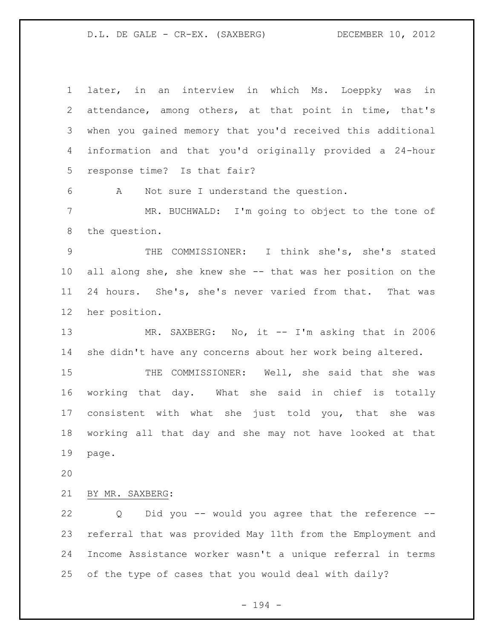later, in an interview in which Ms. Loeppky was in attendance, among others, at that point in time, that's when you gained memory that you'd received this additional information and that you'd originally provided a 24-hour response time? Is that fair? A Not sure I understand the question. MR. BUCHWALD: I'm going to object to the tone of the question. THE COMMISSIONER: I think she's, she's stated all along she, she knew she -- that was her position on the 24 hours. She's, she's never varied from that. That was her position. 13 MR. SAXBERG: No, it -- I'm asking that in 2006 she didn't have any concerns about her work being altered. THE COMMISSIONER: Well, she said that she was working that day. What she said in chief is totally consistent with what she just told you, that she was working all that day and she may not have looked at that page. BY MR. SAXBERG: Q Did you -- would you agree that the reference -- referral that was provided May 11th from the Employment and Income Assistance worker wasn't a unique referral in terms of the type of cases that you would deal with daily?

- 194 -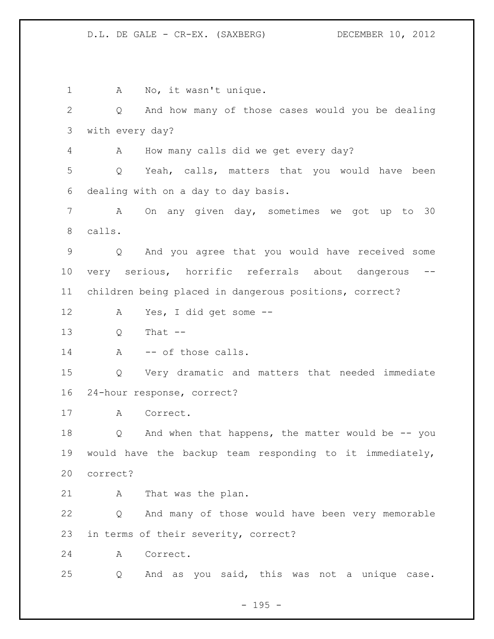1 A No, it wasn't unique. Q And how many of those cases would you be dealing with every day? A How many calls did we get every day? Q Yeah, calls, matters that you would have been dealing with on a day to day basis. A On any given day, sometimes we got up to 30 calls. Q And you agree that you would have received some very serious, horrific referrals about dangerous -- children being placed in dangerous positions, correct? A Yes, I did get some -- Q That -- 14 A -- of those calls. Q Very dramatic and matters that needed immediate 24-hour response, correct? A Correct. Q And when that happens, the matter would be -- you would have the backup team responding to it immediately, correct? A That was the plan. Q And many of those would have been very memorable in terms of their severity, correct? A Correct. Q And as you said, this was not a unique case.

- 195 -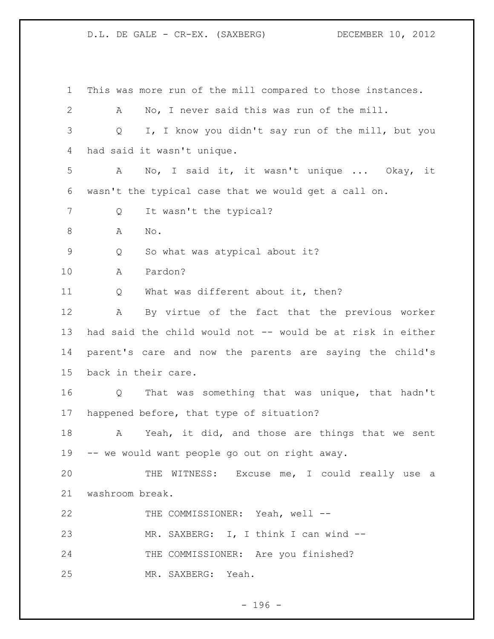This was more run of the mill compared to those instances. A No, I never said this was run of the mill. Q I, I know you didn't say run of the mill, but you had said it wasn't unique. A No, I said it, it wasn't unique ... Okay, it wasn't the typical case that we would get a call on. 7 Q It wasn't the typical? 8 A No. Q So what was atypical about it? A Pardon? Q What was different about it, then? A By virtue of the fact that the previous worker had said the child would not -- would be at risk in either parent's care and now the parents are saying the child's back in their care. Q That was something that was unique, that hadn't happened before, that type of situation? A Yeah, it did, and those are things that we sent -- we would want people go out on right away. THE WITNESS: Excuse me, I could really use a washroom break. 22 THE COMMISSIONER: Yeah, well --23 MR. SAXBERG: I, I think I can wind -- THE COMMISSIONER: Are you finished? MR. SAXBERG: Yeah.